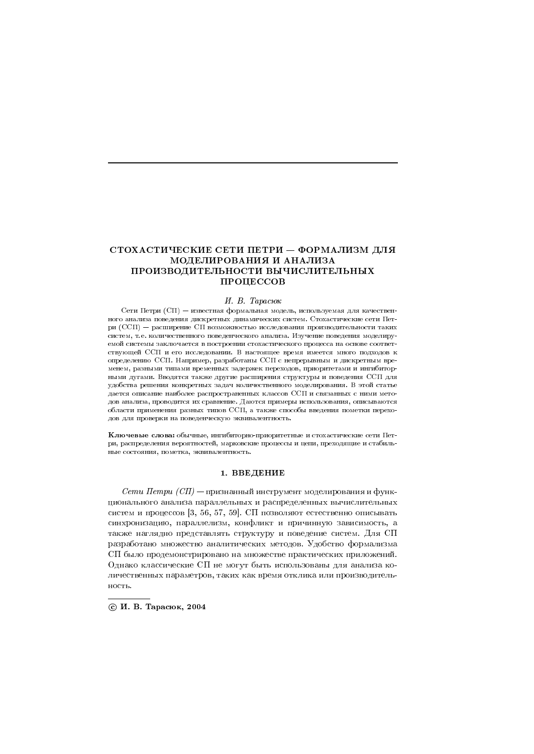# СТОХАСТИЧЕСКИЕ СЕТИ ПЕТРИ - ФОРМАЛИЗМ ДЛЯ МОДЕЛИРОВАНИЯ И АНАЛИЗА ПРОИЗВОДИТЕЛЬНОСТИ ВЫЧИСЛИТЕЛЬНЫХ ПРОЦЕССОВ

### И. В. Тарасюк

Сети Петри (СП) - известная формальная модель, используемая для качественного анализа поведения дискретных динамических систем. Стохастические сети Петри (ССП) — расширение СП возможностью исследования производительности таких систем, т.е. количественного поведенческого анализа. Изучение поведения моделируемой системы заключается в построении стохастического процесса на основе соответствующей ССП и его исследовании. В настоящее время имеется много подходов к определению ССП. Например, разработаны ССП с непрерывным и дискретным временем, разными типами временных задержек переходов, приоритетами и ингибиторными дугами. Вводятся также другие расширения структуры и поведения ССП для удобства решения конкретных задач количественного моделирования. В этой статье дается описание наиболее распространенных классов ССП и связанных с ними методов анализа, проводится их сравнение. Даются примеры использования, описываются области применения разных типов ССП, а также способы введения пометки переходов для проверки на поведенческую эквивалентность.

Ключевые слова: обычные, ингибиторно-приоритетные и стохастические сети Петри, распределения вероятностей, марковские процессы и цепи, преходящие и стабильные состояния, пометка, эквивалентность.

## 1. ВВЕДЕНИЕ

 $\mathit{Cemu\; Hempu\; } (CII)$  — признанный инструмент моделирования и функционального анализа параллельных и распределенных вычислительных систем и процессов [3, 56, 57, 59]. СП позволяют естественно описывать синхронизацию, параллелизм, конфликт и причинную зависимость, а также наглядно представлять структуру и поведение систем. Для СП разработано множество аналитических методов. Удобство формализма СП было продемонстрировано на множестве практических приложений. Однако классические СП не могут быть использованы для анализа количественных параметров, таких как время отклика или производительность.

© И. В. Тарасюк, 2004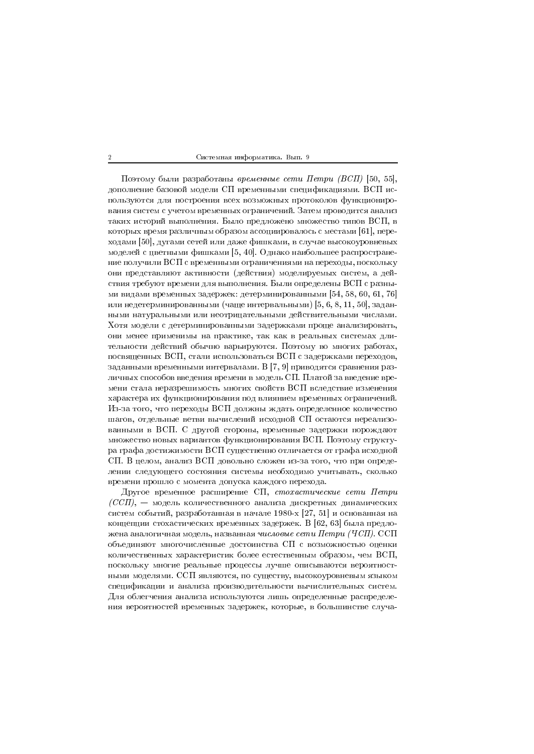Поэтому были разработаны временные сети Петри (ВСП) [50, 55], дополнение базовой модели СП временными спецификациями. ВСП используются для построения всех возможных протоколов функционирования систем с учетом временных ограничений. Затем проводится анализ таких историй выполнения. Было предложено множество типов ВСП, в которых время различным образом ассоциировалось с местами [61], переходами [50], дугами сетей или даже фишками, в случае высокоуровневых моделей с цветными фишками [5, 40]. Однако наибольшее распространение получили ВСП с временными ограничениями на переходы, поскольку они представляют активности (действия) моделируемых систем, а действия требуют времени для выполнения. Были определены ВСП с разными видами временных задержек: детерминированными [54, 58, 60, 61, 76] или недетерминированными (чаще интервальными) [5, 6, 8, 11, 50], заданными натуральными или неотрицательными действительными числами. Хотя модели с детерминированными задержками проще анализировать, они менее применимы на практике, так как в реальных системах длительности действий обычно варьируются. Поэтому во многих работах, посвященных ВСП, стали использоваться ВСП с задержками переходов, заданными временными интервалами. В [7, 9] приводятся сравнения различных способов введения времени в модель СП. Платой за введение времени стала неразрешимость многих свойств ВСП вследствие изменения характера их функционирования под влиянием временных ограничений. Из-за того, что переходы ВСП должны ждать определенное количество шагов, отдельные ветви вычислений исходной СП остаются нереализованными в ВСП. С другой стороны, временные задержки порождают множество новых вариантов функционирования ВСП. Поэтому структура графа достижимости ВСП существенно отличается от графа исходной СП. В целом, анализ ВСП довольно сложен из-за того, что при определении следующего состояния системы необходимо учитывать, сколько времени прошло с момента допуска каждого перехода.

Другое временное расширение СП, стохастические сети Петри  $(CCII)$ , — модель количественного анализа дискретных динамических систем событий, разработанная в начале 1980-х [27, 51] и основанная на концепции стохастических временных задержек. В [62, 63] была предложена аналогичная модель, названная числовые сети Петри (ЧСП). ССП объединяют многочисленные достоинства СП с возможностью оценки количественных характеристик более естественным образом, чем ВСП, поскольку многие реальные процессы лучше описываются вероятностными моделями. ССП являются, по существу, высокоуровневым языком спецификации и анализа производительности вычислительных систем. Для облегчения анализа используются лишь определенные распределения вероятностей временных задержек, которые, в большинстве случа-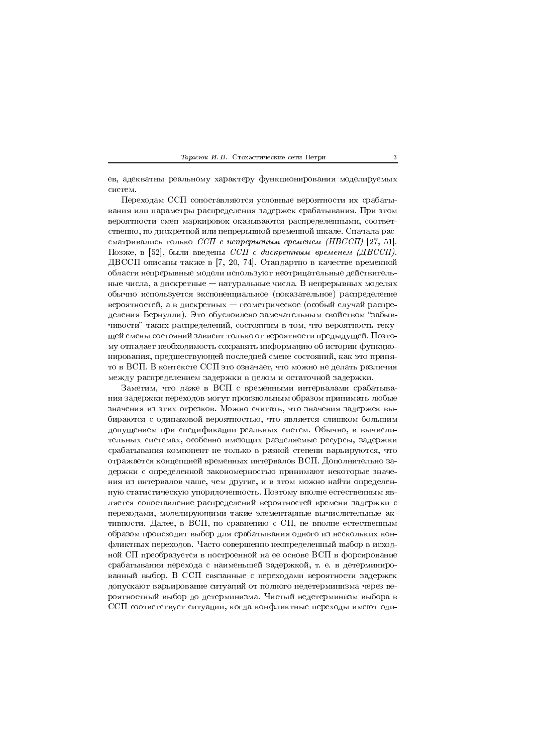Тарасюк И. В. Стохастические сети Петри

ев, адекватны реальному характеру функционирования моделируемых систем.

Переходам ССП сопоставляются условные вероятности их срабатывания или параметры распределения задержек срабатывания. При этом вероятности смен маркировок оказываются распределенными, соответственно, по дискретной или непрерывной временной шкале. Сначала рассматривались только ССП с непрерывным временем (НВССП) [27, 51]. Позже, в [52], были введены ССП с дискретным временем (ДВССП). ДВССП описаны также в [7, 20, 74]. Стандартно в качестве временной области непрерывные модели используют неотрицательные действительные числа, а дискретные – натуральные числа. В непрерывных моделях обычно используется экспоненциальное (показательное) распределение вероятностей, а в дискретных — геометрическое (особый случай распределения Бернулли). Это обусловлено замечательным свойством "забывчивости" таких распределений, состоящим в том, что вероятность текущей смены состояний зависит только от вероятности предыдущей. Поэтому отпадает необходимость сохранять информацию об истории функционирования, предшествующей последней смене состояний, как это принято в ВСП. В контексте ССП это означает, что можно не делать различия между распределением задержки в целом и остаточной задержки.

Заметим, что даже в ВСП с временными интервалами срабатывания задержки переходов могут произвольным образом принимать любые значения из этих отрезков. Можно считать, что значения задержек выбираются с одинаковой вероятностью, что является слишком большим допущением при спецификации реальных систем. Обычно, в вычислительных системах, особенно имеющих разделяемые ресурсы, задержки срабатывания компонент не только в разной степени варьируются, что отражается концепцией временных интервалов ВСП. Дополнительно задержки с определенной закономерностью принимают некоторые значения из интервалов чаше, чем другие, и в этом можно найти определенную статистическую упорядоченность. Поэтому вполне естественным является сопоставление распределений вероятностей времени задержки с переходами, моделирующими такие элементарные вычислительные активности. Далее, в ВСП, по сравнению с СП, не вполне естественным образом происходит выбор для срабатывания одного из нескольких конфликтных переходов. Часто совершенно неопределенный выбор в исходной СП преобразуется в построенной на ее основе ВСП в форсирование срабатывания перехода с наименьшей задержкой, т. е. в детерминированный выбор. В ССП связанные с переходами вероятности задержек допускают варьирование ситуаций от полного недетерминизма через вероятностный выбор до детерминизма. Чистый недетерминизм выбора в ССП соответствует ситуации, когда конфликтные переходы имеют оди-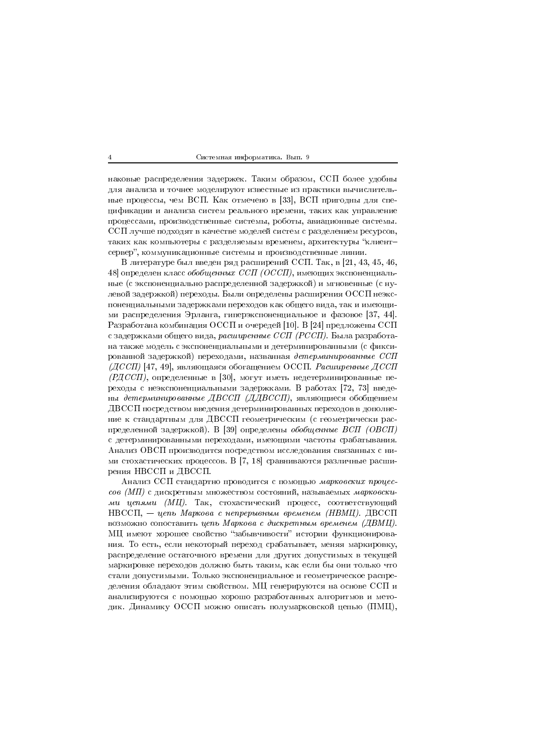наковые распределения задержек. Таким образом, ССП более удобны для анализа и точнее моделируют известные из практики вычислительные процессы, чем ВСП. Как отмечено в [33], ВСП пригодны для спецификации и анализа систем реального времени, таких как управление процессами, производственные системы, роботы, авиационные системы. ССП лучше подходят в качестве моделей систем с разделением ресурсов, таких как компьютеры с разделяемым временем, архитектуры "клиентсервер", коммуникационные системы и производственные линии.

В литературе был введен ряд расширений ССП. Так, в [21, 43, 45, 46, 48 определен класс обобщенных ССП (ОССП), имеющих экспоненциальные (с экспоненциально распределенной задержкой) и мгновенные (с нулевой задержкой) переходы. Были определены расширения ОССП неэкспоненциальными задержками переходов как общего вида, так и имеющими распределения Эрланга, гиперэкспоненциальное и фазовое [37, 44]. Разработана комбинация ОССП и очередей [10]. В [24] предложены ССП с задержками общего вида, расширенные ССП (РССП). Была разработана также модель с экспоненциальными и детерминированными (с фиксированной задержкой) переходами, названная детерминированные ССП  $(ACCH)$  [47, 49], являющаяся обогащением ОССП. Расширенные ДССП  $($ РДССП), определенные в [30], могут иметь недетерминированные переходы с неэкспоненциальными задержками. В работах [72, 73] введены детерминированные ДВССП (ДДВССП), являющиеся обобщением ДВССП посредством введения детерминированных переходов в дополнение к стандартным для ДВССП геометрическим (с геометрически распределенной задержкой). В [39] определены обобщенные ВСП (ОВСП) с детерминированными переходами, имеющими частоты срабатывания. Анализ ОВСП производится посредством исследования связанных с ними стохастических процессов. В [7, 18] сравниваются различные расширения НВССП и ДВССП.

Анализ ССП стандартно проводится с помощью марковских процессов (МП) с дискретным множеством состояний, называемых марковскими цепями (МЦ). Так, стохастический процесс, соответствующий  $HBCCH$ , — цепь Маркова с непрерывным временем (НВМЦ). ДВССП возможно сопоставить цепь Маркова с дискретным временем (ДВМЦ). МЦ имеют хорошее свойство "забывчивости" истории функционирования. То есть, если некоторый переход срабатывает, меняя маркировку, распределение остаточного времени для других допустимых в текущей маркировке переходов должно быть таким, как если бы они только что стали допустимыми. Только экспоненциальное и геометрическое распределения обладают этим свойством. МЦ генерируются на основе ССП и анализируются с помощью хорошо разработанных алгоритмов и методик. Динамику ОССП можно описать полумарковской цепью (ПМЦ),

 $\overline{A}$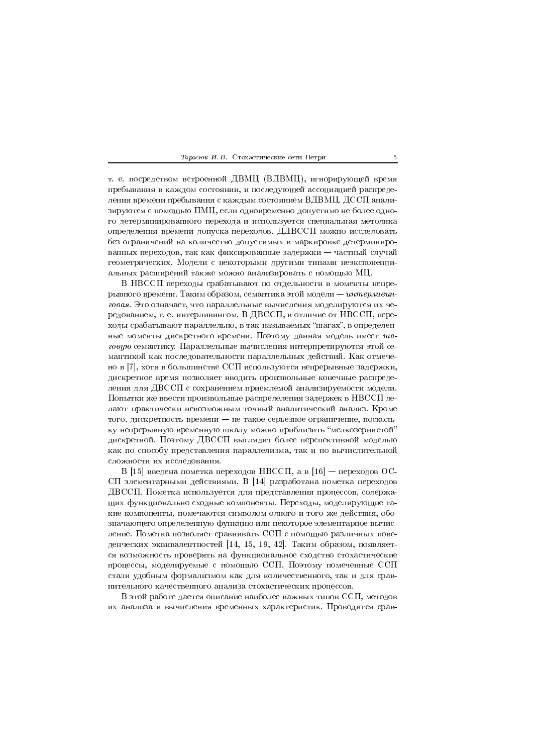|  |  | <i>Гарасюк И.В.</i> Стохастические сети Петри |  |  |
|--|--|-----------------------------------------------|--|--|
|--|--|-----------------------------------------------|--|--|

т. е. посредством встроенной ДВМЦ (ВДВМЦ), игнорирующей время пребывания в каждом состоянии, и последующей ассоциацией распределения времени пребывания с каждым состоянием ВДВМЦ. ДССП анализируются с помощью ПМЦ, если одновременно допустимо не более одного детерминированного перехода и используется специальная методика определения времени допуска переходов. ДДВССП можно исследовать без ограничений на количество допустимых в маркировке детерминированных переходов, так как фиксированные задержки — частный случай геометрических. Модели с некоторыми другими типами неэкспоненциальных расширений также можно анализировать с помощью МЦ.

В НВССП переходы срабатывают по отдельности в моменты непрерывного времени. Таким образом, семантика этой модели - интерливинговая. Это означает, что параллельные вычисления моделируются их чередованием, т. е. интерливингом. В ДВССП, в отличие от НВССП, переходы срабатывают параллельно, в так называемых "шагах", в определенные моменты дискретного времени. Поэтому данная модель имеет шаговую семантику. Параллельные вычисления интерпретируются этой семантикой как последовательности параллельных действий. Как отмечено в [7], хотя в большинстве ССП используются непрерывные задержки, дискретное время позволяет вводить произвольные конечные распределения для ДВССП с сохранением приемлемой анализируемости модели. Попытки же ввести произвольные распределения задержек в НВССП делают практически невозможным точный аналитический анализ. Кроме того, дискретность времени - не такое серьезное ограничение, поскольку непрерывную временную шкалу можно приблизить "мелкозернистой" дискретной. Поэтому ДВССП выглядит более перспективной моделью как по способу представления параллелизма, так и по вычислительной сложности их исследования.

В [15] введена пометка переходов НВССП, а в [16] - переходов ОС-СП элементарными действиями. В [14] разработана пометка переходов ДВССП. Пометка используется для представления процессов, содержащих функционально сходные компоненты. Переходы, моделирующие такие компоненты, помечаются символом одного и того же действия, обозначающего определенную функцию или некоторое элементарное вычисление. Пометка позволяет сравнивать ССП с помощью различных поведенческих эквивалентностей [14, 15, 19, 42]. Таким образом, появляется возможность проверять на функциональное сходство стохастические процессы, моделируемые с помощью ССП. Поэтому помеченные ССП стали удобным формализмом как для количественного, так и для сравнительного качественного анализа стохастических процессов.

В этой работе дается описание наиболее важных типов ССП, методов их анализа и вычисления временных характеристик. Проводится срав-

 $\overline{5}$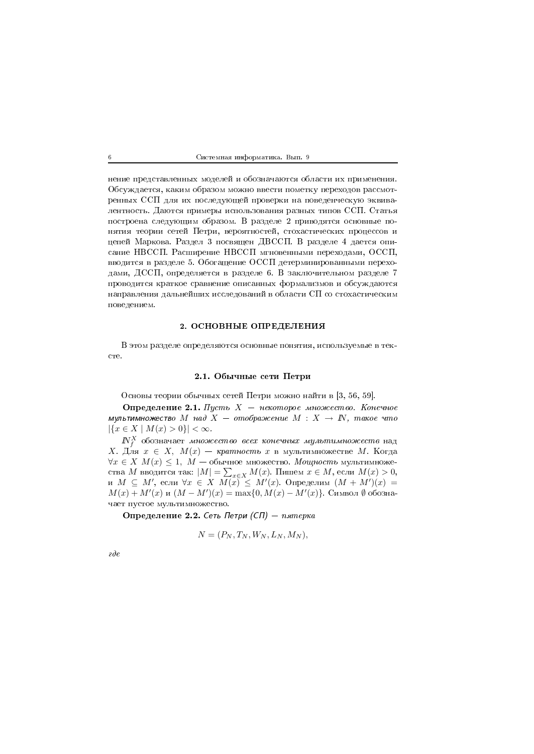нение представленных моделей и обозначаются области их применения. Обсуждается, каким образом можно ввести пометку переходов рассмотренных ССП для их последующей проверки на поведенческую эквивалентность. Даются примеры использования разных типов ССП. Статья построена следующим образом. В разделе 2 приводятся основные понятия теории сетей Петри, вероятностей, стохастических процессов и цепей Маркова. Раздел 3 посвящен ДВССП. В разделе 4 дается описание НВССП. Расширение НВССП мгновенными переходами, ОССП, вводится в разделе 5. Обогащение ОССП детерминированными переходами, ДССП, определяется в разделе 6. В заключительном разделе 7 проводится краткое сравнение описанных формализмов и обсуждаются направления дальнейших исследований в области СП со стохастическим поведением.

### 2. ОСНОВНЫЕ ОПРЕДЕЛЕНИЯ

В этом разделе определяются основные понятия, используемые в тек- $_{\rm cre.}$ 

## 2.1. Обычные сети Петри

Основы теории обычных сетей Петри можно найти в [3, 56, 59].

Определение 2.1. Пусть  $X$  - некоторое множество. Конечное мультимножество М над  $X = omofspace$ ние  $M : X \rightarrow \mathbb{N}$ , такое что  $|\{x \in X \mid M(x) > 0\}| < \infty.$ 

 $N_f^X$  обозначает множество всех конечных мультимножеств над X. Для  $x \in X$ ,  $M(x)$  — кратность  $x$  в мультимножестве  $M$ . Когда  $\forall x \in X$   $M(x) \leq 1$ ,  $M$  — обычное множество. Мощность мультимножества *М* вводится так:  $|M| = \sum_{x \in X} M(x)$ . Пишем  $x \in M$ , если  $M(x) > 0$ , и  $M \subseteq M'$ , если  $\forall x \in X$   $M(x) \leq M'(x)$ . Определим  $(M + M')(x) =$  $M(x) + M'(x)$  и  $(M - M')(x) = \max\{0, M(x) - M'(x)\}\.$  Символ  $\emptyset$  обозначает пустое мультимножество.

Определение 2.2. Сеть Петри (СП) - пятерка

$$
N = (P_N, T_N, W_N, L_N, M_N),
$$

 $\partial e$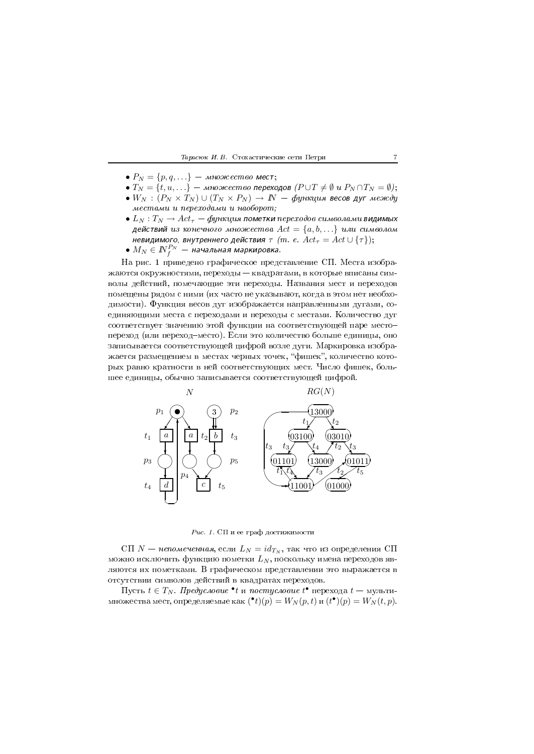#### -- -- - - 2

- $P_N = \{p, q, \ldots\}$  множество мест;
- $\bullet$   $T_N = \{t, u, \ldots\}$  множество переходов ( $P \cup T \neq \emptyset$  и  $P_N \cap T_N = \emptyset$ );
- $\bullet \; W_N \, : \, (P_N \times T_N) \cup (T_N \times P_N) \, \rightarrow \, N \, \,$  функция весов дуг между местами и переходами и наоборот;
- $\bullet$   $L_N$  :  $T_N \rightarrow Act_\tau \phi$ ункция пометки переходов символами видимых действий из конечного множества  $Act=\{a,b,\ldots\}$  или символом невидимого, внутреннего действия  $\tau$   $\,(m.\, \,e.\,\, Act_{\tau} = Act \cup \{\tau\});\,$
- $M_N \in I\!\!N_f^{P_N}$  начальная маркировка.

H \$ 2 - - %&\$ A \* жаются окружностями, переходы — квадратами, в которые вписаны символы деиствии, помечающие эти переходы. Названия мест и переходов помещены рядом с ними (их часто не указывают, когда в этом нет неоохо- $\mathbf{f}$  . The contract of the contract of the contract of the contract of the contract of the contract of the contract of the contract of the contract of the contract of the contract of the contract of the contract of th единяющими места с переходами и переходы с местами. Количество дуг соответствует значению этои функции на соответствующеи паре место– - 5 -E 6\$ M - \*3 записывается соответствующеи цифрои возле дуги. Маркировка изоора- $\mathbb{R}^3$  , and the set of the set of the set of the set of the set of the set of the set of the set of the set of the set of the set of the set of the set of the set of the set of the set of the set of the set of the se рых равно кратности в неи соответствующих мест. Число фишек, оольшее единицы, ооычно записывается соответствующеи цифрои.



 -- !

 $\text{C}\Pi$  N — непомеченная, если  $L_N = id_{T_N}$ , так что из определения СП можно исключить функцию пометки  $L_N,$  поскольку имена переходов являются их пометками. В графическом представлении это выражается в - Andrea Constitution and the constitution of the constitution of the constitution of the constitution of the c

Пусть  $t\in T_N$ . Предусловие •t и постусловие  $t^\bullet$  перехода  $t-$  мультимножества мест, определяемые как  $(\bullet t)(p) = W_N(p, t)$  и  $(t^{\bullet})(p) = W_N(t, p)$ .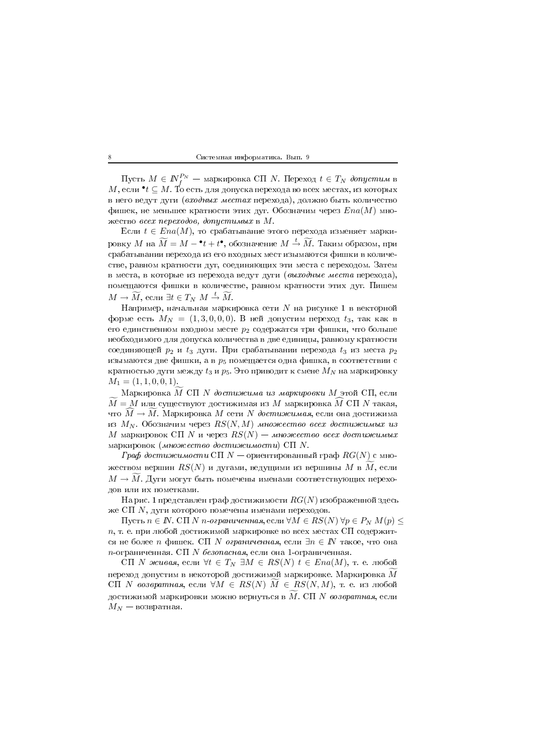Пусть  $M \in \mathbb{N}_{f}^{P_N}$  — маркировка СП N. Переход  $t \in T_N$  допустим в  $M$ , если  $\mathbf{C}^*$   $\subseteq$   $M$ . То есть для допуска перехода во всех местах, из которых в него ведут дуги (входных местах перехода), должно быть количество фишек, не меньшее кратности этих дуг. Обозначим через  $Ena(M)$  множество всех переходов, допустимых в  $M$ .

Если  $t \in Ena(M)$ , то срабатывание этого перехода изменяет маркировку М на  $\widetilde{M} = M - t + t^{\bullet}$ , обозначение  $M \stackrel{t}{\rightarrow} \widetilde{M}$ . Таким образом, при срабатывании перехода из его входных мест изымаются фишки в количестве, равном кратности дуг, соединяющих эти места с переходом. Затем в места, в которые из перехода ведут дуги (выходные места перехода), помещаются фишки в количестве, равном кратности этих дуг. Пишем  $M \to \widetilde{M}$ , если  $\exists t \in T_N M \stackrel{t}{\to} \widetilde{M}$ .

Например, начальная маркировка сети  $N$  на рисунке 1 в векторной форме есть  $M_N = (1,3,0,0,0)$ . В ней допустим переход  $t_3$ , так как в его единственном входном месте  $p_2$  содержатся три фишки, что больше необходимого для допуска количества в две единицы, равному кратности соединяющей  $p_2$  и  $t_3$  дуги. При срабатывании перехода  $t_3$  из места  $p_2$ изымаются две фишки, а в  $p_5$  помещается одна фишка, в соответствии с кратностью дуги между  $t_3$  и  $p_5$ . Это приводит к смене  $M_N$  на маркировку  $M_1 = (1, 1, 0, 0, 1).$ 

Маркировка М СП N достижима из маркировки М этой СП, если  $\widetilde{M}=M$ или существуют достижимая из $M$ маркировка $\dot{M}$ СП $N$ такая, что  $M \to M$ . Маркировка M сети N достижимая, если она достижима из  $M_N$ . Обозначим через  $RS(N, M)$  множество всех достижимых из M маркировок СП N и через  $RS(N)$  — множество всех достижимых маркировок (множество достижимости) СП  $N$ .

Граф достижимости СП  $N-$  ориентированный граф  $RG(N)$  с множеством вершин  $RS(N)$  и дугами, ведущими из вершины  $M$  в  $M$ , если  $M \to \tilde{M}$ . Дуги могут быть помечены именами соответствующих переходов или их пометками.

На рис. 1 представлен граф достижимости  $RG(N)$  изображенной здесь же СП  $N$ , дуги которого помечены именами переходов.

Пусть  $n \in \mathbb{N}$ . СП N n-ограниченная, если ∀ $M \in RS(N)$   $\forall p \in P_N M(p)$  ≤  $n$ , т. е. при любой достижимой маркировке во всех местах СП содержится не более *n* фишек. СП *N ограниченная*, если  $\exists n \in \mathbb{N}$  такое, что она п-ограниченная. СП N безопасная, если она 1-ограниченная.

CП N живая, если  $\forall t \in T_N \ \exists M \in RS(N) \ t \in Ena(M)$ , т. е. любой переход допустим в некоторой достижимой маркировке. Маркировка  $M$  $\operatorname{C}\Pi$  N возвратная, если  $\forall M \in RS(N)$   $M \in RS(N,M)$ , т. е. из любой достижимой маркировки можно вернуться в  $\overline{M}$ . СП  $N$  возвратная, если  $M_N$  — возвратная.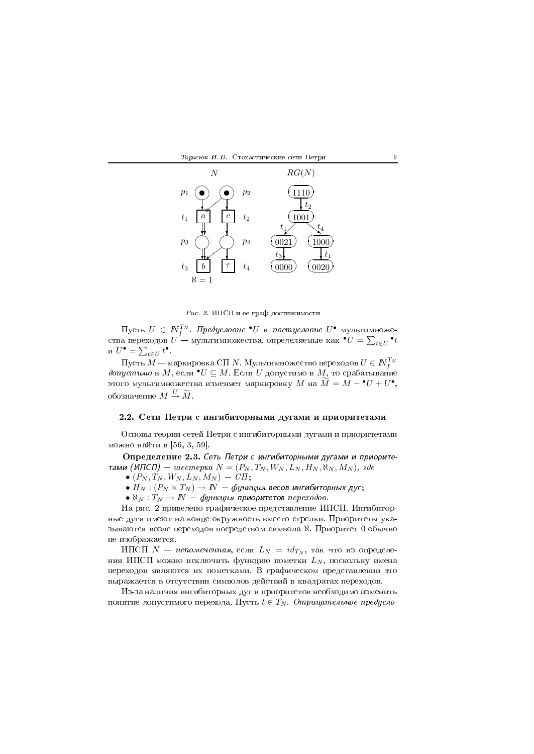

Рис. 2. ИПСП и ее граф достижимости

Пусть  $U \in \mathbb{N}_f^{T_N}$ . Предусловие  $\bullet U$  и постусловие  $U^{\bullet}$  мультимножества переходов  $U$  — мультимножества, определяемые как  $\bullet U = \sum_{t \in U} \bullet_t$ и  $U^{\bullet} = \sum_{t \in U} t^{\bullet}$ .

Пусть  $M$  — маркировка СП N. Мультимножество переходов  $U \in \mathbb{N}_{\tau}^{T_N}$ допустимо в  $M$ , если  $\bullet U \subseteq M$ . Если  $U$  допустимо в  $M$ , то срабатывание этого мультимножества изменяет маркировку  $M$  на  $\widetilde{M} = M - {}^{\bullet}U + U^{\bullet},$ обозначение  $M \stackrel{U}{\rightarrow} \widetilde{M}$ .

# 2.2. Сети Петри с ингибиторными дугами и приоритетами

Основы теории сетей Петри с ингибиторными дугами и приоритетами можно найти в [56, 3, 59].

Определение 2.3. Сеть Петри с ингибиторными дугами и приоритетами (ИПСП) — шестерка  $N = (P_N, T_N, W_N, L_N, H_N, \aleph_N, M_N)$ , где

- 
- $(P_N, T_N, W_N, L_N, M_N)$  − СП;<br>•  $H_N$ :  $(P_N \times T_N) \to N$  − функция весов ингибиторных дуг;
- $\aleph_N: T_N \to I\!\!N \phi$ ункция приоритетов переходов.

На рис. 2 приведено графическое представление ИПСП. Ингибиторные дуги имеют на конце окружность вместо стрелки. Приоритеты указываются возле переходов посредством символа К. Приоритет 0 обычно не изображается.

ИПСП  $N$  – непомеченная, если  $L_N = id_{T_N}$ , так что из определения ИПСП можно исключить функцию пометки  $L_N$ , поскольку имена переходов являются их пометками. В графическом представлении это выражается в отсутствии символов действий в квадратах переходов.

Из-за наличия ингибиторных дуг и приоритетов необходимо изменить понятие допустимого перехода. Пусть  $t \in T_N$ . Отрицательное предусло-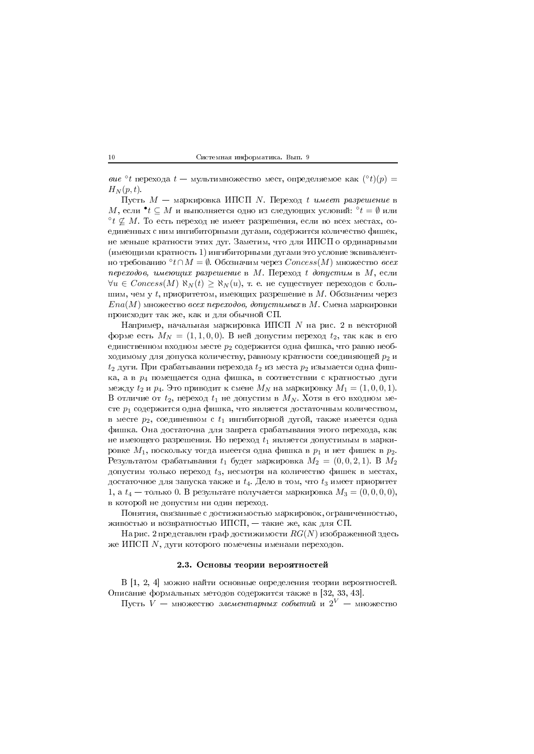вие °t перехода  $t$  — мультимножество мест, определяемое как  $({}^{\circ}t)(p)$  =  $H_N(p,t)$ .

Пусть  $M$  — маркировка ИПСП N. Переход t имеет разрешение в  $M$ , если  $\bullet t \subseteq M$  и выполняется одно из следующих условий:  $\circ t = \emptyset$  или  $\partial t \not\subset M$ . То есть переход не имеет разрешения, если во всех местах, соединенных с ним ингибиторными дугами, содержится количество фишек, не меньше кратности этих дуг. Заметим, что для ИПСП о ординарными (имеющими кратность 1) ингибиторными дугами это условие эквивалентно требованию  $\partial t \cap M = \emptyset$ . Обозначим через  $Concess(M)$  множество всех переходов, имеющих разрешение в М. Переход  $t$  допустим в М, если  $\forall u \in Concess(M) \aleph_N(t) \geq \aleph_N(u)$ , т. е. не существует переходов с большим, чем у  $t$ , приоритетом, имеющих разрешение в  $M$ . Обозначим через  $Ena(M)$  множество *всех переходов, допустимых* в М. Смена маркировки происходит так же, как и для обычной СП.

Например, начальная маркировка ИПСП  $N$  на рис. 2 в векторной форме есть  $M_N = (1, 1, 0, 0)$ . В ней допустим переход  $t_2$ , так как в его единственном входном месте  $p_2$  содержится одна фишка, что равно необходимому для допуска количеству, равному кратности соединяющей  $p_2$  и  $t_2$  дуги. При срабатывании перехода  $t_2$  из места  $p_2$  изымается одна фишка, а в  $p_4$  помещается одна фишка, в соответствии с кратностью дуги между  $t_2$  и  $p_4$ . Это приводит к смене  $M_N$  на маркировку  $M_1 = (1, 0, 0, 1)$ . В отличие от  $t_2$ , переход  $t_1$  не допустим в  $M_N$ . Хотя в его входном месте  $p_1$  содержится одна фишка, что является достаточным количеством, в месте  $p_2$ , соединенном с  $t_1$  ингибиторной дугой, также имеется одна фишка. Она достаточна для запрета срабатывания этого перехода, как не имеющего разрешения. Но переход  $t_1$  является допустимым в маркировке  $M_1$ , поскольку тогда имеется одна фишка в  $p_1$  и нет фишек в  $p_2$ . Результатом срабатывания  $t_1$  будет маркировка  $M_2 = (0,0,2,1)$ . В  $M_2$ допустим только переход  $t_3$ , несмотря на количество фишек в местах, достаточное для запуска также и  $t_4$ . Дело в том, что  $t_3$  имеет приоритет 1, а  $t_4$  — только 0. В результате получается маркировка  $M_3 = (0,0,0,0)$ , в которой не допустим ни один переход.

Понятия, связанные с достижимостью маркировок, ограниченностью, живостью и возвратностью ИПСП, - такие же, как для СП.

На рис. 2 представлен граф достижимости  $RG(N)$  изображенной здесь же ИПСП  $N$ , дуги которого помечены именами переходов.

## 2.3. Основы теории вероятностей

В [1, 2, 4] можно найти основные определения теории вероятностей. Описание формальных методов содержится также в [32, 33, 43].

Пусть  $V$  — множество элементарных событий и  $2^V$  — множество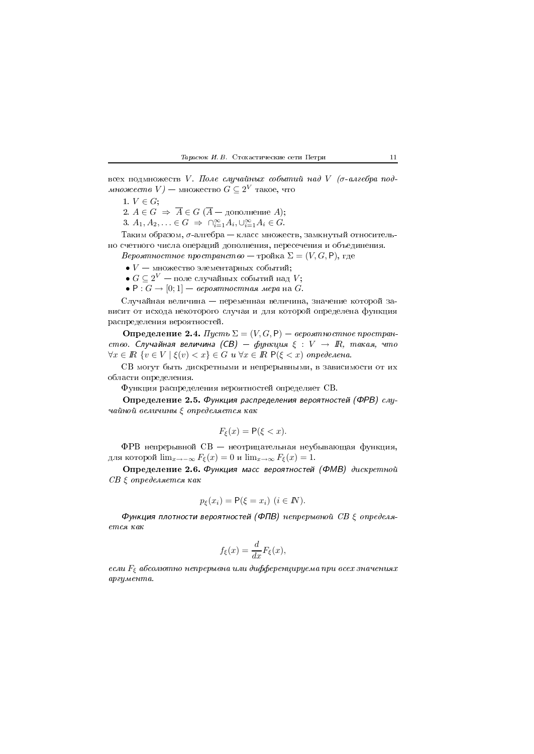всех подмножеств V. Поле случайных событий над V ( $\sigma$ -алгебра под*множество*  $V$ ) — множество  $G \subseteq 2^V$  такое, что

1.  $V \in G$ ;

2.  $A \in G \Rightarrow \overline{A} \in G (\overline{A} - \text{дополнение } A);$ 

3.  $A_1, A_2, ... \in G \implies \bigcap_{i=1}^{\infty} A_i, \bigcup_{i=1}^{\infty} A_i \in G.$ 

Таким образом,  $\sigma$ -алгебра – класс множеств, замкнутый относительно счетного числа операций дополнения, пересечения и объединения.

*Вероятностное пространство* — тройка  $\Sigma = (V, G, \mathsf{P})$ , где

- $V$  множество элементарных событий;
- $\bullet$   $G \subseteq 2^V$  поле случайных событий над  $V;$
- $\bullet$  P :  $G \rightarrow [0;1]$  вероятностная мера на  $G$ .

Случайная величина — переменная величина, значение которой зависит от исхода некоторого случая и для которой определена функция распределения вероятностей.

**Определение 2.4.** Пусть  $\Sigma = (V, G, P) -$  вероятностное пространство. Случайная величина (СВ) — функция  $\xi: V \rightarrow \mathbb{R}$ , такая, что  $\forall x \in \mathbb{R} \ \{v \in V \mid \xi(v) < x\} \in G \ u \ \forall x \in \mathbb{R} \ P(\xi < x) \ \text{onpedenen.}$ 

СВ могут быть дискретными и непрерывными, в зависимости от их области определения.

Функция распределения вероятностей определяет СВ.

Определение 2.5. Функция распределения вероятностей (ФРВ) случайной величины  $\xi$  определяется как

$$
F_{\xi}(x) = \mathsf{P}(\xi < x).
$$

ФРВ непрерывной CB - неотрицательная неубывающая функция, для которой  $\lim_{x\to -\infty} F_{\xi}(x) = 0$  и  $\lim_{x\to \infty} F_{\xi}(x) = 1$ .

Определение 2.6. Функция масс вероятностей (ФМВ) дискретной  $CB \xi$  определяется как

$$
p_{\xi}(x_i) = \mathsf{P}(\xi = x_i) \ (i \in I\!N).
$$

Функция плотности вероятностей (ФПВ) непрерывной  $CB$   $\xi$  определяется как

$$
f_{\xi}(x) = \frac{d}{dx} F_{\xi}(x),
$$

если  $F_{\xi}$  абсолютно непрерывна или дифференцируема при всех значениях аргумента.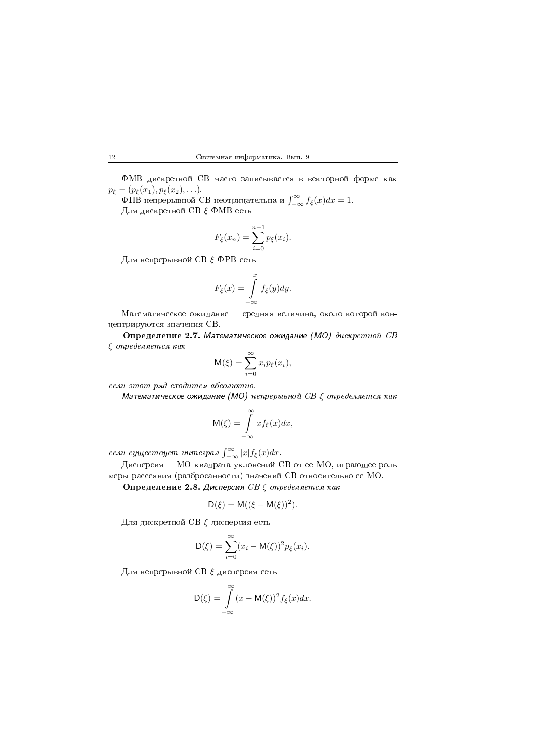LA/ %/  $p_{\xi} = (p_{\xi}(x_1), p_{\xi}(x_2), \ldots).$ 

 $\Phi$ ПВ непрерывной СВ неотрицательна и  $\int_{-\infty}^{\infty} f_{\xi}(x) dx = 1$ . Для дискретной СВ  $\xi$  ФМВ есть

$$
F_{\xi}(x_n) = \sum_{i=0}^{n-1} p_{\xi}(x_i).
$$

Для непрерывной СВ  $\xi$  ФРВ есть

$$
F_{\xi}(x) = \int_{-\infty}^{x} f_{\xi}(y) dy.
$$

A ( центрируются значения СВ.

\$#%&" 3 \$ \$% 4  $\xi$  onpedensem cs  $\kappa$  ak

$$
M(\xi) = \sum_{i=0}^{\infty} x_i p_{\xi}(x_i),
$$

 $ecau$  этот ряд сходится абсолютно.

Математическое ожидание (МО) непрерывной СВ  $\xi$  определяется как

$$
M(\xi) = \int_{-\infty}^{\infty} x f_{\xi}(x) dx,
$$

если существует интеграл  $\int_{-\infty}^{\infty}|x|f_{\xi}(x)dx$ .

дисперсия — МО квадрата уклонении СВ от ее МО, играющее роль 5\* 6 %/ A,\$

Определение 2.8. Дисперсия СВ  $\xi$  определяется как

$$
\mathsf{D}(\xi) = \mathsf{M}((\xi - \mathsf{M}(\xi))^2).
$$

Для дискретной СВ  $\xi$  дисперсия есть

$$
\mathsf{D}(\xi) = \sum_{i=0}^{\infty} (x_i - \mathsf{M}(\xi))^2 p_{\xi}(x_i).
$$

Для непрерывной СВ  $\xi$  дисперсия есть

$$
D(\xi) = \int_{-\infty}^{\infty} (x - M(\xi))^2 f_{\xi}(x) dx.
$$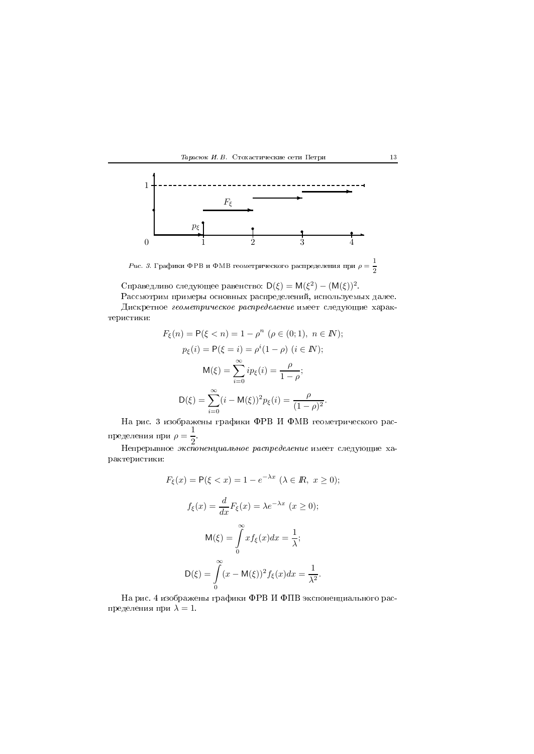



 $Puc$ . 3. Графики ФРВ и ФМВ геометрического распределения при  $\rho=\frac{1}{2}$ 

Справедливо следующее равенство:  $\mathsf{D}(\xi) = \mathsf{M}(\xi^2) - (\mathsf{M}(\xi))^2$ .

the contract of the contract of the contract of the contract of the contract of the contract of the contract of the contract of the contract of the contract of the contract of the contract of the contract of the contract o  $\mu$ искретное геометрическое распределение имеет следующие харак-7

$$
F_{\xi}(n) = P(\xi < n) = 1 - \rho^n \ (\rho \in (0; 1), \ n \in \mathbb{N});
$$
\n
$$
p_{\xi}(i) = P(\xi = i) = \rho^i (1 - \rho) \ (i \in \mathbb{N});
$$
\n
$$
\mathsf{M}(\xi) = \sum_{i=0}^{\infty} i p_{\xi}(i) = \frac{\rho}{1 - \rho};
$$
\n
$$
\mathsf{D}(\xi) = \sum_{i=0}^{\infty} (i - \mathsf{M}(\xi))^2 p_{\xi}(i) = \frac{\rho}{(1 - \rho)^2}.
$$

H \$ \*( LF/ ; LA/ пределения при  $\rho = \frac{1}{2}$ .

Непрерывное *экспоненциальное распределение* имеет следующие ха-7

$$
F_{\xi}(x) = P(\xi < x) = 1 - e^{-\lambda x} \quad (\lambda \in \mathbb{R}, \ x \ge 0);
$$
\n
$$
f_{\xi}(x) = \frac{d}{dx} F_{\xi}(x) = \lambda e^{-\lambda x} \quad (x \ge 0);
$$
\n
$$
\mathsf{M}(\xi) = \int_{0}^{\infty} x f_{\xi}(x) dx = \frac{1}{\lambda};
$$
\n
$$
\mathsf{D}(\xi) = \int_{0}^{\infty} (x - \mathsf{M}(\xi))^2 f_{\xi}(x) dx = \frac{1}{\lambda^2}.
$$

H \$ 4 \*( LF/ ; L&/ - пределения при  $\lambda=1.$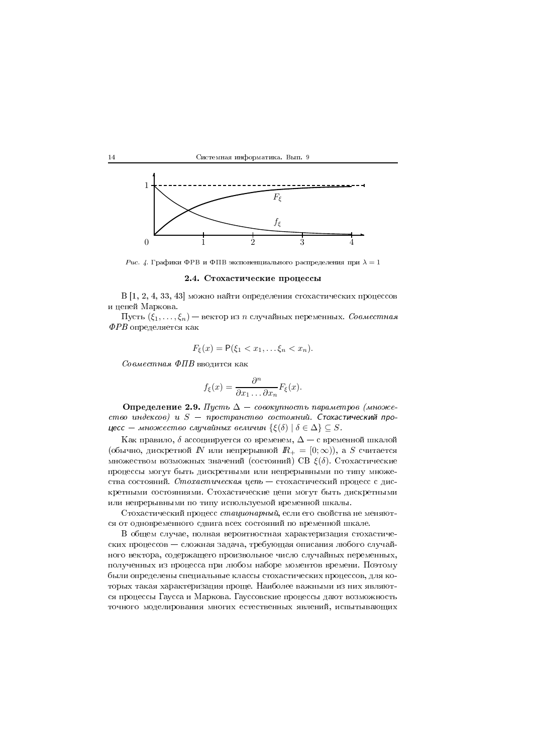



Рис. 4. Графики ФРВ и ФПВ экспоненциального распределения при  $\lambda = 1$ 

### 2.4. Стохастические процессы

 $B[1, 2, 4, 33, 43]$  можно найти определения стохастических процессов и цепей Маркова.

Пусть  $(\xi_1,\ldots,\xi_n)$  — вектор из *n* случайных переменных. *Совместная*  $\Phi PB$  определяется как

$$
F_{\xi}(x) = \mathsf{P}(\xi_1 < x_1, \ldots \xi_n < x_n).
$$

Совместная ФПВ вводится как

14

$$
f_{\xi}(x) = \frac{\partial^n}{\partial x_1 \dots \partial x_n} F_{\xi}(x).
$$

Определение 2.9. Пусть  $\Delta$  – совокупность параметров (множество индексов) и  $S$  - пространство состояний. Стохастический процесс — множество случайных величин  $\{\xi(\delta) \mid \delta \in \Delta\} \subseteq S$ .

Как правило,  $\delta$  ассоциируется со временем,  $\Delta - c$  временной шкалой (обычно, дискретной  $N$  или непрерывной  $R_+ = [0; \infty)$ ), а S считается множеством возможных значений (состояний) СВ  $\xi(\delta)$ . Стохастические процессы могут быть дискретными или непрерывными по типу множества состояний. Стохастическая цепь - стохастический процесс с дискретными состояниями. Стохастические цепи могут быть дискретными или непрерывными по типу используемой временной шкалы.

Стохастический процесс стационарный, если его свойства не меняются от одновременного сдвига всех состояний по временной шкале.

В общем случае, полная вероятностная характеризация стохастических процессов – сложная задача, требующая описания любого случайного вектора, содержащего произвольное число случайных переменных, полученных из процесса при любом наборе моментов времени. Поэтому были определены специальные классы стохастических процессов, для которых такая характеризация проще. Наиболее важными из них являются процессы Гаусса и Маркова. Гауссовские процессы дают возможность точного моделирования многих естественных явлений, испытывающих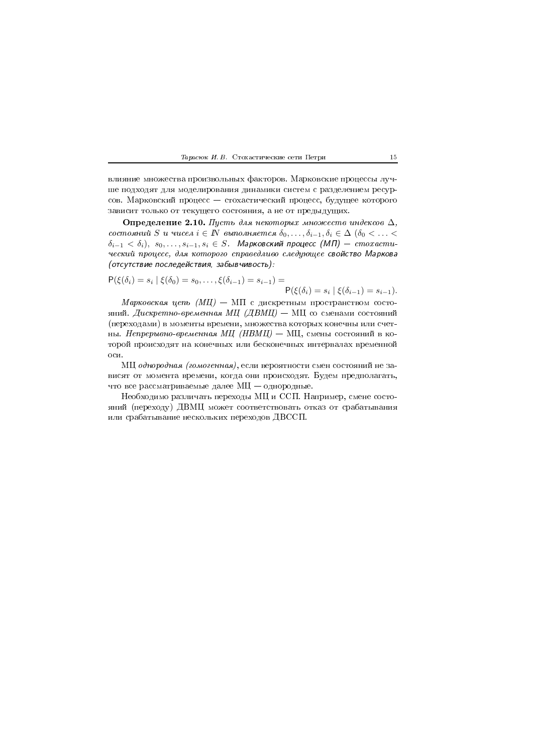

влияние множества произвольных факторов. Марковские процессы лучше подходят для моделирования динамики систем с разделением ресурсов. Марковский процесс - стохастический процесс, будущее которого зависит только от текущего состояния, а не от предыдущих.

Определение 2.10. Пусть для некоторых множеств индексов  $\Delta$ , состояний S и чисел  $i \in \mathbb{N}$  выполняется  $\delta_0, \ldots, \delta_{i-1}, \delta_i \in \Delta$  ( $\delta_0 < \ldots <$  $\delta_{i-1} < \delta_i$ ),  $s_0, \ldots, s_{i-1}, s_i \in S$ . Марковский процесс (МП) — стохастический процесс, для которого справедливо следующее свойство Маркова (отсутствие последействия, забывчивость):

$$
\mathsf{P}(\xi(\delta_i) = s_i \mid \xi(\delta_0) = s_0, \dots, \xi(\delta_{i-1}) = s_{i-1}) = \mathsf{P}(\xi(\delta_i) = s_i \mid \xi(\delta_{i-1}) = s_{i-1})
$$

Марковская цепь (МЦ) - МП с дискретным пространством состояний. Дискретно-временная МЦ (ДВМЦ) – МЦ со сменами состояний (переходами) в моменты времени, множества которых конечны или счетны. Непрерывно-временная МЦ (НВМЦ) - МЦ, смены состояний в которой происходят на конечных или бесконечных интервалах временной оси.

МЦ однородная (гомогенная), если вероятности смен состояний не зависят от момента времени, когда они происходят. Будем предполагать, что все рассматриваемые далее МЦ - однородные.

Необходимо различать переходы МЦ и ССП. Например, смене состояний (переходу) ДВМЦ может соответствовать отказ от срабатывания или срабатывание нескольких переходов ДВССП.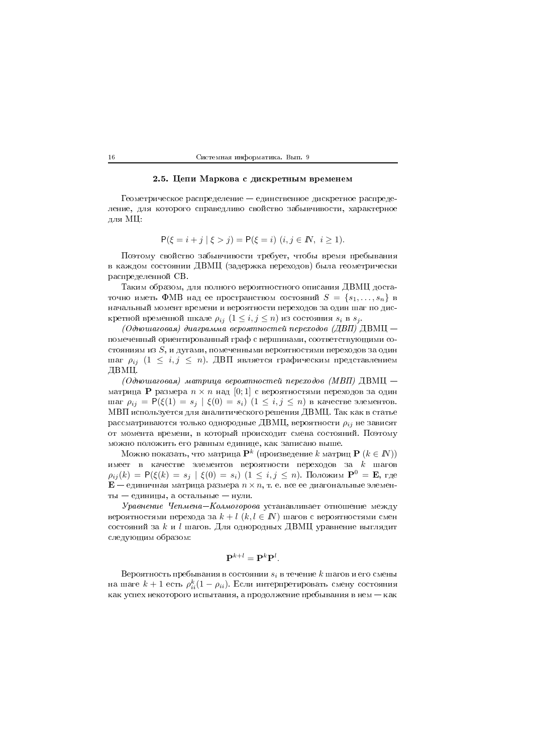# 2.5. Цепи Маркова с дискретным временем

Геометрическое распределение — единственное дискретное распределение, для которого справедливо свойство забывчивости, характерное для МЦ:

$$
P(\xi = i + j \mid \xi > j) = P(\xi = i) \ (i, j \in \mathbb{N}, \ i \ge 1).
$$

Поэтому свойство забывчивости требует, чтобы время пребывания в каждом состоянии ДВМЦ (задержка переходов) была геометрически распределенной СВ.

Таким образом, для полного вероятностного описания ДВМЦ достаточно иметь ФМВ над ее пространством состояний  $S = \{s_1, \ldots, s_n\}$  в начальный момент времени и вероятности переходов за один шаг по дискретной временной шкале  $\rho_{ij}$   $(1 \leq i, j \leq n)$  из состояния  $s_i$  в  $s_j$ .

(Одношаговая) диаграмма вероятностей переходов (ДВП) ДВМЦ помеченный ориентированный граф с вершинами, соответствующими состояниям из  $S$ , и дугами, помеченными вероятностями переходов за один шаг  $\rho_{ij}$  (1  $\leq i,j \leq n$ ). ДВП является графическим представлением ДВМЦ.

(Одношаговая) матрица вероятностей переходов (МВП) ДВМЦ матрица P размера  $n \times n$  над [0;1] с вероятностями переходов за один шаг  $\rho_{ij} = P(\xi(1) = s_j | \xi(0) = s_i)$   $(1 \le i, j \le n)$  в качестве элементов. МВП используется для аналитического решения ДВМЦ. Так как в статье рассматриваются только однородные ДВМЦ, вероятности  $\rho_{ij}$  не зависят от момента времени, в который происходит смена состояний. Поэтому можно положить его равным единице, как записано выше.

Можно показать, что матрица  $\mathbf{P}^k$  (произведение k матриц  $\mathbf{P} (k \in I\!\!N)$ ) имеет в качестве элементов вероятности переходов за  $k$  шагов  $\rho_{ij}(k) = P(\xi(k) = s_j | \xi(0) = s_i)$   $(1 \le i, j \le n)$ . Положим  $\mathbf{P}^0 = \mathbf{E}$ , где  $\mathbf{E}$  – единичная матрица размера  $n \times n$ , т. е. все ее диагональные элементы - единицы, а остальные - нули.

Уравнение Чепмена-Колмогорова устанавливает отношение между вероятностями перехода за  $k + l$   $(k, l \in I\!\!N)$  шагов с вероятностями смен состояний за  $k$  и  $l$  шагов. Для однородных ДВМЦ уравнение выглядит следующим образом:

$$
\mathbf{P}^{k+l} = \mathbf{P}^{k} \mathbf{P}^{l}.
$$

Вероятность пребывания в состоянии  $s_i$  в течение  $k$  шагов и его смены на шаге  $k+1$  есть  $\rho_{ii}^k(1-\rho_{ii})$ . Если интерпретировать смену состояния как успех некоторого испытания, а продолжение пребывания в нем - как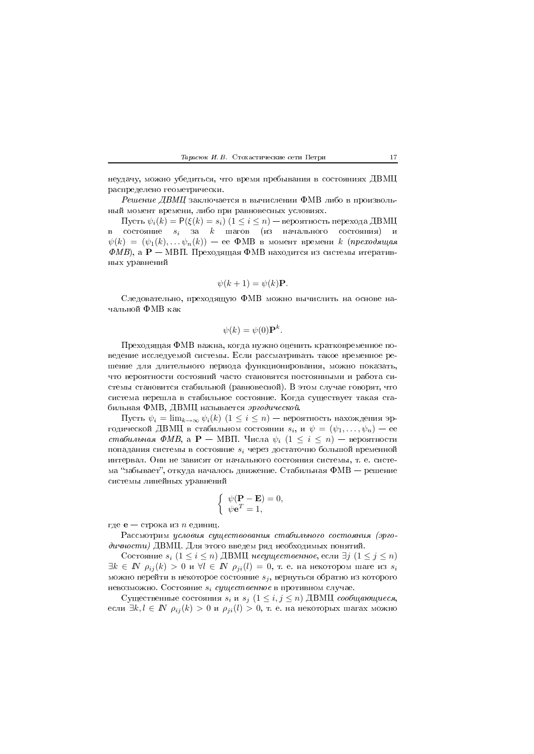#### Тарасюк И. В. Стохастические сети Петри

неудачу, можно убедиться, что время пребывания в состояниях ДВМЦ распределено геометрически.

Решение ДВМЦ заключается в вычислении ФМВ либо в произвольный момент времени, либо при равновесных условиях.

Пусть  $\psi_i(k) = \mathsf{P}(\xi(k) = s_i)$   $(1 \leq i \leq n)$  — вероятность перехода ДВМЦ  $\, {\bf B}$ состояние  $s_i$  за  $k$  шагов (из начального состояния) и  $\psi(k) = (\psi_1(k), \ldots \psi_n(k))$  — ее ФМВ в момент времени к (преходящая  $(\Phi M B)$ , а P — МВП. Преходящая ФМВ находится из системы итеративных уравнений

$$
\psi(k+1) = \psi(k)\mathbf{P}.
$$

Следовательно, преходящую ФМВ можно вычислить на основе начальной ФМВ как

$$
\psi(k) = \psi(0) \mathbf{P}^k.
$$

Преходящая ФМВ важна, когда нужно оценить кратковременное поведение исследуемой системы. Если рассматривать такое временное решение для длительного периода функционирования, можно показать, что вероятности состояний часто становятся постоянными и работа системы становится стабильной (равновесной). В этом случае говорят, что система перешла в стабильное состояние. Когда существует такая стабильная ФМВ, ДВМЦ называется эргодической.

Пусть  $\psi_i = \lim_{k \to \infty} \psi_i(k)$   $(1 \leq i \leq n)$  – вероятность нахождения эргодической ДВМЦ в стабильном состоянии  $s_i$ , и  $\psi = (\psi_1, \dots, \psi_n)$  – ее стабильная ФМВ, а  $\mathbf{P}$  – МВП. Числа  $\psi_i$   $(1 \leq i \leq n)$  – вероятности попадания системы в состояние  $s_i$  через достаточно большой временной интервал. Они не зависят от начального состояния системы, т. е. система "забывает", откуда началось движение. Стабильная  $\Phi$ МВ — решение системы линейных уравнений

$$
\begin{cases}\n\psi(\mathbf{P} - \mathbf{E}) = 0 \\
\psi \mathbf{e}^T = 1,\n\end{cases}
$$

где **e** — строка из *n* единиц.

Рассмотрим условия существования стабильного состояния (эргодичности) ДВМЦ. Для этого введем ряд необходимых понятий.

Состояние  $s_i$   $(1 \leq i \leq n)$  ДВМЦ несущественное, если  $\exists j$   $(1 \leq j \leq n)$  $\exists k \in \mathbb{N}$   $\rho_{ij}(k) > 0$  и  $\forall l \in \mathbb{N}$   $\rho_{ji}(l) = 0$ , т. е. на некотором шаге из  $s_i$ можно перейти в некоторое состояние  $s_i$ , вернуться обратно из которого невозможно. Состояние  $s_i$  существенное в противном случае.

Существенные состояния  $s_i$ и $s_j$   $(1\leq i,j\leq n)$  ДВМЦ сообщающиеся, если  $\exists k, l \in \mathbb{N}$   $\rho_{ij}(k) > 0$  и  $\rho_{ji}(l) > 0$ , т. е. на некоторых шагах можно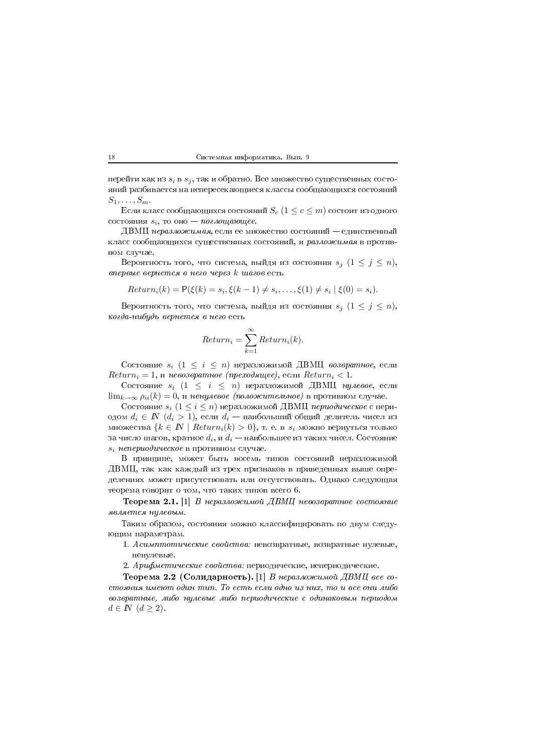перейти как из  $s_i$  в  $s_j,$  так и обратно. Все множество существенных состоянии разоивается на непересекающиеся классы сообщающихся состоянии  $S_1,\ldots,S_m$ 

Если класс сообщающихся состояний  $S_c$   $(1 \leq c \leq m)$  состоит из одного состояния  $s_i$ , то оно — поглощающее.

 $\blacksquare$ класс сооощающихся существенных состоянии, и *разложимая* в противthe contract of the contract of the contract of the contract of the contract of the contract of the contract o

Вероятность того, что система, выйдя из состояния  $s_j$   $(1\leq j\leq n),$ впервые вернется в него через  $k$  шагов есть

$$
Return_i(k) = P(\xi(k) = s_i, \xi(k-1) \neq s_i, \dots, \xi(1) \neq s_i | \xi(0) = s_i).
$$

Вероятность того, что система, выйдя из состояния  $s_j$   $(1\leq j\leq n),$  )\$
\*( & )

$$
Return_i = \sum_{k=1}^{\infty} Return_i(k).
$$

Состояние  $s_i$   $(1\, \leq\, i\, \leq\, n)$  неразложимой ДВМЦ *возвратное*, если  $Return_i = 1$ , и невозвратное (преходящее), если  $Return_i < 1$ .

Состояние  $s_i$   $(1 \leq i \leq n)$  неразложимой ДВМЦ нулевое, если  $\lim_{k\rightarrow\infty}\rho_{ii}(k)=0,$  и ненулевое  $(noho\alpha$ сительное) в противном случае.

Состояние  $s_i\;(1\leq i\leq n)$  неразложимой ДВМЦ  $\emph{nepuoduvec}$ кое с периодом  $d_i \in I\!\!N$   $(d_i > 1)$ , если  $d_i$  — наибольший общий делитель чисел из множества  $\{k \in I\!\!N \mid Return_i(k) > 0\},$  т. е. в  $s_i$  можно вернуться только за число шагов, кратное  $d_i, \, u \, d_i$  — наибольшее из таких чисел. Состояние  $s_i\,\,nene puodu\bar{u}e$ ское в противном случае.

/ -- ( \* - (
 )/AJ ( - - 3 делениях может присутствовать или отсутствовать. Однако следующая теорема говорит о том, что таких типов всего 6.

 ${\bf Teo}$ рема 2.1.  $|1|$   $B$  неразложимой  $\cal$  ДВМЦ невозвратное состояние является нулевым.

C
 \*

( 
  ющим параметрам.

1. Асимптотические свойства: невозвратные, возвратные нулевые, ненулевые.

 $\blacksquare$  . The whole contract conductively. Hole required to the charge from the contract  $\blacksquare$ 

Теорема 2.2 (Солидарность).  $|1|$  В неразложимой ДВМЦ все со-WHIVEIVER WITCH THE VERILE HERITING LOCATED CONTROL OUTLING WO HERITING OF OUR VITA INVESTIGATION OF THE UPPER возвратные, либо нулевые либо периодические с одинаковым периодом  $d \in \mathbb{N} \ (d \geq 2).$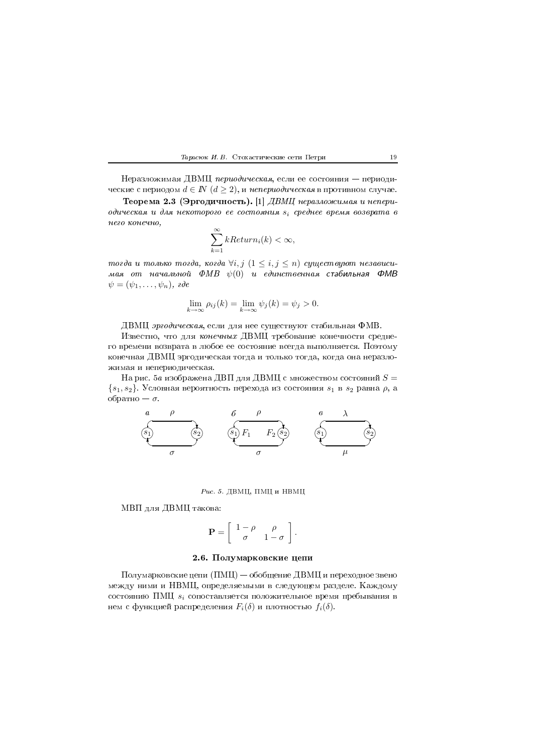

Неразложимая ДВМЦ периодическая, если ее состояния - периодические с периодом  $d \in \mathbb{N}$   $(d \geq 2)$ , и непериодическая в противном случае.

Теорема 2.3 (Эргодичность). [1] ДВМЦ неразложимая и непериодическая и для некоторого ее состояния  $s_i$  среднее время возврата в него конечно,

$$
\sum_{k=1}^{\infty} kReturn_i(k) < \infty,
$$

тогда и только тогда, когда  $\forall i, j \ (1 \leq i, j \leq n)$  существуют независимая от начальной ФМВ  $\psi(0)$  и единственная стабильная ФМВ 

$$
\lim_{k \to \infty} \rho_{ij}(k) = \lim_{k \to \infty} \psi_j(k) = \psi_j > 0.
$$

ДВМЦ эргодическая, если для нее существуют стабильная ФМВ.

Известно, что для конечных ДВМЦ требование конечности среднего времени возврата в любое ее состояние всегда выполняется. Поэтому конечная ДВМЦ эргодическая тогда и только тогда, когда она неразложимая и непериодическая.

На рис. 5 а изображена ДВП для ДВМЦ с множеством состояний  $S=$  ${s_1, s_2}$ . Условная вероятность перехода из состояния  $s_1$  в  $s_2$  равна  $\rho$ , а обратно —  $\sigma$ .



## Рис. 5. ДВМЦ, ПМЦ и НВМЦ

МВП для ДВМЦ такова:

$$
\mathbf{P} = \left[ \begin{array}{cc} 1 - \rho & \rho \\ \sigma & 1 - \sigma \end{array} \right].
$$

# 2.6. Полумарковские цепи

Полумарковские цепи (ПМЦ) — обобщение ДВМЦ и переходное звено между ними и НВМЦ, определяемыми в следующем разделе. Каждому состоянию ПМЦ  $s_i$  сопоставляется положительное время пребывания в нем с функцией распределения  $F_i(\delta)$  и плотностью  $f_i(\delta)$ .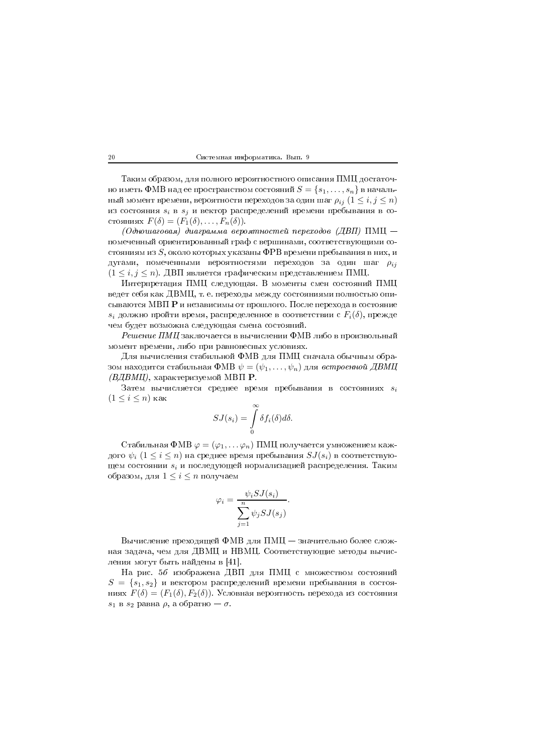Таким образом, для полного вероятностного описания ПМЦ достаточно иметь ФМВ над ее пространством состояний  $S = \{s_1, \ldots, s_n\}$  в начальный момент времени, вероятности переходов за один шаг  $\rho_{ij}$   $(1 \leq i, j \leq n)$ из состояния  $s_i$  в  $s_j$  и вектор распределений времени пребывания в состояниях  $F(\delta) = (F_1(\delta), \ldots, F_n(\delta)).$ 

(Одношаговая) диаграмма вероятностей переходов (ДВП) ПМЦ помеченный ориентированный граф с вершинами, соответствующими состояниям из  $S$ , около которых указаны ФРВ времени пребывания в них, и дугами, помеченными вероятностями переходов за один шаг  $\rho_{ij}$  $(1 \leq i, j \leq n)$ . ДВП является графическим представлением ПМЦ.

Интерпретация ПМЦ следующая. В моменты смен состояний ПМЦ ведет себя как ДВМЦ, т. е. переходы между состояниями полностью описываются МВП Р и независимы от прошлого. После перехода в состояние  $s_i$  должно пройти время, распределенное в соответствии с  $F_i(\delta)$ , прежде чем будет возможна следующая смена состояний.

Решение ПМЦ заключается в вычислении ФМВ либо в произвольный момент времени, либо при равновесных условиях.

Для вычисления стабильной ФМВ для ПМЦ сначала обычным образом находится стабильная ФМВ  $\psi = (\psi_1, \ldots, \psi_n)$  для встроенной ДВМЦ (ВДВМЦ), характеризуемой МВП Р.

Затем вычисляется среднее время пребывания в состояниях  $s_i$  $(1 \leq i \leq n)$  как

$$
SJ(s_i) = \int\limits_0^\infty \delta f_i(\delta) d\delta.
$$

Стабильная ФМВ  $\varphi = (\varphi_1, \dots \varphi_n)$  ПМЦ получается умножением каждого  $\psi_i$   $(1 \leq i \leq n)$  на среднее время пребывания  $SJ(s_i)$  в соответствующем состоянии  $s_i$  и последующей нормализацией распределения. Таким образом, для  $1 \leq i \leq n$  получаем

$$
\varphi_i = \frac{\psi_i SJ(s_i)}{\sum\limits_{j=1}^{n} \psi_j SJ(s_j)}.
$$

Вычисление преходящей ФМВ для ПМЦ - значительно более сложная задача, чем для ДВМЦ и НВМЦ. Соответствующие методы вычисления могут быть найдены в [41].

На рис. 56 изображена ДВП для ПМЦ с множеством состояний  $S = \{s_1, s_2\}$  и вектором распределений времени пребывания в состояниях  $F(\delta) = (F_1(\delta), F_2(\delta))$ . Условная вероятность перехода из состояния  $s_1$  в  $s_2$  равна  $\rho$ , а обратно —  $\sigma$ .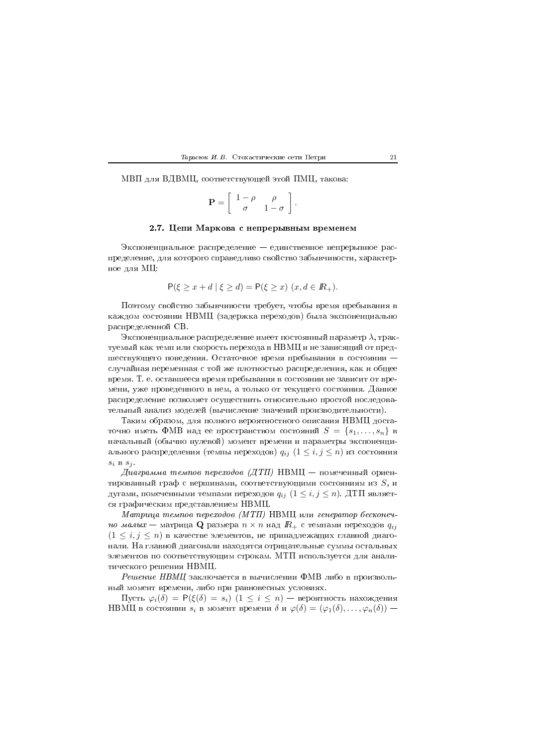#### Тарасюк И. В. Стохастические сети Петри

МВП для ВДВМЦ, соответствующей этой ПМЦ, такова:

$$
\mathbf{P} = \left[ \begin{array}{cc} 1 - \rho & \rho \\ \sigma & 1 - \sigma \end{array} \right].
$$

## 2.7. Цепи Маркова с непрерывным временем

Экспоненциальное распределение — единственное непрерывное распределение, для которого справедливо свойство забывчивости, характерное для МЦ:

$$
\mathsf{P}(\xi \ge x + d \mid \xi \ge d) = \mathsf{P}(\xi \ge x) \ (x, d \in I\!\!R_+).
$$

Поэтому свойство забывчивости требует, чтобы время пребывания в каждом состоянии НВМЦ (задержка переходов) была экспоненциально распределенной СВ.

Экспоненциальное распределение имеет постоянный параметр  $\lambda$ , трактуемый как темп или скорость перехода в НВМЦ и не зависящий от предшествующего поведения. Остаточное время пребывания в состоянии случайная переменная с той же плотностью распределения, как и общее время. Т. е. оставшееся время пребывания в состоянии не зависит от времени, уже проведенного в нем, а только от текущего состояния. Данное распределение позволяет осуществить относительно простой последовательный анализ моделей (вычисление значений производительности).

Таким образом, для полного вероятностного описания НВМЦ достаточно иметь ФМВ над ее пространством состояний  $S = \{s_1, \ldots, s_n\}$  в начальный (обычно нулевой) момент времени и параметры экспоненциального распределения (темпы переходов)  $q_{ij}$   $(1 \le i, j \le n)$  из состояния  $s_i$  B  $s_j$ .

Диаграмма темпов переходов (ДТП) НВМЦ — помеченный ориентированный граф с вершинами, соответствующими состояниям из  $S$ , и дугами, помеченными темпами переходов  $q_{ij}$   $(1 \leq i, j \leq n)$ . ДТП является графическим представлением НВМЦ.

Матрица темпов переходов (МТП) НВМЦ или генератор бесконечно малы $x$  — матрица Q размера  $n \times n$  над  $R_+$  с темпами переходов  $q_{ij}$  $(1 \leq i, j \leq n)$  в качестве элементов, не принадлежащих главной диагонали. На главной диагонали находятся отрицательные суммы остальных элементов по соответствующим строкам. МТП используется для аналитического решения НВМЦ.

Решение НВМЦ заключается в вычислении ФМВ либо в произвольный момент времени, либо при равновесных условиях.

Пусть  $\varphi_i(\delta) = P(\xi(\delta) = s_i)$   $(1 \leq i \leq n)$  — вероятность нахождения HBMЦ в состоянии  $s_i$  в момент времени  $\delta$  и  $\varphi(\delta) = (\varphi_1(\delta), \ldots, \varphi_n(\delta))$  –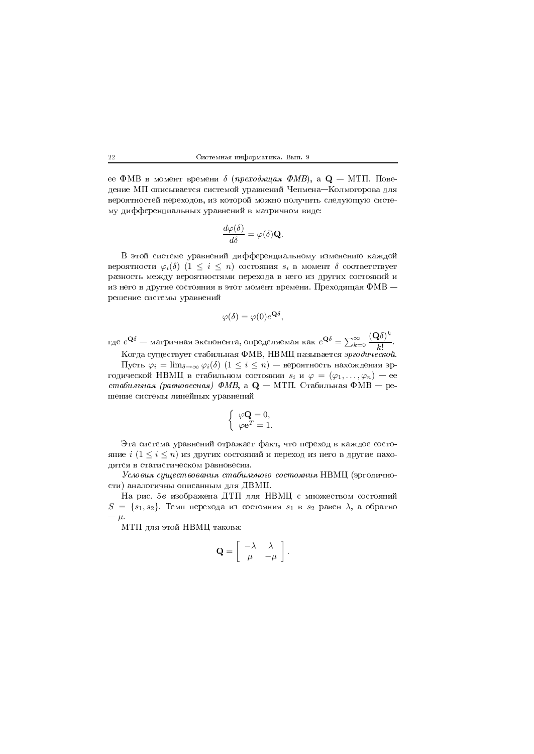ее ФМВ в момент времени  $\delta$  (преходящая ФМВ), а Q – МТП. Поведение МП описывается системой уравнений Чепмена-Колмогорова для вероятностей переходов, из которой можно получить следующую систему дифференциальных уравнений в матричном виде:

$$
\frac{d\varphi(\delta)}{d\delta} = \varphi(\delta)\mathbf{Q}.
$$

В этой системе уравнений дифференциальному изменению каждой вероятности  $\varphi_i(\delta)$   $(1 \leq i \leq n)$  состояния  $s_i$  в момент  $\delta$  соответствует разность между вероятностями перехода в него из других состояний и из него в другие состояния в этот момент времени. Преходящая ФМВ решение системы уравнений

$$
\varphi(\delta) = \varphi(0)e^{\mathbf{Q}\delta},
$$

где  $e^{\mathbf{Q}\delta}$  — матричная экспонента, определяемая как  $e^{\mathbf{Q}\delta} = \sum_{k=0}^{\infty} \frac{(\mathbf{Q}\delta)^k}{k!}$ .

Когда существует стабильная ФМВ, НВМЦ называется эргодической. Пусть  $\varphi_i = \lim_{\delta \to \infty} \varphi_i(\delta)$   $(1 \leq i \leq n)$  – вероятность нахождения эргодической НВМЦ в стабильном состоянии  $s_i$  и  $\varphi = (\varphi_1, \ldots, \varphi_n)$  — ее стабильная (равновесная) ФМВ, а  $Q - M$ ТП. Стабильная ФМВ — решение системы линейных уравнений

$$
\begin{cases} \varphi \mathbf{Q} = 0, \\ \varphi \mathbf{e}^T = 1 \end{cases}
$$

Эта система уравнений отражает факт, что переход в каждое состояние  $i$   $(1 \leq i \leq n)$  из других состояний и переход из него в другие находятся в статистическом равновесии.

Условия существования стабильного состояния НВМЦ (эргодичности) аналогичны описанным для ДВМЦ.

На рис. 56 изображена ДТП для НВМЦ с множеством состояний  $S = \{s_1, s_2\}$ . Темп перехода из состояния  $s_1$  в  $s_2$  равен  $\lambda$ , а обратно  $-\mu$ 

МТП для этой НВМЦ такова:

$$
\mathbf{Q} = \left[ \begin{array}{cc} -\lambda & \lambda \\ \mu & -\mu \end{array} \right].
$$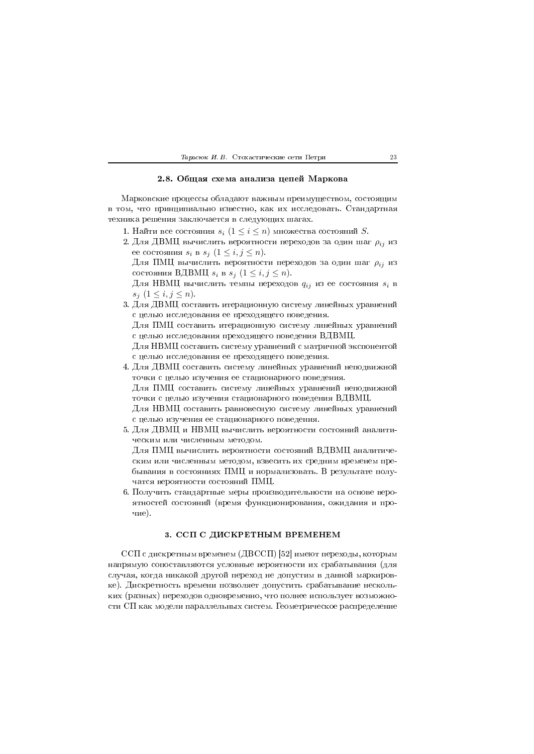### Тарасюк И. В. Стохастические сети Петри

# 2.8. Общая схема анализа цепей Маркова

Марковские процессы обладают важным преимуществом, состоящим в том, что принципиально известно, как их исследовать. Стандартная техника решения заключается в следующих шагах.

- 1. Найти все состояния  $s_i$   $(1 \leq i \leq n)$  множества состояний S.
- 2. Для ДВМЦ вычислить вероятности переходов за один шаг  $\rho_{ij}$  из ее состояния  $s_i$  в  $s_j$   $(1 \leq i, j \leq n)$ .
	- Для ПМЦ вычислить вероятности переходов за один шаг  $\rho_{ij}$  из состояния ВДВМЦ  $s_i$  в  $s_j$   $(1 \leq i, j \leq n)$ .
	- Для НВМЦ вычислить темпы переходов  $q_{ij}$  из ее состояния  $s_i$  в  $s_i$   $(1 \leq i, j \leq n)$ .
- 3. Для ДВМЦ составить итерационную систему линейных уравнений с целью исследования ее преходящего поведения. Для ПМЦ составить итерационную систему линейных уравнений

с целью исследования преходящего поведения ВДВМЦ.

Для НВМЦ составить систему уравнений с матричной экспонентой с целью исследования ее преходящего поведения.

- 4. Для ДВМЦ составить систему линейных уравнений неподвижной точки с целью изучения ее стационарного поведения. Для ПМЦ составить систему линейных уравнений неподвижной точки с целью изучения стационарного поведения ВДВМЦ. Для НВМЦ составить равновесную систему линейных уравнений с целью изучения ее стационарного поведения.
- 5. Для ДВМЦ и НВМЦ вычислить вероятности состояний аналитическим или численным методом. Для ПМЦ вычислить вероятности состояний ВДВМЦ аналитическим или численным методом, взвесить их средним временем пребывания в состояниях ПМЦ и нормализовать. В результате получатся вероятности состояний ПМЦ.
- 6. Получить стандартные меры производительности на основе вероятностей состояний (время функционирования, ожидания и прочие).

## 3. ССП С ДИСКРЕТНЫМ ВРЕМЕНЕМ

ССП с дискретным временем (ДВССП) [52] имеют переходы, которым напрямую сопоставляются условные вероятности их срабатывания (для случая, когда никакой другой переход не допустим в данной маркировке). Дискретность времени позволяет допустить срабатывание нескольких (разных) переходов одновременно, что полнее использует возможности СП как модели параллельных систем. Геометрическое распределение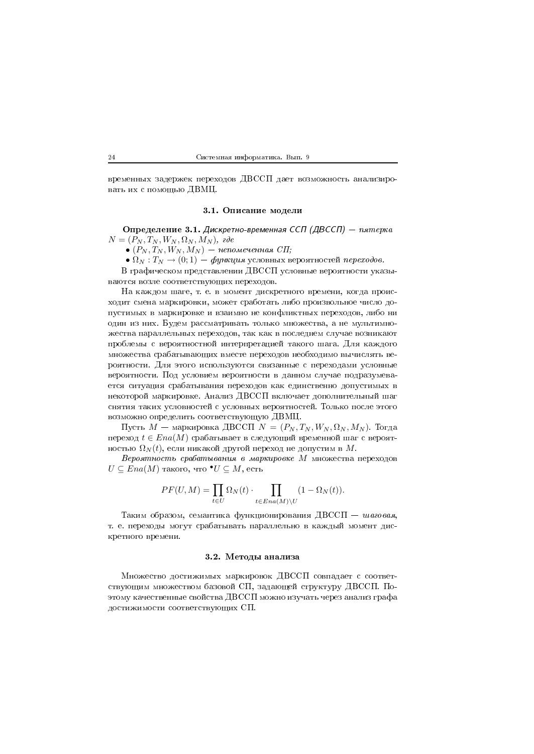временных задержек переходов ДВССП дает возможность анализировать их с помощью ДВМЦ.

### 3.1. Описание модели

Определение 3.1. Дискретно-временная ССП (ДВССП) - пятерка  $N = (P_N, T_N, W_N, \Omega_N, M_N),$  ade

 $\bullet$   $(P_N, T_N, W_N, M_N)$  — непомеченная СП;

•  $\Omega_N: T_N \to (0;1)$  — функция условных вероятностей переходов.

В графическом представлении ДВССП условные вероятности указываются возле соответствующих переходов.

На каждом шаге, т. е. в момент дискретного времени, когда происходит смена маркировки, может сработать либо произвольное число допустимых в маркировке и взаимно не конфликтных переходов, либо ни один из них. Будем рассматривать только множества, а не мультимножества параллельных переходов, так как в последнем случае возникают проблемы с вероятностной интерпретацией такого шага. Для каждого множества срабатывающих вместе переходов необходимо вычислять вероятности. Для этого используются связанные с переходами условные вероятности. Под условием вероятности в данном случае подразумевается ситуация срабатывания переходов как единственно допустимых в некоторой маркировке. Анализ ДВССП включает дополнительный шаг снятия таких условностей с условных вероятностей. Только после этого возможно определить соответствующую ДВМЦ.

Пусть  $M$  — маркировка ДВССП  $N = (P_N, T_N, W_N, \Omega_N, M_N)$ . Тогда переход  $t \in Ena(M)$  срабатывает в следующий временной шаг с вероятностью $\Omega_N(t),$ если никакой другой переход не допустим в  $M.$ 

Вероятность срабатывания в маркировке М множества переходов  $U \subseteq Ena(M)$  такого, что  $\bullet U \subseteq M$ , есть

$$
PF(U, M) = \prod_{t \in U} \Omega_N(t) \cdot \prod_{t \in Ena(M) \setminus U} (1 - \Omega_N(t)).
$$

Таким образом, семантика функционирования ДВССП - шаговая, т. е. переходы могут срабатывать параллельно в каждый момент дискретного времени.

## 3.2. Методы анализа

Множество достижимых маркировок ДВССП совпадает с соответствующим множеством базовой СП, задающей структуру ДВССП. Поэтому качественные свойства ДВССП можно изучать через анализ графа достижимости соответствующих СП.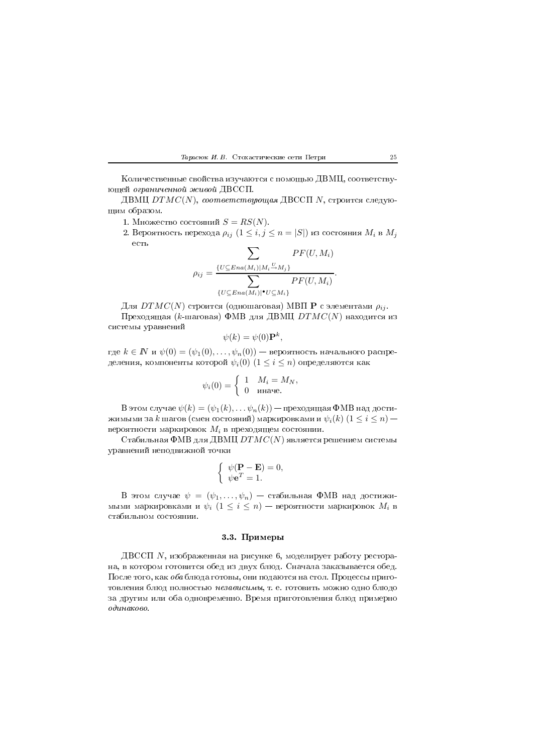#### $\blacksquare$

количественные своиства изучаются с помощью ДВМЦ, соответствующей ограниченной живой ДВССП.

ДВМЦ  $DTMC(N),\ coomsemerasyow$ дя ДВССП  $N,$  строится следующим образом.

- 1. Множество состояний  $S=RS(N).$
- 2. Вероятность перехода  $\rho_{ij}$   $(1\leq i,j\leq n=|S|)$  из состояния  $M_i$  в  $M_j$

$$
\sum_{\rho_{ij}} \frac{\sum_{\{U \subseteq Ena(M_i)|M_i \stackrel{U}{\rightarrow} M_j\}} Pr(U, M_i)}{PF(U, M_i)}.
$$

$$
\sum_{\{U \subseteq Ena(M_i)|^{\bullet} U \subseteq M_i\}} Pr(U, M_i).
$$

Для  $DTMC(N)$  строится (одношаговая) МВП  ${\bf P}$  с элементами  $\rho_{ij}.$ 

Преходящая ( $k$ -шаговая) ФМВ для ДВМЦ  $DTMC(N)$  находится из 

$$
\psi(k) = \psi(0) \mathbf{P}^k,
$$

где  $k\in I\!\!N$  и  $\psi(0)=(\psi_1(0),\ldots,\psi_n(0))$  — вероятность начального распределения, компоненты которой  $\psi_i(0)$   $(1 \leq i \leq n)$  определяются как

$$
\psi_i(0) = \begin{cases} 1 & M_i = M_N, \\ 0 & \text{image.} \end{cases}
$$

 $\mathrm B$  этом случае  $\psi(k)=(\psi_1(k),\ldots\psi_n(k))$  — преходящая ФМВ над достижимыми за  $k$  шагов (смен состояний) маркировками и  $\psi_i(k)$   $(1\leq i\leq n)$ вероятности маркировок  $M_i$  в преходящем состоянии.

Стабильная ФМВ для ДВМЦ  $DTMC(N)$  является решением системы  $\sim$  (a)  $\sim$  (b)  $\sim$  (b)  $\sim$  (b)  $\sim$  (b)  $\sim$  (b)  $\sim$  (b)  $\sim$  (b)  $\sim$  (b)  $\sim$  (b)  $\sim$  (b)  $\sim$  (b)  $\sim$  (b)  $\sim$  (c)  $\sim$  (c)  $\sim$  (c)  $\sim$  (c)  $\sim$  (c)  $\sim$  (c)  $\sim$  (c)  $\sim$  (c)  $\sim$  (c)  $\sim$  (c)  $\sim$  (c)  $\sim$ 

$$
\begin{cases} \psi(\mathbf{P} - \mathbf{E}) = 0, \\ \psi \mathbf{e}^T = 1. \end{cases}
$$

В этом случае  $\psi\,=\, (\psi_1,\ldots,\psi_n)\,=\,$ стабильная ФМВ над достижимыми маркировками и  $\psi_i \,\,(1 \leq i \leq n)$  — вероятности маркировок  $M_i$  в

### ,, #")#

ДВССП  $N$ , изображенная на рисунке 6, моделирует работу ресторана, в котором готовится обед из двух блюд. Сначала заказывается обед. После того, как *оба* блюда готовы, они подаются на стол. Процессы приготовления олюд полностью *независимы*, т. е. готовить можно одно олюдо за другим или ооа одновременно. Время приготовления олюд примерно одинаково.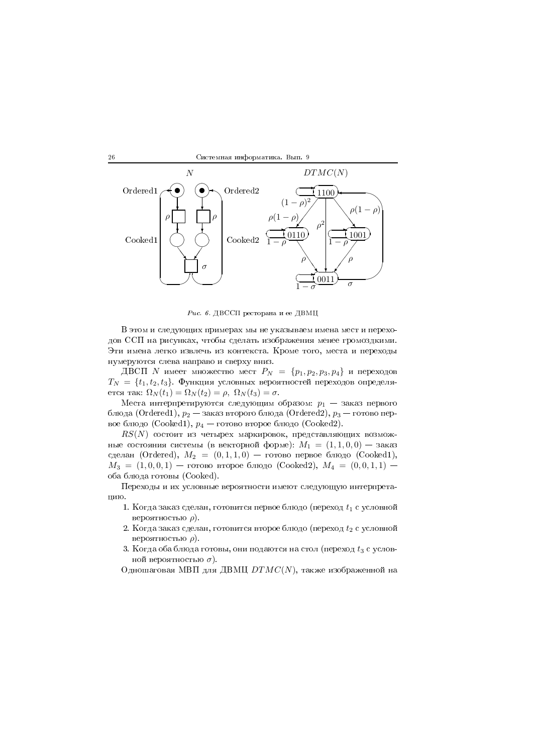



 $\emph{Puc. 6. ДВССП ресторана и ее ДВМЦ}$ 

в этом и следующих примерах мы не указываем имена мест и перехо- $\mathbb{R}^n$  , and a set of the set of the set of the set of the set of the set of the set of the set of the set of the set of the set of the set of the set of the set of the set of the set of the set of the set of the set  $\blacksquare$  . The distribution of the distribution of the distribution of the distribution of the distribution of the distribution of the distribution of the distribution of the distribution of the distribution of the distribu нумеруются слева направо и сверху вниз.

ДВСП  $N$  имеет множество мест  $P_N \;=\; \{p_1, p_2, p_3, p_4\}\,$  и переходов  $T_N \,=\, \{t_1, t_2, t_3\}$ . Функция условных вероятностей переходов определяется так:  $\Omega_N (t_1)=\Omega_N (t_2) = \rho, \; \Omega_N (t_3) = \sigma.$ 

Места интерпретируются следующим образом:  $p_1\,-\,$ заказ первого блюда (Ordered1),  $p_2$  — заказ второго блюда (Ordered2),  $p_3$  — готово первое блюдо (Cooked1),  $p_4$  — готово второе блюдо (Cooked2).

 $\mathit{RS}(N)$  состоит из четырех маркировок, представляющих возможные состояния системы (в векторной форме):  $M_1 = (1, 1, 0, 0)$  — заказ сделан (Ordered),  $M_2~=~(0, 1, 1, 0)~-\,$ готово первое блюдо (Cooked1),  $M_3 = (1, 0, 0, 1)$  - готово второе блюдо (Cooked2),  $M_4 = (0, 0, 1, 1)$  оба блюда готовы (Cooked).

переходы и их условные вероятности имеют следующую интерпретацию.

- 1. Когда заказ сделан, готовится первое блюдо (переход  $t_1$  с условной вероятностью  $\rho$ ).
- 2. Когда заказ сделан, готовится второе блюдо (переход  $t_2$  с условной вероятностью  $\rho$ ).
- 3. Когда оба блюда готовы, они подаются на стол (переход  $t_3$  с условной вероятностью  $\sigma )$ .
- Одношаговая МВП для ДВМЦ  $DTMC(N)$ , также изображенной на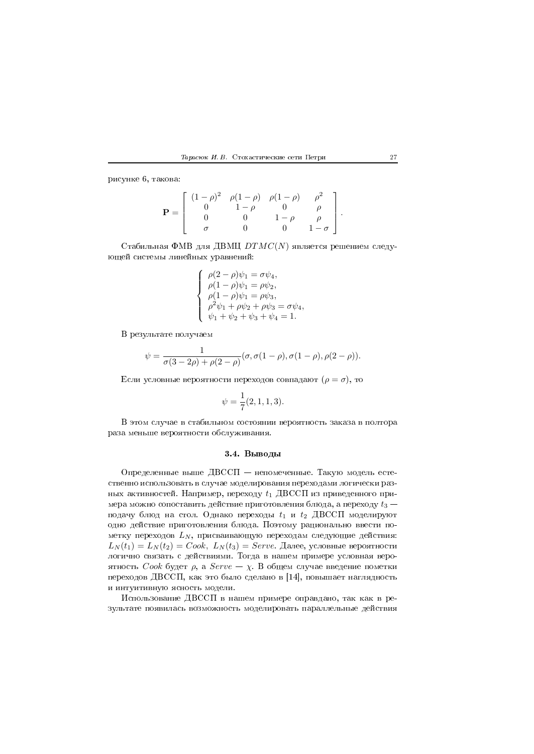

рисунке 6, такова:

$$
\mathbf{P} = \left[ \begin{array}{cccc} (1-\rho)^2 & \rho(1-\rho) & \rho(1-\rho) & \rho^2 \\ 0 & 1-\rho & 0 & \rho \\ 0 & 0 & 1-\rho & \rho \\ \sigma & 0 & 0 & 1-\sigma \end{array} \right].
$$

Стабильная ФМВ для ДВМЦ  $DTMC(N)$  является решением следующей системы линейных уравнений:

$$
\begin{cases}\n\rho(2-\rho)\psi_1 = \sigma \psi_4, \\
\rho(1-\rho)\psi_1 = \rho \psi_2, \\
\rho(1-\rho)\psi_1 = \rho \psi_3, \\
\rho^2 \psi_1 + \rho \psi_2 + \rho \psi_3 = \sigma \psi_4, \\
\psi_1 + \psi_2 + \psi_3 + \psi_4 = 1.\n\end{cases}
$$

В результате получаем

$$
\psi = \frac{1}{\sigma(3-2\rho) + \rho(2-\rho)} (\sigma, \sigma(1-\rho), \sigma(1-\rho), \rho(2-\rho)).
$$

Если условные вероятности переходов совпадают  $(\rho = \sigma)$ , то

$$
\psi = \frac{1}{7}(2, 1, 1, 3).
$$

В этом случае в стабильном состоянии вероятность заказа в полтора раза меньше вероятности обслуживания.

## 3.4. Выводы

Определенные выше ДВССП - непомеченные. Такую модель естественно использовать в случае моделирования переходами логически разных активностей. Например, переходу  $t_1$  ДВССП из приведенного примера можно сопоставить действие приготовления блюда, а переходу  $t_3$  – подачу блюд на стол. Однако переходы  $t_1$  и  $t_2$  ДВССП моделируют одно действие приготовления блюда. Поэтому рационально ввести пометку переходов  $L_N$ , присваивающую переходам следующие действия:  $L_N(t_1) = L_N(t_2) = Cook$ ,  $L_N(t_3) = Serve$ . Далее, условные вероятности логично связать с действиями. Тогда в нашем примере условная вероятность Cook будет  $\rho$ , а Serve -  $\chi$ . В общем случае введение пометки переходов ДВССП, как это было сделано в [14], повышает наглядность и интуитивную ясность модели.

Использование ДВССП в нашем примере оправдано, так как в результате появилась возможность моделировать параллельные действия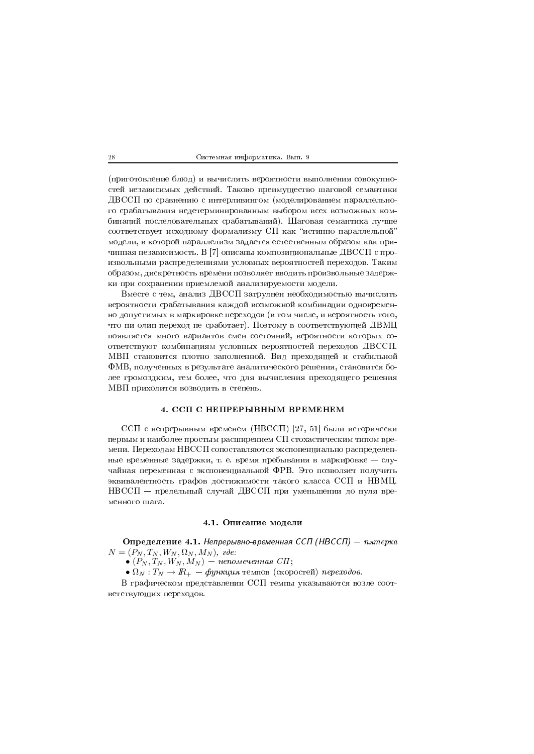(приготовление блюд) и вычислять вероятности выполнения совокупностей независимых действий. Таково преимущество шаговой семантики ДВССП по сравнению с интерливингом (моделированием параллельного срабатывания недетерминированным выбором всех возможных комбинаций последовательных срабатываний). Шаговая семантика лучше соответствует исходному формализму СП как "истинно параллельной" модели, в которой параллелизм задается естественным образом как причинная независимость. В [7] описаны композициональные ДВССП с произвольными распределениями условных вероятностей переходов. Таким образом, дискретность времени позволяет вводить произвольные задержки при сохранении приемлемой анализируемости модели.

Вместе с тем, анализ ДВССП затруднен необходимостью вычислять вероятности срабатывания каждой возможной комбинации одновременно допустимых в маркировке переходов (в том числе, и вероятность того, что ни один переход не сработает). Поэтому в соответствующей ДВМЦ появляется много вариантов смен состояний, вероятности которых соответствуют комбинациям условных вероятностей переходов ДВССП. МВП становится плотно заполненной. Вид преходящей и стабильной ФМВ, полученных в результате аналитического решения, становится более громоздким, тем более, что для вычисления преходящего решения МВП приходится возводить в степень.

## 4. ССП С НЕПРЕРЫВНЫМ ВРЕМЕНЕМ

ССП с непрерывным временем (НВССП) [27, 51] были исторически первым и наиболее простым расширением СП стохастическим типом времени. Переходам НВССП сопоставляются экспоненциально распределенные временные задержки, т. е. время пребывания в маркировке - случайная переменная с экспоненциальной ФРВ. Это позволяет получить эквивалентность графов достижимости такого класса ССП и НВМЦ. НВССП - предельный случай ДВССП при уменьшении до нуля временного шага.

# 4.1. Описание модели

Определение 4.1. Непрерывно-временная ССП (НВССП) - пятерка  $N = (P_N, T_N, W_N, \Omega_N, M_N)$ , ede:

 $\bullet$  ( $P_N, T_N, W_N, M_N$ ) — непомеченная СП;

•  $\Omega_N : T_N \to \mathbb{R}_+$  — функция темпов (скоростей) переходов.

В графическом представлении ССП темпы указываются возле соответствующих переходов.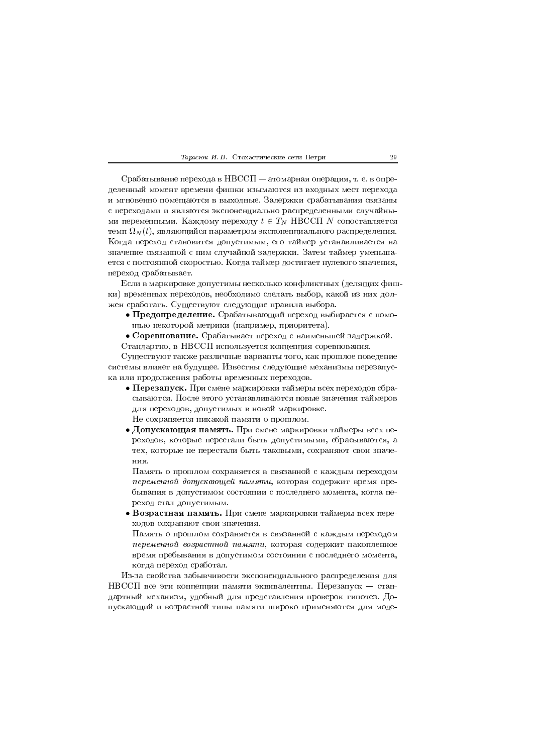Срабатывание перехода в НВССП - атомарная операция, т. е. в определенный момент времени фишки изымаются из входных мест перехода и мгновенно помещаются в выходные. Задержки срабатывания связаны с переходами и являются экспоненциально распределенными случайными переменными. Каждому переходу  $t \in T_N$  НВССП N сопоставляется темп  $\Omega_N(t)$ , являющийся параметром экспоненциального распределения. Когда переход становится допустимым, его таймер устанавливается на значение связанной с ним случайной задержки. Затем таймер уменьшается с постоянной скоростью. Когда таймер достигает нулевого значения, переход срабатывает

Если в маркировке допустимы несколько конфликтных (делящих фишки) временных переходов, необходимо сделать выбор, какой из них должен сработать. Существуют следующие правила выбора.

- Предопределение. Срабатывающий переход выбирается с помощью некоторой метрики (например, приоритета).
- Соревнование. Срабатывает переход с наименьшей задержкой. Стандартно, в НВССП используется концепция соревнования.

Существуют также различные варианты того, как прошлое поведение системы влияет на будущее. Известны следующие механизмы перезапуска или продолжения работы временных переходов.

- Перезапуск. При смене маркировки таймеры всех переходов сбрасываются. После этого устанавливаются новые значения таймеров для переходов, допустимых в новой маркировке. Не сохраняется никакой памяти о прошлом.
- Допускающая память. При смене маркировки таймеры всех переходов, которые перестали быть допустимыми, сбрасываются, а тех, которые не перестали быть таковыми, сохраняют свои значения

Память о прошлом сохраняется в связанной с каждым переходом переменной допускающей памяти, которая содержит время пребывания в допустимом состоянии с последнего момента, когда переход стал допустимым.

• Возрастная память. При смене маркировки таймеры всех переходов сохраняют свои значения.

Память о прошлом сохраняется в связанной с каждым переходом переменной возрастной памяти, которая содержит накопленное время пребывания в допустимом состоянии с последнего момента, когда переход сработал.

Из-за свойства забывчивости экспоненциального распределения для НВССП все эти концепции памяти эквивалентны. Перезапуск - стандартный механизм, удобный для представления проверок гипотез. Допускающий и возрастной типы памяти широко применяются для моде-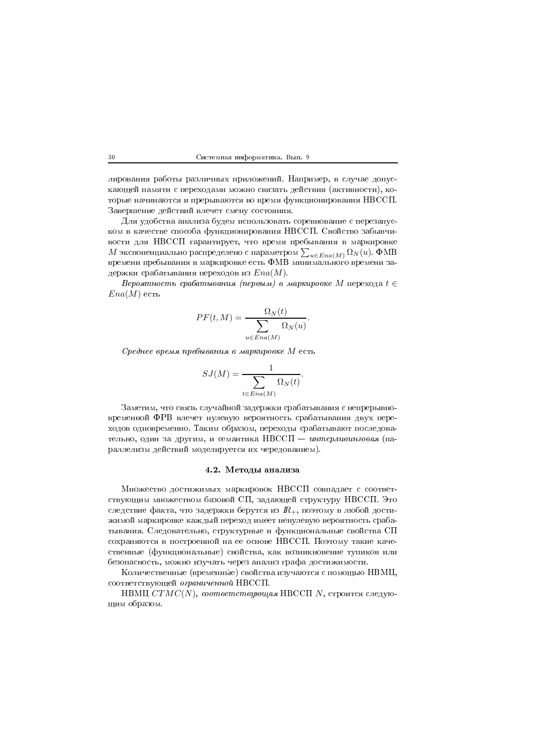лирования работы различных приложений. Например, в случае допускающей памяти с переходами можно связать действия (активности), которые начинаются и прерываются во время функционирования НВССП. Завершение действий влечет смену состояния.

Для удобства анализа будем использовать соревнование с перезапуском в качестве способа функционирования НВССП. Свойство забывчивости для НВССП гарантирует, что время пребывания в маркировке  $M$  экспоненциально распределено с параметром  $\sum_{u\in Ena(M)}\Omega_N(u)$ . ФМВ времени пребывания в маркировке есть ФМВ минимального времени задержки срабатывания переходов из  $Ena(M)$ .

Вероятность срабатывания (первым) в маркировке М перехода  $t \in$  $Ena(M)$  есть

$$
PF(t, M) = \frac{\Omega_N(t)}{\sum_{u \in Ena(M)} \Omega_N(u)}.
$$

Среднее время пребывания в маркировке М есть

$$
SJ(M) = \frac{1}{\sum_{t \in Ena(M)} \Omega_N(t)}.
$$

Заметим, что связь случайной задержки срабатывания с непрерывновременной ФРВ влечет нулевую вероятность срабатывания двух переходов одновременно. Таким образом, переходы срабатывают последовательно, один за другим, и семантика НВССП - интерливинговая (параллелизм действий моделируется их чередованием).

## 4.2. Методы анализа

Множество достижимых маркировок НВССП совпадает с соответствующим множеством базовой СП, задающей структуру НВССП. Это следствие факта, что задержки берутся из  $R_+$ , поэтому в любой достижимой маркировке каждый переход имеет ненулевую вероятность срабатывания. Следовательно, структурные и функциональные свойства СП сохраняются в построенной на ее основе НВССП. Поэтому такие качественные (функциональные) свойства, как возникновение тупиков или безопасность, можно изучать через анализ графа достижимости.

Количественные (временные) свойства изучаются с помощью НВМЦ, соответствующей ограниченной НВССП.

НВМЦ  $CTMC(N)$ , соответствующая НВССП N, строится следующим образом.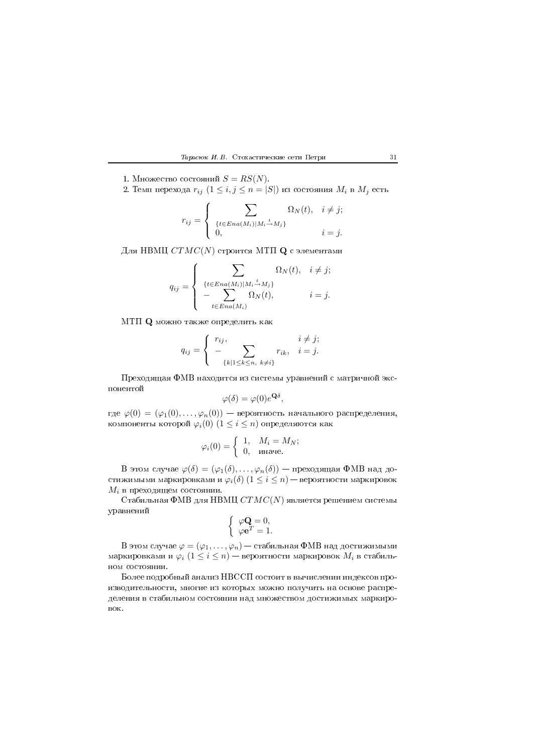#### $\frac{1}{2}$   $\frac{1}{2}$  .  $\frac{1}{2}$  .  $\frac{1}{2}$  .  $\frac{1}{2}$  . The contribution of  $\frac{1}{2}$  . The contribution of  $\frac{1}{2}$  . The contribution of  $\frac{1}{2}$  . The contribution of  $\frac{1}{2}$  . The contribution of  $\frac{1}{2}$  . The

- 1. Множество состояний  $S=RS(N)$ .
- 2. Темп перехода  $r_{ij}$   $(1\leq i,j\leq n=|S|)$  из состояния  $M_i$  в  $M_j$  есть

$$
r_{ij} = \begin{cases} \sum_{\{t \in Ena(M_i)|M_i \stackrel{t}{\rightarrow} M_j\}} \Omega_N(t), & i \neq j; \\ 0, & i = j. \end{cases}
$$

 $\mu$ ля НВМЦ  $CTMC(N)$  строится МТП  ${\bf Q}$  с элементами

$$
q_{ij} = \begin{cases} \sum_{\{t \in Ena(M_i)|M_i \stackrel{t}{\rightarrow} M_j\}} \Omega_N(t), & i \neq j; \\ -\sum_{t \in Ena(M_i)} \Omega_N(t), & i = j. \end{cases}
$$

МТП  ${\bf Q}$  можно также определить как

$$
q_{ij} = \begin{cases} r_{ij}, & i \neq j; \\ -\sum_{\{k|1 \leq k \leq n, \ k \neq i\}} r_{ik}, & i = j. \end{cases}
$$

 $\mathbf{P}$ 

$$
\varphi(\delta) = \varphi(0)e^{\mathbf{Q}\delta},
$$

где  $\varphi(0)=(\varphi_1(0),\ldots,\varphi_n(0))$  — вероятность начального распределения, компоненты которой  $\varphi_i(0)$   $(1 \leq i \leq n)$  определяются как

$$
\varphi_i(0) = \begin{cases} 1, & M_i = M_N; \\ 0, & \text{image.} \end{cases}
$$

 $\mathrm B$  этом случае  $\varphi(\delta)=(\varphi_1(\delta),\ldots,\varphi_n(\delta))$  — преходящая ФМВ над достижимыми маркировками и  $\varphi_i(\delta)$   $(1\leq i\leq n)$  — вероятности маркировок  $M_i$  в преходящем состоянии.

Стабильная ФМВ для НВМЦ  $CTMC(N)$  является решением системы уравнений

$$
\left\{ \begin{array}{l} \varphi \mathbf{Q}=0,\\ \varphi \mathbf{e}^T=1. \end{array} \right.
$$

В этом случае  $\varphi=(\varphi_1,\ldots,\varphi_n)-$  стабильная ФМВ над достижимыми маркировками и  $\varphi_i\;(1\leq i\leq n)$  — вероятности маркировок  $M_i$  в стабиль-

1 -\* H/%%& - 

( - - \*

( (
  $_{\rm BOK.}$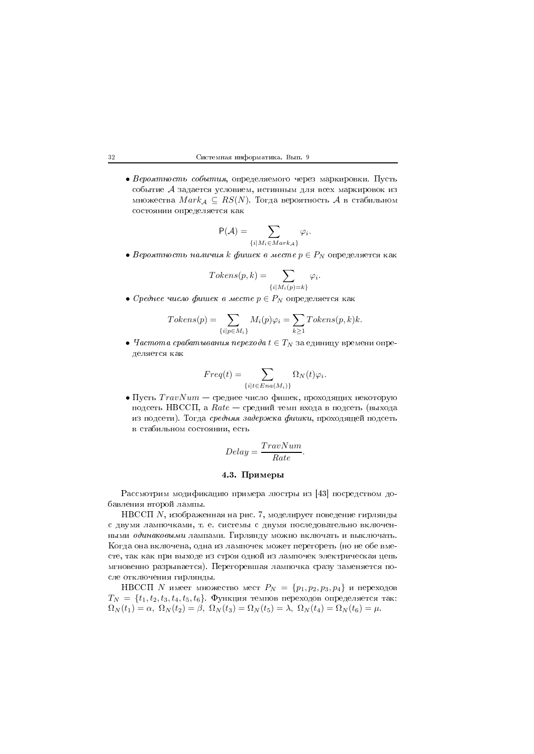$\bullet$  *Вероятность события*, определяемого через маркировки. Пусть событие  ${\mathcal A}$  задается условием, истинным для всех маркировок из множества  $Mark_{\mathcal A}\,\subseteq\, RS(N).$  Тогда вероятность  $\mathcal A$  в стабильном -

$$
P(\mathcal{A}) = \sum_{\{i \mid M_i \in Mark_{\mathcal{A}}\}} \varphi_i.
$$

 $\bullet$  Вероятность наличия  $k$  фишек в месте  $p\in P_N$  определяется как

$$
Tokens(p,k) = \sum_{\{i \mid M_i(p)=k\}} \varphi_i.
$$

 $\bullet$  Среднее число фишек в месте  $p\in P_N$  определяется как

$$
Tokens(p) = \sum_{\{i|p \in M_i\}} M_i(p)\varphi_i = \sum_{k \ge 1} Tokens(p, k)k.
$$

 $\bullet$  *Частота срабатывания перехода t*  $\in$  *T<sub>N</sub>* за единицу времени опре- $\mathbf{r} \cdot \mathbf{r}$ 

$$
Freq(t) = \sum_{\{i | t \in Era(M_i)\}} \Omega_N(t)\varphi_i.
$$

 $\bullet$  Пусть  $TravNum$  — среднее число фишек, проходящих некоторую подсеть НВССП, а  $Rate-$  средний темп входа в подсеть (выхода - 6\$ C && 1, /
! 
 -9 - \*

$$
Delay = \frac{TravNum}{Rate}.
$$

### 0, #")#

Рассмотрим модификацию примера люстры из [43] посредством до-\* 
-\$

НВССП  $N$ , изображенная на рис. 7, моделирует поведение гирлянды с двумя лампочками, т. е. системы с двумя последовательно включенными *оо*инаковыми лампами. 1 ирлянду можно включать и выключать. когда она включена, одна из лампочек может перегореть (но не оое вме- - 
- - - 6\$ &3 
-  сле отключения гирлянды.

НВССП  $N$  имеет множество мест  $P_N \ = \ \{p_1, p_2, p_3, p_4\}$  и переходов  $T_N \,=\, \{t_1, t_2, t_3, t_4, t_5, t_6\}$ . Функция темпов переходов определяется так:  $\Omega_N(t_1) = \alpha$ ,  $\Omega_N(t_2) = \beta$ ,  $\Omega_N(t_3) = \Omega_N(t_5) = \lambda$ ,  $\Omega_N(t_4) = \Omega_N(t_6) = \mu$ .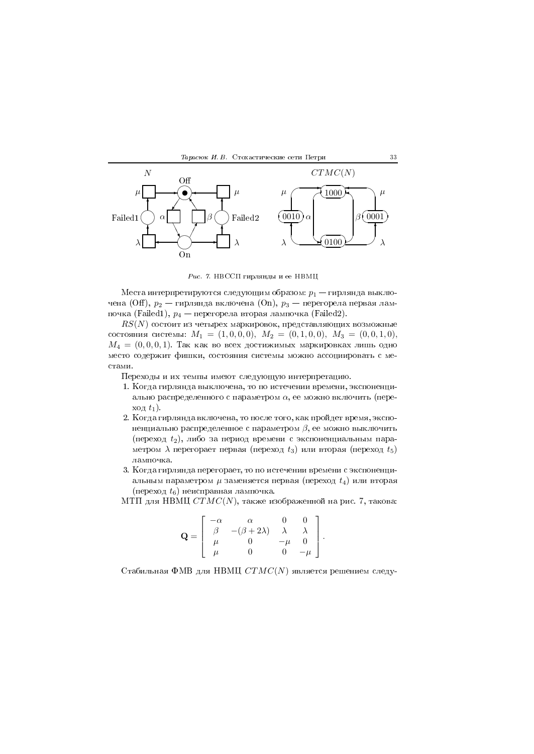



 $\emph{Puc. 7.}$  НВССП гирлянды и ее НВМЦ

Места интерпретируются следующим образом:  $p_1$  — гирлянда выключена (Off),  $p_2$  — гирлянда включена (On),  $p_3$  — перегорела первая лампочка (Failed1),  $p_4$  — перегорела вторая лампочка (Failed2).

 $\mathit{RS}(N)$  состоит из четырех маркировок, представляющих возможные состояния системы:  $M_1 = (1, 0, 0, 0), M_2 = (0, 1, 0, 0), M_3 = (0, 0, 1, 0),$  $M_4\,=\,(0,0,0,1)$ . Так как во всех достижимых маркировках лишь одно ( 3 
(

переходы и их темпы имеют следующую интерпретацию.

- 1. Когда гирлянда выключена, то по истечении времени, экспоненциально распределенного с параметром  $\alpha,$  ее можно включить (пере- $\operatorname{Xo}_{\mathcal{A}} t_1$ ).
- 2. Когда гирлянда включена, то после того, как проидет время, экспоненциально распределенное с параметром  $\beta,$  ее можно выключить (переход  $t_2$ ), либо за период времени с экспоненциальным параметром  $\lambda$  перегорает первая (переход  $t_3)$  или вторая (переход  $t_5)$
- $\bullet$  . If any  $\bullet$  is a different contract the contract of the contract of the contract of the contract of the contract of the contract of the contract of the contract of the contract of the contract of the contract of th альным параметром  $\mu$  заменяется первая (переход  $t_4$ ) или вторая  $({\rm nepexo}_\mathcal{A}\;t_6)$  неисправная лампочка.

МТП для НВМЦ  $CTMC(N),$  также изображенной на рис. 7, такова:

$$
\mathbf{Q} = \left[ \begin{array}{cccc} -\alpha & \alpha & 0 & 0 \\ \beta & -(\beta + 2\lambda) & \lambda & \lambda \\ \mu & 0 & -\mu & 0 \\ \mu & 0 & 0 & -\mu \end{array} \right].
$$

Стабильная ФМВ для НВМЦ  $CTMC(N)$  является решением следу-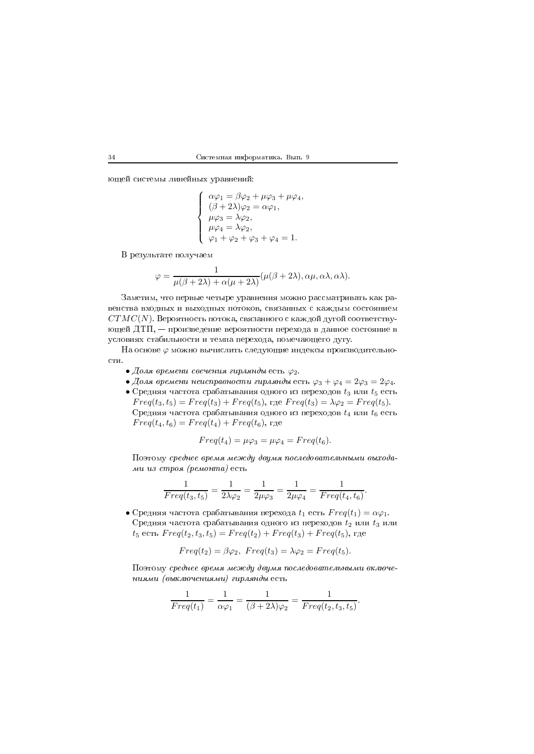ющей системы линейных уравнений:

$$
\left\{ \begin{array}{l} \alpha\varphi_1=\beta\varphi_2+\mu\varphi_3+\mu\varphi_4,\\ (\beta+2\lambda)\varphi_2=\alpha\varphi_1,\\ \mu\varphi_3=\lambda\varphi_2,\\ \mu\varphi_4=\lambda\varphi_2,\\ \varphi_1+\varphi_2+\varphi_3+\varphi_4=1. \end{array} \right.
$$

В результате получаем

$$
\varphi = \frac{1}{\mu(\beta + 2\lambda) + \alpha(\mu + 2\lambda)} (\mu(\beta + 2\lambda), \alpha\mu, \alpha\lambda, \alpha\lambda).
$$

Заметим, что первые четыре уравнения можно рассматривать как равенства входных и выходных потоков, связанных с каждым состоянием  $CTMC(N)$ . Вероятность потока, связанного с каждой дугой соответствующей ДТП, — произведение вероятности перехода в данное состояние в условиях стабильности и темпа перехода, помечающего дугу.

На основе  $\varphi$  можно вычислить следующие индексы производительности.

- Доля времени свечения гирлянды есть  $\varphi_2$ .
- Доля времени неисправности гирлянды есть  $\varphi_3 + \varphi_4 = 2\varphi_3 = 2\varphi_4$ .
- Средняя частота срабатывания одного из переходов  $t_3$  или  $t_5$  есть  $Freq(t_3, t_5) = Freq(t_3) + Freq(t_5)$ , rge  $Freq(t_3) = \lambda \varphi_2 = Freq(t_5)$ . Средняя частота срабатывания одного из переходов  $t_4$  или  $t_6$  есть  $Freq(t_4, t_6) = Freq(t_4) + Freq(t_6)$ , rge

$$
Freq(t_4) = \mu\varphi_3 = \mu\varphi_4 = Freq(t_6).
$$

Поэтому среднее время между двумя последовательными выходами из строя (ремонта) есть

$$
\frac{1}{Freq(t_3, t_5)} = \frac{1}{2\lambda\varphi_2} = \frac{1}{2\mu\varphi_3} = \frac{1}{2\mu\varphi_4} = \frac{1}{Freq(t_4, t_6)}.
$$

• Средняя частота срабатывания перехода  $t_1$  есть  $Freq(t_1) = \alpha \varphi_1$ . Средняя частота срабатывания одного из переходов  $t_2$  или  $t_3$  или  $t_5$  есть  $Freq(t_2, t_3, t_5) = Freq(t_2) + Freq(t_3) + Freq(t_5)$ , где

$$
Freq(t_2) = \beta \varphi_2, \ Freq(t_3) = \lambda \varphi_2 = Freq(t_5).
$$

Поэтому среднее время между двумя последовательными включениями (выключениями) гирлянды есть

$$
\frac{1}{Freq(t_1)}=\frac{1}{\alpha \varphi_1}=\frac{1}{(\beta+2\lambda)\varphi_2}=\frac{1}{Freq(t_2,t_3,t_5)}.
$$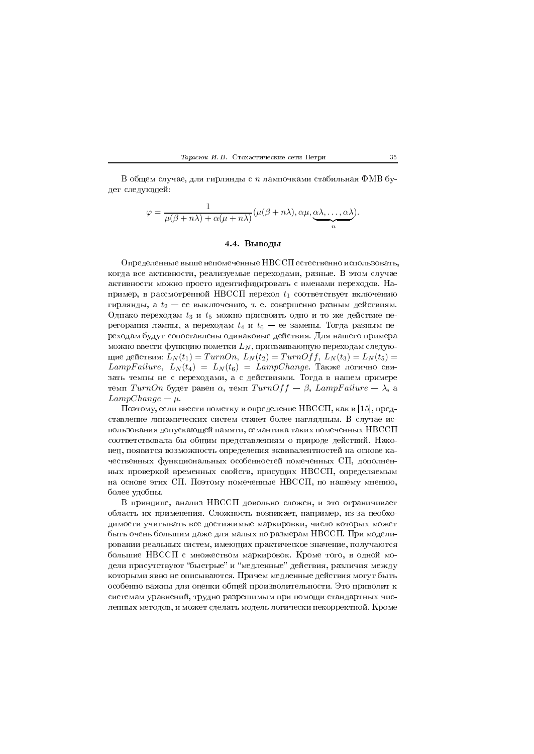

В общем случае, для гирлянды с  $n$  лампочками стабильная ФМВ будет следующей:

$$
\varphi = \frac{1}{\mu(\beta + n\lambda) + \alpha(\mu + n\lambda)} (\mu(\beta + n\lambda), \alpha\mu, \underbrace{\alpha\lambda, \ldots, \alpha\lambda}_{n}).
$$

# 4.4. Выводы

Определенные выше непомеченные НВССП естественно использовать, когда все активности, реализуемые переходами, разные. В этом случае активности можно просто идентифицировать с именами переходов. Например, в рассмотренной НВССП переход  $t_1$  соответствует включению гирлянды, а  $t_2$  - ее выключению, т. е. совершенно разным действиям. Однако переходам  $t_3$  и  $t_5$  можно присвоить одно и то же действие перегорания лампы, а переходам  $t_4$  и  $t_6$  – ее замены. Тогда разным переходам будут сопоставлены одинаковые действия. Для нашего примера можно ввести функцию пометки  $L_N$ , присваивающую переходам следующие действия:  $L_N(t_1) = TurnOn, L_N(t_2) = TurnOff, L_N(t_3) = L_N(t_5) =$  $LampFailure, L<sub>N</sub>(t<sub>4</sub>) = L<sub>N</sub>(t<sub>6</sub>) = LampChange.$  Также логично связать темпы не с переходами, а с действиями. Тогда в нашем примере темп *TurnOn* будет равен  $\alpha$ , темп *TurnOff* -  $\beta$ , *LampFailure* -  $\lambda$ , а  $LampChange - \mu$ 

Поэтому, если ввести пометку в определение НВССП, как в [15], представление динамических систем станет более наглядным. В случае использования допускающей памяти, семантика таких помеченных НВССП соответствовала бы общим представлениям о природе действий. Наконец, появится возможность определения эквивалентностей на основе качественных функциональных особенностей помеченных СП, дополненных проверкой временных свойств, присущих НВССП, определяемым на основе этих СП. Поэтому помеченные НВССП, по нашему мнению, более удобны.

В принципе, анализ НВССП довольно сложен, и это ограничивает область их применения. Сложность возникает, например, из-за необходимости учитывать все достижимые маркировки, число которых может быть очень большим даже для малых по размерам НВССП. При моделировании реальных систем, имеющих практическое значение, получаются большие НВССП с множеством маркировок. Кроме того, в одной модели присутствуют "быстрые" и "медленные" действия, различия между которыми явно не описываются. Причем медленные действия могут быть особенно важны для оценки общей производительности. Это приводит к системам уравнений, трудно разрешимым при помощи стандартных численных методов, и может сделать модель логически некорректной. Кроме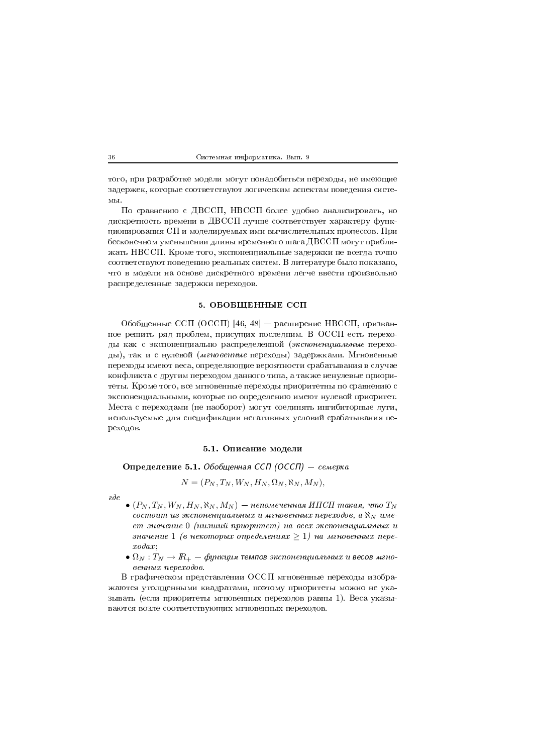того, при разработке модели могут понадобиться переходы, не имеющие задержек, которые соответствуют логическим аспектам поведения системы.

По сравнению с ДВССП, НВССП более удобно анализировать, но дискретность времени в ДВССП лучше соответствует характеру функционирования СП и моделируемых ими вычислительных процессов. При бесконечном уменьшении длины временного шага ДВССП могут приближать НВССП. Кроме того, экспоненциальные задержки не всегда точно соответствуют поведению реальных систем. В литературе было показано, что в модели на основе дискретного времени легче ввести произвольно распределенные задержки переходов.

## 5. ОБОБЩЕННЫЕ ССП

Обобщенные ССП (ОССП) [46, 48] - расширение НВССП, призванное решить ряд проблем, присущих последним. В ОССП есть переходы как с экспоненциально распределенной (экспоненциальные переходы), так и с нулевой (мгновенные переходы) задержками. Мгновенные переходы имеют веса, определяющие вероятности срабатывания в случае конфликта с другим переходом данного типа, а также ненулевые приоритеты. Кроме того, все мгновенные переходы приоритетны по сравнению с экспоненциальными, которые по определению имеют нулевой приоритет. Места с переходами (не наоборот) могут соединять ингибиторные дуги, используемые для спецификации негативных условий срабатывания переходов.

## 5.1. Описание модели

Определение 5.1. Обобщенная ССП (ОССП) - семерка

 $N = (P_N, T_N, W_N, H_N, \Omega_N, \aleph_N, M_N),$ 

 $\partial e$ 

- $\bullet$  (P<sub>N</sub>, T<sub>N</sub>, W<sub>N</sub>, H<sub>N</sub>, N<sub>N</sub>, M<sub>N</sub>) непомеченная ИПСП такая, что Т<sub>N</sub> состоит из экспоненциальных и мгновенных переходов, а  $\aleph_N$  имеет значение 0 (низший приоритет) на всех экспоненциальных и значение 1 (в некоторых определениях  $\geq 1$ ) на мгновенных пере $x \circ \partial \alpha x$
- $\bullet$   $\Omega_N : T_N \to I\!\!R_+ \phi$ ункция темпов экспоненциальных и весов мгновенных переходов.

В графическом представлении ОССП мгновенные переходы изображаются утолщенными квадратами, поэтому приоритеты можно не указывать (если приоритеты мгновенных переходов равны 1). Веса указываются возле соответствующих мгновенных переходов.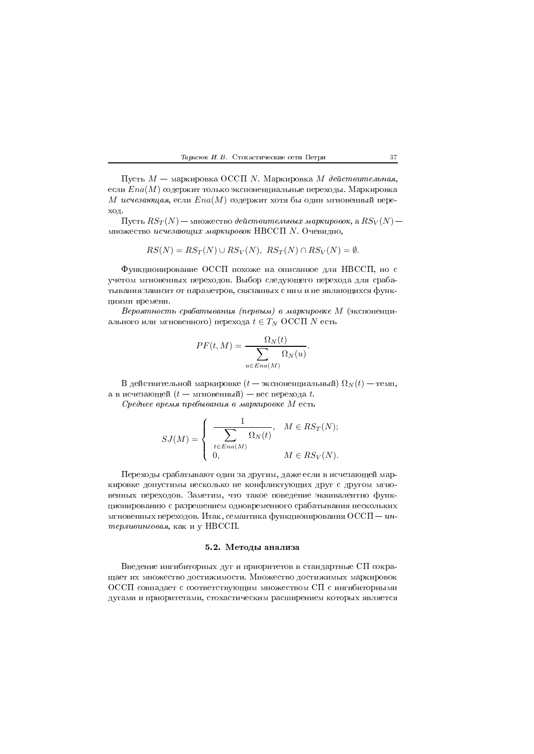Пусть  $M$  — маркировка ОССП N. Маркировка M действительная, если  $Ena(M)$  содержит только экспоненциальные переходы. Маркировка М исчезающая, если  $Ena(M)$  содержит хотя бы один мгновенный переход.

Пусть  $RS_T(N)$  — множество действительных маркировок, а  $RS_V(N)$  множество исчезающих маркировок НВССП N. Очевидно,

$$
RS(N) = RS_T(N) \cup RS_V(N), RS_T(N) \cap RS_V(N) = \emptyset.
$$

Функционирование ОССП похоже на описанное для НВССП, но с учетом мгновенных переходов. Выбор следующего перехода для срабатывания зависит от параметров, связанных с ним и не являющихся функциями времени.

Вероятность срабатывания (первым) в маркировке М (экспоненциального или мгновенного) перехода  $t \in T_N$  ОССП N есть

$$
PF(t, M) = \frac{\Omega_N(t)}{\sum_{u \in Ena(M)} \Omega_N(u)}.
$$

В действительной маркировке ( $t-$  экспоненциальный)  $\Omega_N(t)-$  темп, а в исчезающей  $(t - \text{мгновенный}) - \text{sec nepexo,a } t$ .

Среднее время пребывания в маркировке М есть

$$
SJ(M) = \begin{cases} \frac{1}{\sum_{t \in Ena(M)} \Omega_N(t)}, & M \in RS_T(N); \\ 0, & M \in RS_V(N). \end{cases}
$$

Переходы срабатывают один за другим, даже если в исчезающей маркировке допустимы несколько не конфликтующих друг с другом мгновенных переходов. Заметим, что такое поведение эквивалентно функционированию с разрешением одновременного срабатывания нескольких мгновенных переходов. Итак, семантика функционирования  $OCC\Pi - u\kappa$ терливинговая, как и у НВССП.

## 5.2. Методы анализа

Введение ингибиторных дуг и приоритетов в стандартные СП сокращает их множество достижимости. Множество достижимых маркировок ОССП совпадает с соответствующим множеством СП с ингибиторными дугами и приоритетами, стохастическим расширением которых является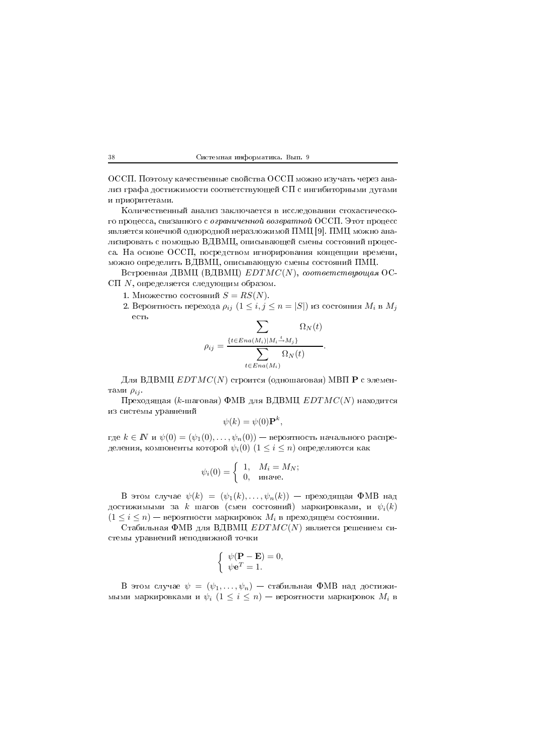,%%&\$ & ,%%& 
(  лиз графа достижимости соответствующеи UII с ингиоиторными дугами -\$

Количественныи анализ заключается в исследовании стохастическо- $\sim$  110  $\mu$  ,  $\sim$  0.110  $\mu$  m  $\sim$  0.40  $\mu$  ,  $\sim$  0.40  $\mu$  ,  $\sim$  0.40  $\mu$  ,  $\sim$  0.40  $\mu$  ,  $\sim$  1.40  $\mu$  ,  $\sim$  1.40  $\mu$  ,  $\sim$  1.40  $\mu$  ,  $\sim$  1.40  $\mu$  ,  $\sim$  1.40  $\mu$  ,  $\sim$  1.40  $\mu$  ,  $\sim$  1.40  $\mu$  ,  $\mathbf{A}$  and  $\mathbf{A}$  and  $\mathbf{A}$  and  $\mathbf{A}$  and  $\mathbf{A}$  and  $\mathbf{A}$  and  $\mathbf{A}$  and  $\mathbf{A}$ лизировать с помощью ВДВМЦ, описывающеи смены состоянии процес- \$ H ,%%& - можно определить ВДВМЦ, описывающую смены состоянии ПМЦ.

Встроенная ДВМЦ (ВДВМЦ)  $EDTMC(N),\ coomeememeywuga$ я ОС-СП  $N$ , определяется следующим образом.

- 1. Множество состояний  $S=RS(N).$
- 2. Вероятность перехода  $\rho_{ij}$   $(1\leq i,j\leq n=|S|)$  из состояния  $M_i$  в  $M_j$

$$
\rho_{ij} = \frac{\sum\limits_{\{t \in Ena(M_i)|M_i \stackrel{t}{\rightarrow} M_j\}} \Omega_N(t)}{\sum\limits_{t \in Ena(M_i)} \Omega_N(t)}.
$$

Для ВДВМЦ  $EDTMC(N)$  строится (одношаговая) МВП  ${\bf P}$  с элементами  $\rho_{ij}$ .

Преходящая ( $k$ -шаговая) ФМВ для ВДВМЦ  $EDTMC(N)$  находится 

$$
\psi(k) = \psi(0) \mathbf{P}^k,
$$

где  $k\in I\!\!N$  и  $\psi(0)=(\psi_1(0),\ldots,\psi_n(0))$  — вероятность начального распределения, компоненты которой  $\psi_i(0)$   $(1 \leq i \leq n)$  определяются как

$$
\psi_i(0) = \begin{cases} 1, & M_i = M_N; \\ 0, & \text{nnave.} \end{cases}
$$

 $\, {\bf B} \,$  этом случае  $\psi(k) \, = \, (\psi_1(k), \ldots, \psi_n(k)) \, - \,$  преходящая  $\, \Phi {\rm MB} \,$  над достижимыми за  $k$  шагов (смен состояний) маркировками, и  $\psi_i(k)$  $(1 \leq i \leq n)$  — вероятности маркировок  $M_i$  в преходящем состоянии.

Стабильная ФМВ для ВДВМЦ  $EDTMC(N)$  является решением си- -( 

$$
\begin{cases} \psi(\mathbf{P} - \mathbf{E}) = 0, \\ \psi \mathbf{e}^T = 1. \end{cases}
$$

В этом случае  $\psi\,=\, (\psi_1,\ldots,\psi_n)\,=\,$  стабильная ФМВ над достижимыми маркировками и  $\psi_i$   $(1\leq i\leq n)$  — вероятности маркировок  $M_i$  в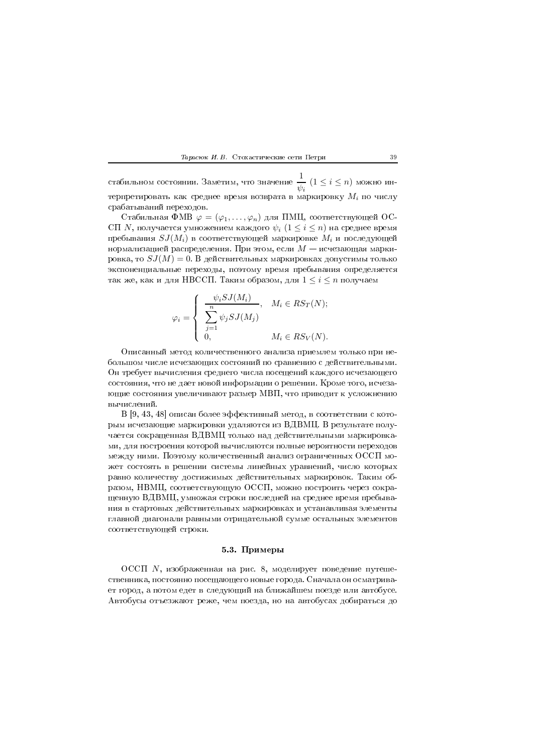стабильном состоянии. Заметим, что значение  $\frac{1}{\psi_i}$   $(1 \leq i \leq n)$  можно интерпретировать как среднее время возврата в маркировку  $M_i$  по числу срабатываний переходов.

Стабильная ФМВ  $\varphi = (\varphi_1, \ldots, \varphi_n)$  для ПМЦ, соответствующей ОС-СП N, получается умножением каждого  $\psi_i$   $(1 \leq i \leq n)$  на среднее время пребывания  $SJ(M_i)$  в соответствующей маркировке  $M_i$  и последующей нормализацией распределения. При этом, если  $M$  — исчезающая маркировка, то  $SJ(M) = 0$ . В действительных маркировках допустимы только экспоненциальные переходы, поэтому время пребывания определяется так же, как и для НВССП. Таким образом, для  $1 \leq i \leq n$  получаем

$$
\varphi_i = \begin{cases} \frac{\psi_i SJ(M_i)}{\sum\limits_{j=1}^n \psi_j SJ(M_j)}, & M_i \in RS_T(N); \\ 0, & M_i \in RS_V(N). \end{cases}
$$

Описанный метод количественного анализа приемлем только при небольшом числе исчезающих состояний по сравнению с действительными. Он требует вычисления среднего числа посещений каждого исчезающего состояния, что не дает новой информации о решении. Кроме того, исчезающие состояния увеличивают размер МВП, что приводит к усложнению вычислений.

В [9, 43, 48] описан более эффективный метод, в соответствии с которым исчезающие маркировки удаляются из ВДВМЦ. В результате получается сокращенная ВДВМЦ только над действительными маркировками, для построения которой вычисляются полные вероятности переходов между ними. Поэтому количественный анализ ограниченных ОССП может состоять в решении системы линейных уравнений, число которых равно количеству достижимых действительных маркировок. Таким образом, НВМЦ, соответствующую ОССП, можно построить через сокращенную ВДВМЦ, умножая строки последней на среднее время пребывания в стартовых действительных маркировках и устанавливая элементы главной диагонали равными отрицательной сумме остальных элементов соответствующей строки.

### 5.3. Примеры

ОССП  $N$ , изображенная на рис. 8, моделирует поведение путешественника, постоянно посещающего новые города. Сначала он осматривает город, а потом едет в следующий на ближайшем поезде или автобусе. Автобусы отъезжают реже, чем поезда, но на автобусах добираться до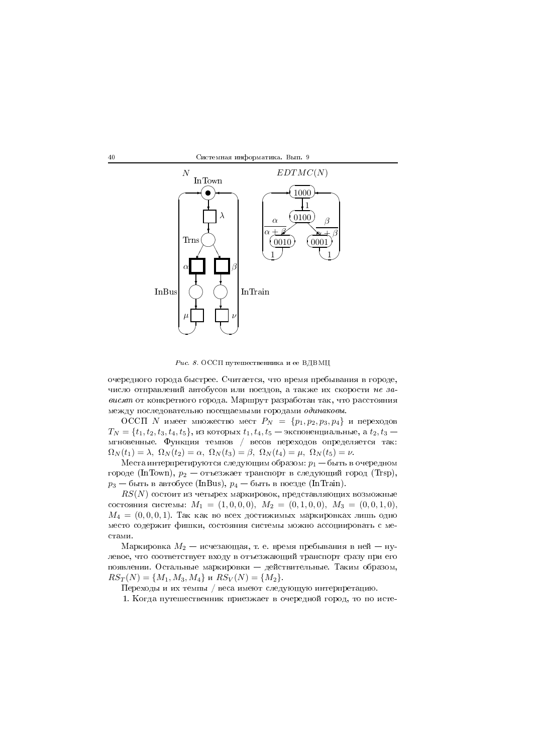40 Системная информатика. Вып. 9



 $\emph{Puc. 8. OCCII}$  путешественника и ее ВДВМЦ

 \* \$ % 
 -\*  $\mathbf{r}$  , and the contract of the contract of the contract of the contract of the contract of the contract of the contract of the contract of the contract of the contract of the contract of the contract of the contract o  $\mathbb{R}$  . The contract of the state of the state of the contract of the contract of the contract of the contract of the contract of the contract of the contract of the contract of the contract of the contract of the cont  $\mathbf{P}$  . The state of the state of the state of the state of the state of the state of the state of the state of the state of the state of the state of the state of the state of the state of the state of the state of th

 $\mathrm{OCC}\Pi$   $N$  имеет множество мест  $P_N \;=\; \{p_1, p_2, p_3, p_4\}$  и переходов  $T_N=\{t_1,t_2,t_3,t_4,t_5\},$  из которых  $t_1,t_4,t_5$  — экспоненциальные, а  $t_2,t_3$  — \$ L - d - - 7  $\Omega_N(t_1) = \lambda$ ,  $\Omega_N(t_2) = \alpha$ ,  $\Omega_N(t_3) = \beta$ ,  $\Omega_N(t_4) = \mu$ ,  $\Omega_N(t_5) = \nu$ .

Места интерпретируются следующим образом:  $p_1$  — быть в очередном городе (InTown),  $p_2$  — отъезжает транспорт в следующий город (Trsp),  $p_3$  — быть в автобусе (InBus),  $p_4$  — быть в поезде (InTrain).

 $\mathit{RS}(N)$  состоит из четырех маркировок, представляющих возможные состояния системы:  $M_1 = (1, 0, 0, 0), M_2 = (0, 1, 0, 0), M_3 = (0, 0, 1, 0),$  $M_4\,=\,(0,0,0,1)$ . Так как во всех достижимых маркировках лишь одно ( 3 
(

Маркировка  $M_2$  — исчезающая, т. е. время пребывания в ней — нулевое, что соответствует входу в отъезжающии транспорт сразу при его -\$ , \$ C \*  $RS_T(N) = \{M_1, M_3, M_4\}$   $\text{R}S_V(N) = \{M_2\}.$ 

переходы и их темпы / веса имеют следующую интерпретацию.

 $\mathbb{R}^3$  defined by the contract of the contract of the contract of the contract of the contract of the contract of the contract of the contract of the contract of the contract of the contract of the contract of the con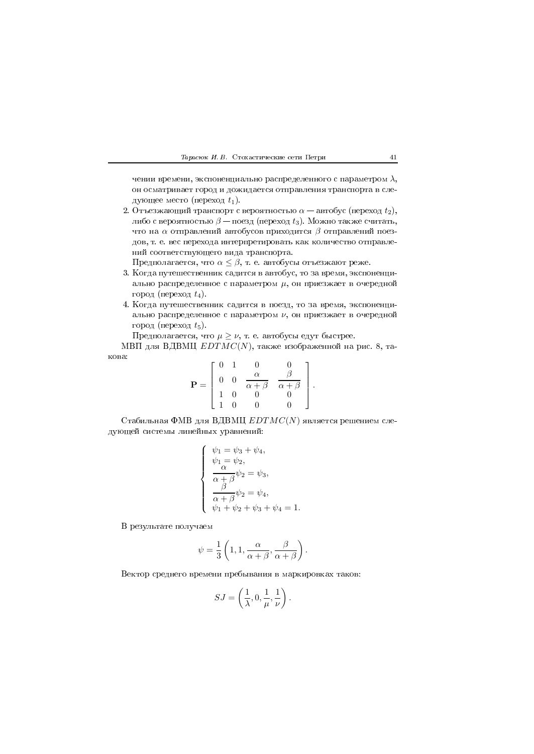чении времени, экспоненциально распределенного с параметром  $\lambda$ , он осматривает город и дожидается отправления транспорта в следующее место (переход  $t_1$ ).

2. Отъезжающий транспорт с вероятностью  $\alpha$  – автобус (переход  $t_2$ ), либо с вероятностью  $\beta$  — поезд (переход  $t_3$ ). Можно также считать, что на  $\alpha$  отправлений автобусов приходится  $\beta$  отправлений поездов, т. е. вес перехода интерпретировать как количество отправлений соответствующего вида транспорта.

Предполагается, что  $\alpha \leq \beta$ , т. е. автобусы отъезжают реже.

- 3. Когда путешественник садится в автобус, то за время, экспоненциально распределенное с параметром  $\mu$ , он приезжает в очередной город (переход  $t_4$ ).
- 4. Когда путешественник садится в поезд, то за время, экспоненциально распределенное с параметром  $\nu$ , он приезжает в очередной город (переход  $t_5$ ).

Предполагается, что  $\mu \geq \nu$ , т. е. автобусы едут быстрее.

МВП для ВДВМЦ  $EDTMC(N)$ , также изображенной на рис. 8, такова:  $\overline{z}$  0  $\overline{z}$  1  $\sim$ 

$$
\mathbf{P} = \begin{bmatrix} 0 & 1 & 0 & 0 \\ 0 & 0 & \frac{\alpha}{\alpha+\beta} & \frac{\beta}{\alpha+\beta} \\ 1 & 0 & 0 & 0 \\ 1 & 0 & 0 & 0 \end{bmatrix}.
$$

Стабильная ФМВ для ВДВМЦ  $EDTMC(N)$  является решением следующей системы линейных уравнений:

$$
\begin{cases}\n\psi_1 = \psi_3 + \psi_4, \\
\psi_1 = \psi_2, \\
\frac{\alpha}{\alpha + \beta}\psi_2 = \psi_3, \\
\frac{\beta}{\alpha + \beta}\psi_2 = \psi_4, \\
\psi_1 + \psi_2 + \psi_3 + \psi_4 = 1.\n\end{cases}
$$

В результате получаем

$$
\psi = \frac{1}{3} \left( 1, 1, \frac{\alpha}{\alpha + \beta}, \frac{\beta}{\alpha + \beta} \right).
$$

Вектор среднего времени пребывания в маркировках таков:

$$
SJ = \left(\frac{1}{\lambda}, 0, \frac{1}{\mu}, \frac{1}{\nu}\right).
$$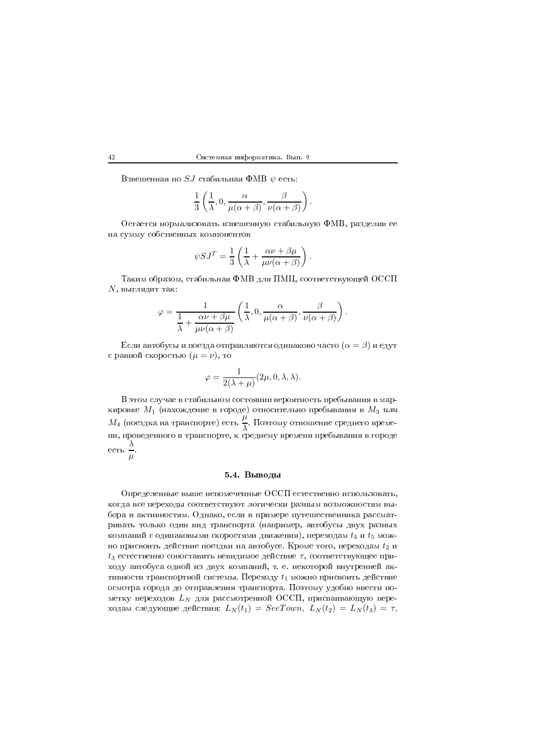Взвешенная по  $SJ$  стабильная ФМВ  $\psi$  есть:

$$
\frac{1}{3}\left(\frac{1}{\lambda},0,\frac{\alpha}{\mu(\alpha+\beta)},\frac{\beta}{\nu(\alpha+\beta)}\right)
$$

Остается нормализовать взвешенную стабильную ФМВ, разделив ее на сумму собственных компонентов

$$
\psi SJ^T = \frac{1}{3} \left( \frac{1}{\lambda} + \frac{\alpha \nu + \beta \mu}{\mu \nu (\alpha + \beta)} \right).
$$

Таким образом, стабильная ФМВ для ПМЦ, соответствующей ОССП  $N$ , выглядит так:

$$
\varphi = \frac{1}{\frac{1}{\lambda} + \frac{\alpha \nu + \beta \mu}{\mu \nu (\alpha + \beta)}} \left( \frac{1}{\lambda}, 0, \frac{\alpha}{\mu (\alpha + \beta)}, \frac{\beta}{\nu (\alpha + \beta)} \right).
$$

Если автобусы и поезда отправляются одинаково часто  $(\alpha = \beta)$  и едут с равной скоростью  $(\mu = \nu)$ , то

$$
\varphi = \frac{1}{2(\lambda + \mu)} (2\mu, 0, \lambda, \lambda).
$$

В этом случае в стабильном состоянии вероятность пребывания в маркировке  $M_1$  (нахождение в городе) относительно пребывания в  $M_3$  или  $M_4$  (поездка на транспорте) есть  $\frac{\mu}{\lambda}$ . Поэтому отношение среднего времени, проведенного в транспорте, к среднему времени пребывания в городе есть  $\frac{\lambda}{\mu}$ .

## 5.4. Выводы

Определенные выше непомеченные ОССП естественно использовать, когда все переходы соответствуют логически разным возможностям выбора и активностям. Однако, если в примере путешественника рассматривать только один вид транспорта (например, автобусы двух разных компаний с одинаковыми скоростями движения), переходам  $t_4$  и  $t_5$  можно присвоить действие поездки на автобусе. Кроме того, переходам  $t_2$  и  $t_3$  естественно сопоставить невидимое действие  $\tau$ , соответствующее приходу автобуса одной из двух компаний, т. е. некоторой внутренней активности транспортной системы. Переходу  $t_1$  можно присвоить действие осмотра города до отправления транспорта. Поэтому удобно ввести пометку переходов  $L_N$  для рассмотренной ОССП, присваивающую переходам следующие действия:  $L_N(t_1) = SeeDown, L_N(t_2) = L_N(t_3) = \tau$ ,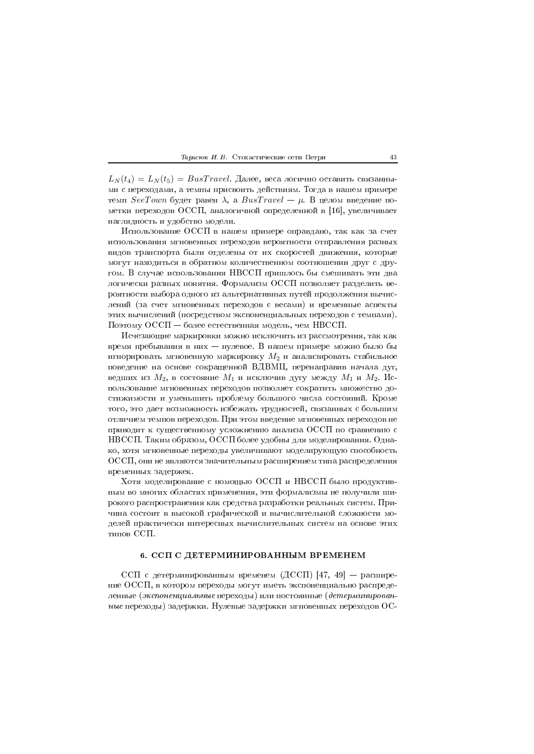$L_N(t_4) = L_N(t_5) = BusTravel.$  Далее, веса логично оставить связанными с переходами, а темпы присвоить действиям. Тогда в нашем примере темп SeeTown будет равен  $\lambda$ , а BusTravel —  $\mu$ . В целом введение пометки переходов ОССП, аналогичной определенной в [16], увеличивает наглядность и удобство модели.

Использование ОССП в нашем примере оправдано, так как за счет использования мгновенных переходов вероятности отправления разных видов транспорта были отделены от их скоростей движения, которые могут находиться в обратном количественном соотношении друг с другом. В случае использования НВССП пришлось бы смешивать эти два логически разных понятия. Формализм ОССП позволяет разделить вероятности выбора одного из альтернативных путей продолжения вычислений (за счет мгновенных переходов с весами) и временные аспекты этих вычислений (посредством экспоненциальных переходов с темпами). Поэтому ОССП - более естественная модель, чем НВССП.

Исчезающие маркировки можно исключить из рассмотрения, так как время пребывания в них - нулевое. В нашем примере можно было бы игнорировать мгновенную маркировку  $M_2$  и анализировать стабильное поведение на основе сокращенной ВДВМЦ, перенаправив начала дуг, ведших из  $M_2$ , в состояние  $M_1$  и исключив дугу между  $M_1$  и  $M_2$ . Использование мгновенных переходов позволяет сократить множество достижимости и уменьшить проблему большого числа состояний. Кроме того, это дает возможность избежать трудностей, связанных с большим отличием темпов переходов. При этом введение мгновенных переходов не приводит к существенному усложнению анализа ОССП по сравнению с НВССП. Таким образом, ОССП более удобны для моделирования. Однако, хотя мгновенные переходы увеличивают моделирующую способность ОССП, они не являются значительным расширением типа распределения временных задержек.

Хотя моделирование с помощью ОССП и НВССП было продуктивным во многих областях применения, эти формализмы не получили широкого распространения как средства разработки реальных систем. Причина состоит в высокой графической и вычислительной сложности моделей практически интересных вычислительных систем на основе этих типов ССП.

# 6. ССП С ДЕТЕРМИНИРОВАННЫМ ВРЕМЕНЕМ

ССП с детерминированным временем (ДССП) [47, 49] - расширение ОССП, в котором переходы могут иметь экспоненциально распределенные (экспоненциальные переходы) или постоянные (детерминированные переходы) задержки. Нулевые задержки мгновенных переходов ОС-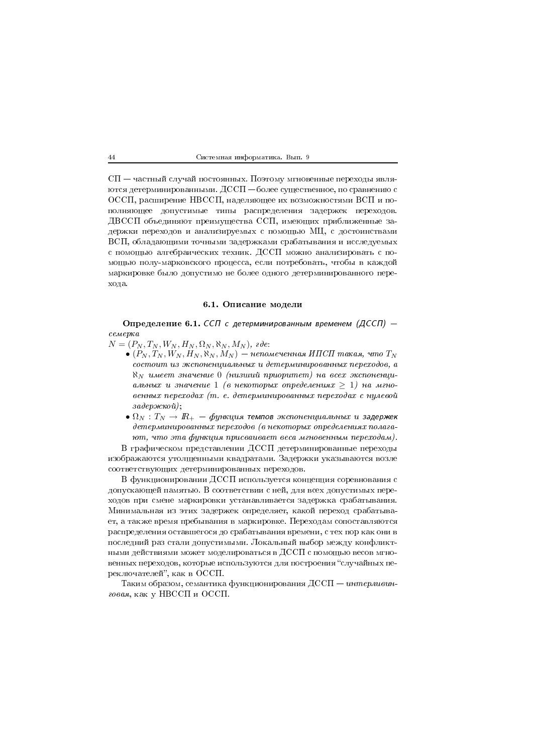$\text{C}\Pi$  — частный случай постоянных. Поэтому мгновенные переходы являются детерминированными. ДССП – более существенное, по сравнению с ОССП, расширение НВССП, наделяющее их возможностями ВСП и пополняющее допустимые типы распределения задержек переходов. ДВССП объединяют преимущества ССП, имеющих приближенные задержки переходов и анализируемых с помощью МЦ, с достоинствами ВСП, обладающими точными задержками срабатывания и исследуемых с помощью алгебраических техник. ДССП можно анализировать с помощью полу-марковского процесса, если потребовать, чтобы в каждой маркировке было допустимо не более одного детерминированного перехода.

# 6.1. Описание модели

Определение 6.1. ССП с детерминированным временем (ДССП) семерка

 $N = (P_N, T_N, W_N, H_N, \Omega_N, \aleph_N, M_N)$ , ede:

- $\bullet$  (P<sub>N</sub>, T<sub>N</sub>, W<sub>N</sub>, H<sub>N</sub>, N<sub>N</sub>, M<sub>N</sub>) непомеченная ИПСП такая, что T<sub>N</sub> состоит из экспоненциальных и детерминированных переходов, а  $\aleph_N$  имеет значение 0 (низший приоритет) на всех экспоненциальных и значение 1 (в некоторых определениях  $\geq 1$ ) на мгновенных переходах (т. е. детерминированных переходах с нулевой задержкой);
- $\bullet$   $\Omega_N : T_N \to I\!\!R_+$  функция темпов экспоненциальных и задержек детерминированных переходов (в некоторых определениях полагают, что эта функция присваивает веса мгновенным переходам).

В графическом представлении ДССП детерминированные переходы изображаются утолщенными квадратами. Задержки указываются возле соответствующих детерминированных переходов.

В функционировании ДССП используется концепция соревнования с допускающей памятью. В соответствии с ней, для всех допустимых переходов при смене маркировки устанавливается задержка срабатывания. Минимальная из этих задержек определяет, какой переход срабатывает, а также время пребывания в маркировке. Переходам сопоставляются распределения оставшегося до срабатывания времени, с тех пор как они в последний раз стали допустимыми. Локальный выбор между конфликтными действиями может моделироваться в ДССП с помощью весов мгновенных переходов, которые используются для построения "случайных переключателей", как в ОССП.

Таким образом, семантика функционирования ДССП - интерливинговая, как у НВССП и ОССП.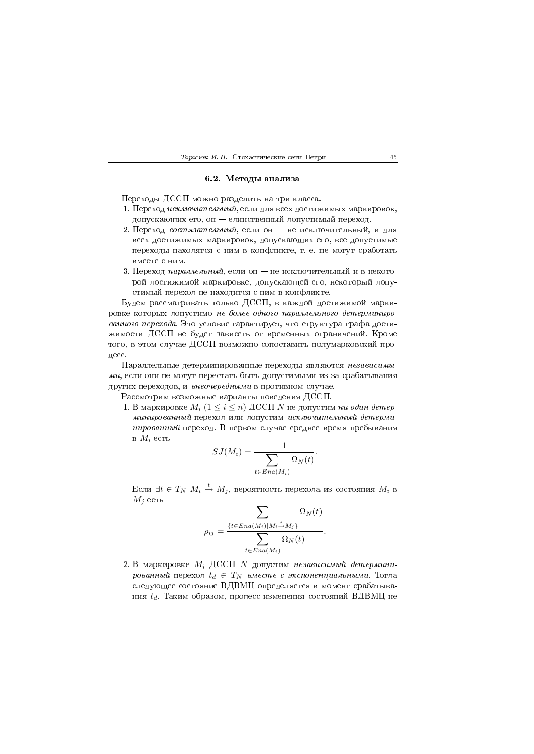#### Тарасюк И. В. Стохастические сети Петри

# 6.2. Методы анализа

Переходы ДССП можно разделить на три класса.

- 1. Переход исключительный, если для всех достижимых маркировок, допускающих его, он - единственный допустимый переход.
- 2. Переход состязательный, если он не исключительный, и для всех достижимых маркировок, допускающих его, все допустимые переходы находятся с ним в конфликте, т. е. не могут сработать вместе с ним.
- 3. Переход парамельный, если он не исключительный и в некоторой достижимой маркировке, допускающей его, некоторый допустимый переход не находится с ним в конфликте.

Будем рассматривать только ДССП, в каждой достижимой маркировке которых допустимо не более одного параллельного детерминированного перехода. Это условие гарантирует, что структура графа достижимости ДССП не будет зависеть от временных ограничений. Кроме того, в этом случае ДССП возможно сопоставить полумарковский процесс.

Параллельные детерминированные переходы являются независимыми, если они не могут перестать быть допустимыми из-за срабатывания других переходов, и внеочередными в противном случае.

Рассмотрим возможные варианты поведения ДССП.

1. В маркировке  $M_i$  (1 < i < n) ДССП N не допустим ни один детерминированный переход или допустим исключительный детерминированный переход. В первом случае среднее время пребывания в  $M_i$  есть

$$
SJ(M_i) = \frac{1}{\sum_{t \in Ena(M_i)} \Omega_N(t)}.
$$

Если  $\exists t \in T_N$   $M_i \stackrel{t}{\rightarrow} M_j$ , вероятность перехода из состояния  $M_i$  в  $M_i$  есть

$$
\rho_{ij} = \frac{\sum_{t \in Ena(M_i)|M_i \stackrel{t}{\rightarrow} M_j}}{\sum_{t \in Ena(M_i)} \Omega_N(t)}.
$$

2. В маркировке  $M_i$  ДССП  $N$  допустим независимый детерминированный переход  $t_d \in T_N$  вместе с экспоненциальными. Тогда следующее состояние ВДВМЦ определяется в момент срабатывания  $t_d$ . Таким образом, процесс изменения состояний ВДВМЦ не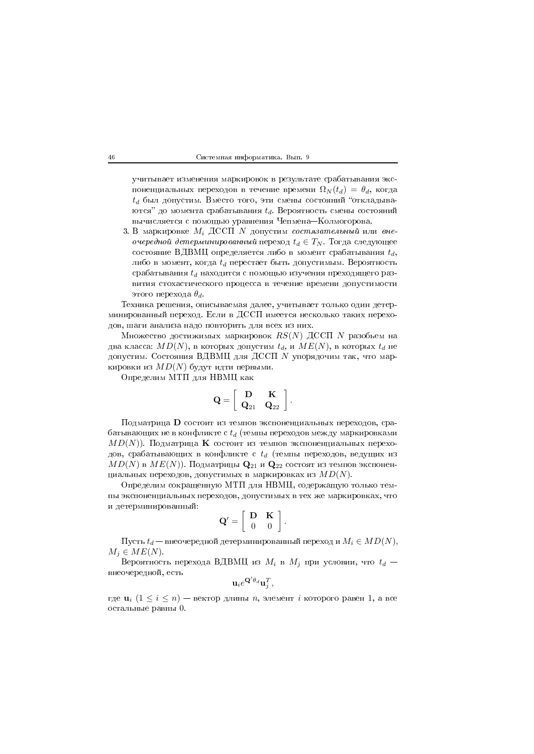учитывает изменения маркировок в результате срабатывания экспоненциальных переходов в течение времени  $\Omega_N(t_d) = \theta_d$ , когда  $t_d$  был допустим. Вместо того, эти смены состояний "откладываются" до момента срабатывания  $t_d$ . Вероятность смены состояний вычисляется с помощью уравнения Чепмена-Колмогорова.

3. В маркировке  $M_i$  ДССП  $N$  допустим состязательный или вне*очередной детерминированный* переход  $t_d \in T_N$ . Тогда следующее состояние ВДВМЦ определяется либо в момент срабатывания  $t_d$ , либо в момент, когда  $t_d$  перестает быть допустимым. Вероятность срабатывания  $t_d$  находится с помощью изучения преходящего развития стохастического процесса в течение времени допустимости этого перехода  $\theta_d$ .

Техника решения, описываемая далее, учитывает только один детерминированный переход. Если в ДССП имеется несколько таких переходов, шаги анализа надо повторить для всех из них.

Множество достижимых маркировок  $\mathit{RS}(N)$  ДССП  $N$  разобьем на два класса:  $MD(N)$ , в которых допустим  $t_d$ , и  $ME(N)$ , в которых  $t_d$  не допустим. Состояния ВДВМЦ для ДССП  $N$  упорядочим так, что маркировки из  $MD(N)$  будут идти первыми.

Определим МТП для НВМЦ как

$$
\mathbf{Q} = \left[ \begin{array}{cc} \mathbf{D} & \mathbf{K} \\ \mathbf{Q}_{21} & \mathbf{Q}_{22} \end{array} \right].
$$

Подматрица D состоит из темпов экспоненциальных переходов, срабатывающих не в конфликте с  $t_d$  (темпы переходов между маркировками  $MD(N)$ ). Подматрица **K** состоит из темпов экспоненциальных переходов, срабатывающих в конфликте с  $t_d$  (темпы переходов, ведущих из  $MD(N)$  в  $ME(N)$ ). Подматрицы  $\mathbf{Q}_{21}$  и  $\mathbf{Q}_{22}$  состоят из темпов экспоненциальных переходов, допустимых в маркировках из  $MD(N)$ .

Определим сокращенную МТП для НВМЦ, содержащую только темпы экспоненциальных переходов, допустимых в тех же маркировках, что и детерминированный:

$$
\mathbf{Q}' = \left[ \begin{array}{cc} \mathbf{D} & \mathbf{K} \\ 0 & 0 \end{array} \right].
$$

Пусть  $t_d$  — внеочередной детерминированный переход и  $M_i \in MD(N)$ ,  $M_i \in ME(N)$ .

Вероятность перехода ВДВМЦ из  $M_i$  в  $M_j$  при условии, что  $t_d$  – внеочередной, есть

$$
\mathbf{u}_i e^{\mathbf{Q}' \theta_d} \mathbf{u}_i^T,
$$

где  $\mathbf{u}_i$   $(1 \leq i \leq n)$  — вектор длины *n*, элемент *i* которого равен 1, а все остальные равны 0.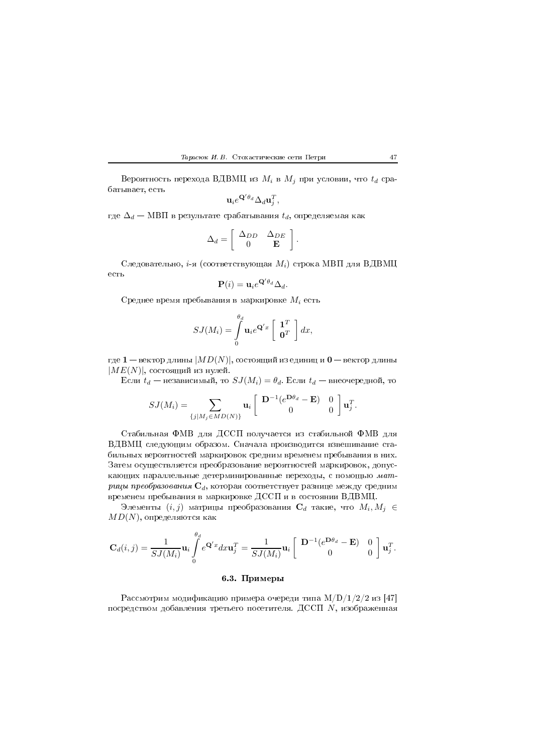Вероятность перехода ВДВМЦ из  $M_i$  в  $M_j$  при условии, что  $t_d$  срабатывает, есть

$$
\mathbf{u}_i e^{\mathbf{Q}' \theta_d} \Delta_d \mathbf{u}_j^T,
$$

где  $\Delta_d$  — МВП в результате срабатывания  $t_d$ , определяемая как

$$
\Delta_d = \left[ \begin{array}{cc} \Delta_{DD} & \Delta_{DE} \\ 0 & \mathbf{E} \end{array} \right].
$$

Следовательно, *i*-я (соответствующая  $M_i$ ) строка МВП для ВДВМЦ есть  $\mathcal{L}^{\prime}$ 

$$
\mathbf{P}(i) = \mathbf{u}_i e^{\mathbf{Q}' \theta_d} \Delta_d.
$$

Среднее время пребывания в маркировке  $M_i$  есть

$$
SJ(M_i) = \int\limits_0^{\theta_d} \mathbf{u}_i e^{\mathbf{Q}'x} \left[ \begin{array}{c} \mathbf{1}^T \\ \mathbf{0}^T \end{array} \right] dx,
$$

где  $1$  — вектор длины  $|MD(N)|$ , состоящий из единиц и  $0$  — вектор длины  $|ME(N)|$ , состоящий из нулей.

Если  $t_d$  — независимый, то  $SJ(M_i) = \theta_d$ . Если  $t_d$  — внеочередной, то

$$
SJ(M_i) = \sum_{\{j | M_j \in MD(N)\}} \mathbf{u}_i \begin{bmatrix} \mathbf{D}^{-1}(e^{\mathbf{D}\theta_d} - \mathbf{E}) & 0\\ 0 & 0 \end{bmatrix} \mathbf{u}_j^T.
$$

Стабильная ФМВ для ДССП получается из стабильной ФМВ для ВДВМЦ следующим образом. Сначала производится взвешивание стабильных вероятностей маркировок средним временем пребывания в них. Затем осуществляется преобразование вероятностей маркировок, допускающих параллельные детерминированные переходы, с помощью матрицы преобразования  $\mathbf{C}_d$ , которая соответствует разнице между средним временем пребывания в маркировке ДССП и в состоянии ВДВМЦ.

Элементы  $(i, j)$  матрицы преобразования  $\mathbf{C}_d$  такие, что  $M_i, M_j \in$  $MD(N)$ , определяются как

$$
\mathbf{C}_d(i,j) = \frac{1}{SJ(M_i)} \mathbf{u}_i \int_0^{\theta_d} e^{\mathbf{Q}'x} dx \mathbf{u}_j^T = \frac{1}{SJ(M_i)} \mathbf{u}_i \left[ \begin{array}{cc} \mathbf{D}^{-1}(e^{\mathbf{D}\theta_d} - \mathbf{E}) & 0\\ 0 & 0 \end{array} \right] \mathbf{u}_j^T.
$$

# 6.3. Примеры

Рассмотрим модификацию примера очереди типа  $M/D/1/2/2$  из [47] посредством добавления третьего посетителя. ДССП N, изображенная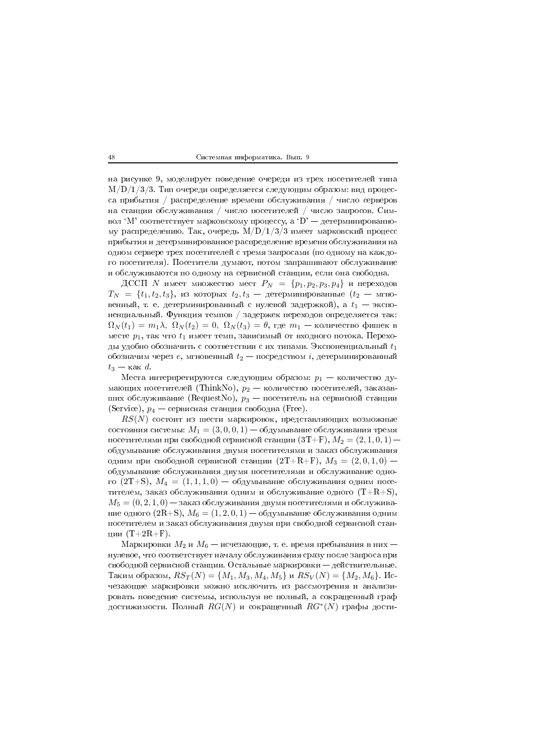на рисунке 9, моделирует поведение очереди из трех посетителей типа  $M/D/1/3/3$ . Тип очереди определяется следующим образом: вид процесса прибытия / распределение времени обслуживания / число серверов на станции обслуживания / число посетителей / число запросов. Символ 'М' соответствует марковскому процессу, а 'D' — детерминированному распределению. Так, очередь  $M/D/1/3/3$  имеет марковский процесс прибытия и детерминированное распределение времени обслуживания на одном сервере трех посетителей с тремя запросами (по одному на каждого посетителя). Посетители думают, потом запрашивают обслуживание и обслуживаются по одному на сервисной станции, если она свободна.

ДССП N имеет множество мест  $P_N = \{p_1, p_2, p_3, p_4\}$  и переходов  $T_N = \{t_1, t_2, t_3\},$  из которых  $t_2, t_3$  — детерминированные  $(t_2$  — мгновенный, т. е. детерминированный с нулевой задержкой), а  $t_1$  - экспоненциальный. Функция темпов / задержек переходов определяется так:  $\Omega_N(t_1) = m_1 \lambda$ ,  $\Omega_N(t_2) = 0$ ,  $\Omega_N(t_3) = \theta$ , где  $m_1$  — количество фишек в месте  $p_1$ , так что  $t_1$  имеет темп, зависимый от входного потока. Переходы удобно обозначить с соответствии с их типами. Экспоненциальный  $t_1$ обозначим через  $e$ , мгновенный  $t_2$  — посредством  $i$ , детерминированный  $t_3$  – как d.

Места интерпретируются следующим образом:  $p_1$  – количество думающих посетителей (ThinkNo),  $p_2$  — количество посетителей, заказавших обслуживание (RequestNo),  $p_3$  — посетитель на сервисной станции (Service),  $p_4$  — сервисная станция свободна (Free).

 $RS(N)$  состоит из шести маркировок, представляющих возможные состояния системы:  $M_1 = (3, 0, 0, 1) - 0$ бдумывание обслуживания тремя посетителями при свободной сервисной станции  $(3T+F), M_2 = (2,1,0,1)$ обдумывание обслуживания двумя посетителями и заказ обслуживания одним при свободной сервисной станции  $(2T+R+F), M_3 = (2,0,1,0)$  обдумывание обслуживания двумя посетителями и обслуживание одного  $(2T+S)$ ,  $M_4 = (1,1,1,0) - 6$ думывание обслуживания одним посетителем, заказ обслуживания одним и обслуживание одного  $(T+R+S)$ ,  $M_5 = (0, 2, 1, 0)$  — заказ обслуживания двумя посетителями и обслуживание одного  $(2R+S), M_6 = (1,2,0,1) -$ обдумывание обслуживания одним посетителем и заказ обслуживания двумя при свободной сервисной станции  $(T+2R+F)$ .

Маркировки  $M_2$  и  $M_6$  — исчезающие, т. е. время пребывания в них нулевое, что соответствует началу обслуживания сразу после запроса при свободной сервисной станции. Остальные маркировки — действительные. Таким образом,  $RS_T(N) = \{M_1, M_3, M_4, M_5\}$  и  $RS_V(N) = \{M_2, M_6\}$ . Исчезающие маркировки можно исключить из рассмотрения и анализировать поведение системы, используя не полный, а сокращенный граф достижимости. Полный  $RG(N)$  и сокращенный  $RG^*(N)$  графы дости-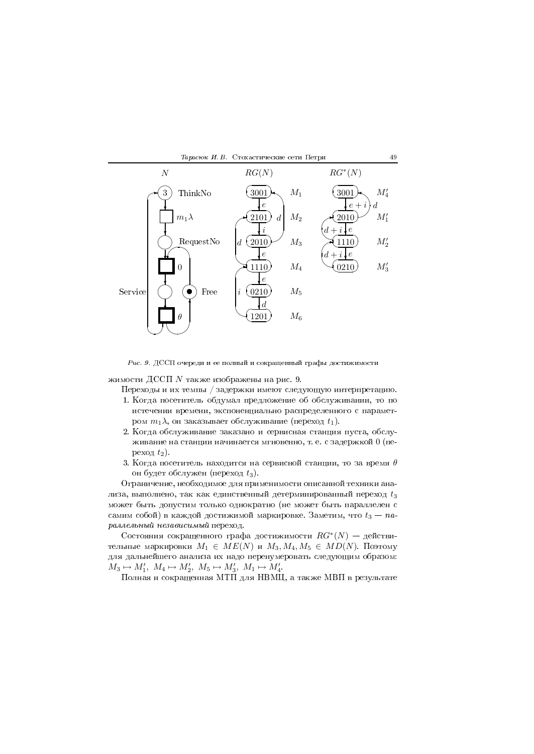

 $\pm$  мог от доотт о города и ее полным и сокращениям графы достижныети

жимости ДССП  $N$  также изображены на рис. 9.

переходы и их темпы / задержки имеют следующую интерпретацию.

- $\mathcal{L} = \mathcal{L} = \mathcal{L} = \mathcal{L} = \mathcal{L} = \mathcal{L} = \mathcal{L} = \mathcal{L} = \mathcal{L} = \mathcal{L} = \mathcal{L} = \mathcal{L} = \mathcal{L} = \mathcal{L} = \mathcal{L} = \mathcal{L} = \mathcal{L} = \mathcal{L} = \mathcal{L} = \mathcal{L} = \mathcal{L} = \mathcal{L} = \mathcal{L} = \mathcal{L} = \mathcal{L} = \mathcal{L} = \mathcal{L} = \mathcal{L} = \mathcal{L} = \mathcal{L} = \mathcal{L} = \mathcal$  -- - ром  $m_1\lambda,$  он заказывает обслуживание (переход  $t_1$ ).
- $\mathbb{R}^n$  . The set of the set of the set of the set of the set of the set of the set of the set of the set of the set of the set of the set of the set of the set of the set of the set of the set of the set of the set of живание на станции начинается мгновенно, т. е. с задержкой  $0$  (переход  $t_2$ ).
- 3. Когда посетитель находится на сервисной станции, то за время  $\theta$ он будет обслужен (переход  $t_3)$ .

, \*
 - лиза, выполнено, так как единственный детерминированный переход  $t_3$  $\mathbb{R}^n$  . The state of the state of the state of the state of the state of the state of the state of the state of the state of the state of the state of the state of the state of the state of the state of the state of самим собой) в каждой достижимой маркировке. Заметим, что  $t_3 - \emph{na-}$  $P^{\text{univ}}$ 

Состояния сокращенного графа достижимости  $RG^*(N)$  — действительные маркировки  $M_1 \in ME(N)$  и  $M_3, M_4, M_5 \in MD(N)$ . Поэтому для дальнеишего анализа их надо перенумеровать следующим образом:  $M_3 \mapsto M'_1, M_4 \mapsto M'_2, M_5 \mapsto M'_3, M_1 \mapsto M'_4.$ 

& 9 AC& H/AJ ( A/&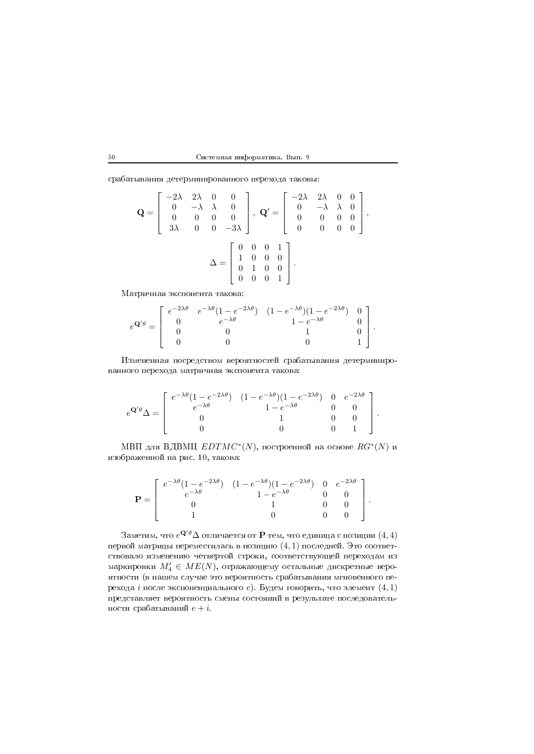|  | Системная информатика. Вып. 9 |  |  |
|--|-------------------------------|--|--|
|--|-------------------------------|--|--|

\* 
 - 7

$$
\mathbf{Q} = \begin{bmatrix} -2\lambda & 2\lambda & 0 & 0 \\ 0 & -\lambda & \lambda & 0 \\ 0 & 0 & 0 & 0 \\ 3\lambda & 0 & 0 & -3\lambda \end{bmatrix}, \ \mathbf{Q}' = \begin{bmatrix} -2\lambda & 2\lambda & 0 & 0 \\ 0 & -\lambda & \lambda & 0 \\ 0 & 0 & 0 & 0 \\ 0 & 0 & 0 & 0 \end{bmatrix},
$$

$$
\Delta = \begin{bmatrix} 0 & 0 & 0 & 1 \\ 1 & 0 & 0 & 0 \\ 0 & 1 & 0 & 0 \\ 0 & 0 & 0 & 1 \end{bmatrix}.
$$

A -- 7

$$
e^{\mathbf{Q}'\theta} = \begin{bmatrix} e^{-2\lambda\theta} & e^{-\lambda\theta}(1 - e^{-2\lambda\theta}) & (1 - e^{-\lambda\theta})(1 - e^{-2\lambda\theta}) & 0 \\ 0 & e^{-\lambda\theta} & 1 - e^{-\lambda\theta} & 0 \\ 0 & 0 & 1 & 0 \\ 0 & 0 & 0 & 1 \end{bmatrix}.
$$

; - \* - 
 -- 7

$$
e^{\mathbf{Q}'\theta}\Delta = \begin{bmatrix} e^{-\lambda\theta}(1-e^{-2\lambda\theta}) & (1-e^{-\lambda\theta})(1-e^{-2\lambda\theta}) & 0 & e^{-2\lambda\theta} \\ e^{-\lambda\theta} & 1-e^{-\lambda\theta} & 0 & 0 \\ 0 & 1 & 0 & 0 \\ 0 & 0 & 0 & 1 \end{bmatrix}.
$$

МВП для ВДВМЦ  $EDTMC^{\ast}(N),$  построенной на основе  $RG^{\ast}(N)$  и  $\mathbb{R}$  . The contract of the contract of the contract of the contract of the contract of the contract of the contract of the contract of the contract of the contract of the contract of the contract of the contract of th

$$
\mathbf{P} = \begin{bmatrix} e^{-\lambda \theta} (1 - e^{-2\lambda \theta}) & (1 - e^{-\lambda \theta}) (1 - e^{-2\lambda \theta}) & 0 & e^{-2\lambda \theta} \\ e^{-\lambda \theta} & 1 - e^{-\lambda \theta} & 0 & 0 \\ 0 & 1 & 0 & 0 \\ 1 & 0 & 0 & 0 \end{bmatrix}.
$$

 $3$ аметим, что  $e^{\mathbf{Q}'\theta}\Delta$  отличается от  $\mathbf P$  тем, что единица с позиции  $(4,4)$ первой матрицы переместилась в позицию  $(4,1)$  последней. Это соответствовало изменению четвертои строки, соответствующеи переходам из маркировки  $M'_4 \in ME(N),$  отражающему остальные дискретные веро- 5 3
  - \* 
 рехода  $i$  после экспоненциального  $e$ ). Будем говорить, что элемент  $(4,1)$ -  ности срабатываний  $e + i$ .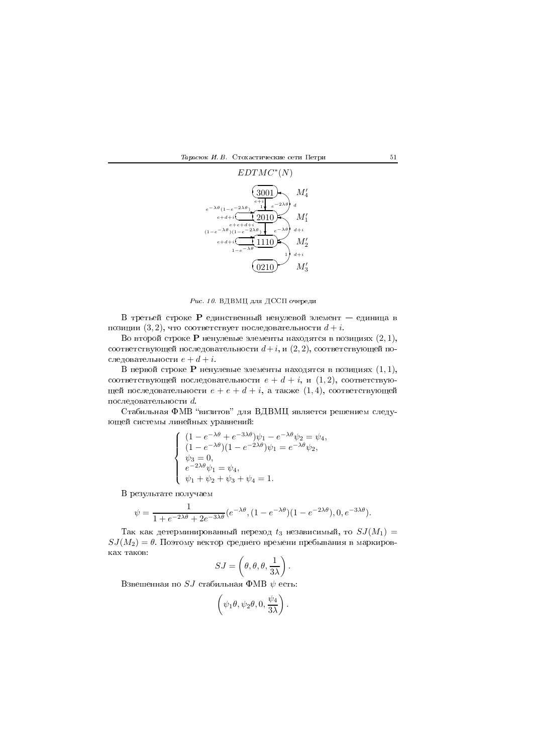$\frac{1}{2}$   $\frac{1}{2}$   $\frac{1}{2}$   $\frac{1}{2}$   $\frac{1}{2}$   $\frac{1}{2}$   $\frac{1}{2}$   $\frac{1}{2}$   $\frac{1}{2}$   $\frac{1}{2}$   $\frac{1}{2}$   $\frac{1}{2}$   $\frac{1}{2}$   $\frac{1}{2}$   $\frac{1}{2}$   $\frac{1}{2}$   $\frac{1}{2}$   $\frac{1}{2}$   $\frac{1}{2}$   $\frac{1}{2}$   $\frac{1}{2}$   $\frac{1}{2}$ 



 $\emph{Puc. 10. }$  ВДВМЦ для ДССП очереди

 $\, {\bf B} \,$  третьей строке  $\, {\bf P} \,$  единственный ненулевой элемент  $\, - \,$  единица в позиции  $(3,2),$  что соответствует последовательности  $d+i.$ 

Во второй строке  ${\bf P}$  ненулевые элементы находятся в позициях  $(2,1),$ соответствующей последовательности  $d+i,$  и  $(2,2),$  соответствующей последовательности  $e + d + i$ .

В первой строке  ${\bf P}$  ненулевые элементы находятся в позициях  $(1,1),$ соответствующей последовательности  $e+d+i,$  и  $(1,2),$  соответствующей последовательности  $e+e+d+i$ , а также  $(1,4)$ , соответствующей последовательности  $d$ .

N\* LA/ ?@ /)/AJ 3  ющеи системы линеиных уравнении:

$$
\label{eq:21} \left\{ \begin{array}{l} (1-e^{-\lambda\theta}+e^{-3\lambda\theta})\psi_1-e^{-\lambda\theta}\psi_2=\psi_4,\\ (1-e^{-\lambda\theta})(1-e^{-2\lambda\theta})\psi_1=e^{-\lambda\theta}\psi_2,\\ \psi_3=0,\\ e^{-2\lambda\theta}\psi_1=\psi_4,\\ \psi_1+\psi_2+\psi_3+\psi_4=1. \end{array} \right.
$$

/  -

$$
\psi = \frac{1}{1 + e^{-2\lambda\theta} + 2e^{-3\lambda\theta}} (e^{-\lambda\theta}, (1 - e^{-\lambda\theta})(1 - e^{-2\lambda\theta}), 0, e^{-3\lambda\theta}).
$$

Так как детерминированный переход  $t_3$  независимый, то  $SJ(M_1) =$  $SJ(M_2)=\theta.$  Поэтому вектор среднего времени пребывания в маркировках таков:

$$
SJ = \left(\theta, \theta, \theta, \frac{1}{3\lambda}\right).
$$

Взвешенная по  $SJ$  стабильная ФМВ  $\psi$  есть:

$$
\left(\psi_1\theta,\psi_2\theta,0,\frac{\psi_4}{3\lambda}\right).
$$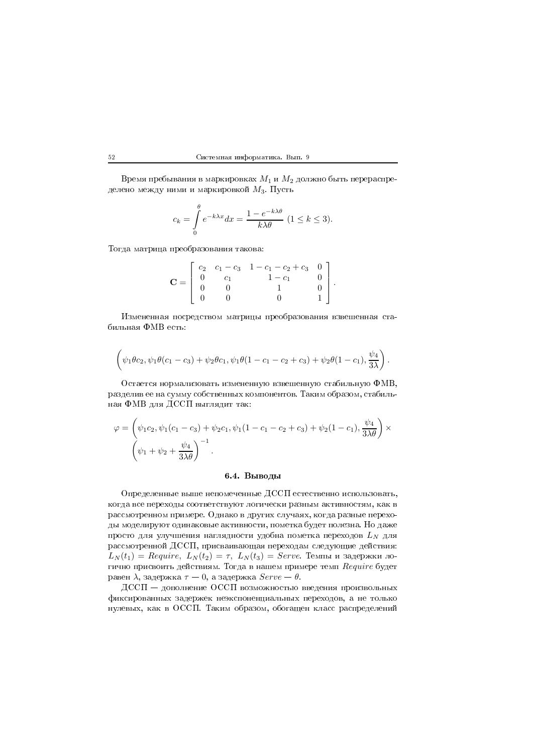Время пребывания в маркировках  $M_1$  и  $M_2$  должно быть перераспределено между ними и маркировкой  $M_3$ . Пусть

$$
c_k = \int_{0}^{\theta} e^{-k\lambda x} dx = \frac{1 - e^{-k\lambda \theta}}{k\lambda \theta} \ (1 \le k \le 3).
$$

Тогда матрица преобразования такова:

$$
\mathbf{C} = \left[ \begin{array}{cccc} c_2 & c_1 - c_3 & 1 - c_1 - c_2 + c_3 & 0 \\ 0 & c_1 & 1 - c_1 & 0 \\ 0 & 0 & 1 & 0 \\ 0 & 0 & 0 & 1 \end{array} \right].
$$

Измененная посредством матрицы преобразования взвешенная стабильная ФМВ есть:

$$
(\psi_1 \theta c_2, \psi_1 \theta (c_1 - c_3) + \psi_2 \theta c_1, \psi_1 \theta (1 - c_1 - c_2 + c_3) + \psi_2 \theta (1 - c_1), \frac{\psi_4}{3\lambda})
$$

Остается нормализовать измененную взвешенную стабильную ФМВ, разделив ее на сумму собственных компонентов. Таким образом, стабильная ФМВ для ДССП выглядит так:

$$
\varphi = \left(\psi_1 c_2, \psi_1 (c_1 - c_3) + \psi_2 c_1, \psi_1 (1 - c_1 - c_2 + c_3) + \psi_2 (1 - c_1), \frac{\psi_4}{3\lambda \theta}\right) \times \left(\psi_1 + \psi_2 + \frac{\psi_4}{3\lambda \theta}\right)^{-1}.
$$

# 6.4. Выводы

Определенные выше непомеченные ДССП естественно использовать, когда все переходы соответствуют логически разным активностям, как в рассмотренном примере. Однако в других случаях, когда разные переходы моделируют одинаковые активности, пометка будет полезна. Но даже просто для улучшения наглядности удобна пометка переходов  $L_N$  для рассмотренной ДССП, присваивающая переходам следующие действия:  $L_N(t_1) = \text{Required}, L_N(t_2) = \tau, L_N(t_3) = \text{Service}.$  Темпы и задержки логично присвоить действиям. Тогда в нашем примере темп Require будет равен  $\lambda$ , задержка  $\tau = 0$ , а задержка  $Server - \theta$ .

 $\text{\rm \underline{A}CC\Pi}$  - дополнение ОССП возможностью введения произвольных фиксированных задержек неэкспоненциальных переходов, а не только нулевых, как в ОССП. Таким образом, обогащен класс распределений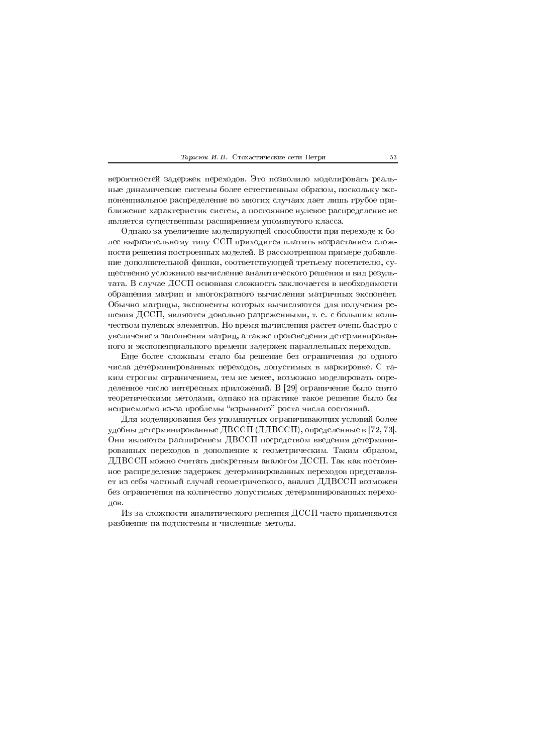#### Тарасюк И. В. Стохастические сети Петри

вероятностей задержек переходов. Это позволило моделировать реальные динамические системы более естественным образом, поскольку экспоненциальное распределение во многих случаях дает лишь грубое приближение характеристик систем, а постоянное нулевое распределение не является существенным расширением упомянутого класса.

Однако за увеличение моделирующей способности при переходе к более выразительному типу ССП приходится платить возрастанием сложности решения построенных моделей. В рассмотренном примере добавление дополнительной фишки, соответствующей третьему посетителю, существенно усложнило вычисление аналитического решения и вид результата. В случае ДССП основная сложность заключается в необходимости обращения матриц и многократного вычисления матричных экспонент. Обычно матрицы, экспоненты которых вычисляются для получения решения ДССП, являются довольно разреженными, т. е. с большим количеством нулевых элементов. Но время вычисления растет очень быстро с увеличением заполнения матриц, а также произведения детерминированного и экспоненциального времени задержек параллельных переходов.

Еще более сложным стало бы решение без ограничения до одного числа детерминированных переходов, допустимых в маркировке. С таким строгим ограничением, тем не менее, возможно моделировать определенное число интересных приложений. В [29] ограничение было снято теоретическими методами, однако на практике такое решение было бы неприемлемо из-за проблемы "взрывного" роста числа состояний.

Для моделирования без упомянутых ограничивающих условий более удобны детерминированные ДВССП (ДДВССП), определенные в [72, 73]. Они являются расширением ДВССП посредством введения детерминированных переходов в дополнение к геометрическим. Таким образом, ДДВССП можно считать дискретным аналогом ДССП. Так как постоянное распределение задержек детерминированных переходов представляет из себя частный случай геометрического, анализ ДДВССП возможен без ограничения на количество допустимых детерминированных переходов.

Из-за сложности аналитического решения ДССП часто применяются разбиение на подсистемы и численные методы.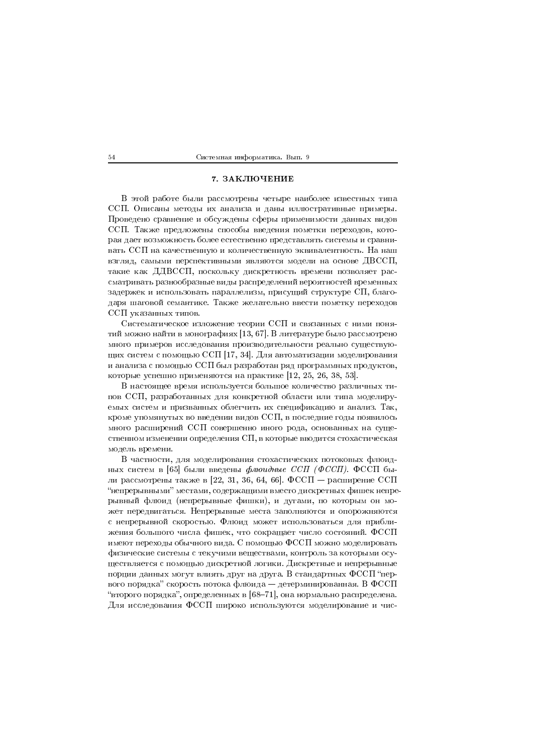## 7. ЗАКЛЮЧЕНИЕ

В этой работе были рассмотрены четыре наиболее известных типа ССП. Описаны методы их анализа и даны иллюстративные примеры. Проведено сравнение и обсуждены сферы применимости данных видов ССП. Также предложены способы введения пометки переходов, которая дает возможность более естественно представлять системы и сравнивать ССП на качественную и количественную эквивалентность. На наш взгляд, самыми перспективными являются модели на основе ДВССП, такие как ДДВССП, поскольку дискретность времени позволяет рассматривать разнообразные виды распределений вероятностей временных задержек и использовать параллелизм, присущий структуре СП, благодаря шаговой семантике. Также желательно ввести пометку переходов ССП указанных типов.

Систематическое изложение теории ССП и связанных с ними понятий можно найти в монографиях [13, 67]. В литературе было рассмотрено много примеров исследования производительности реально существующих систем с помощью ССП [17, 34]. Для автоматизации моделирования и анализа с помощью ССП был разработан ряд программных продуктов, которые успешно применяются на практике [12, 25, 26, 38, 53].

В настоящее время используется большое количество различных типов ССП, разработанных для конкретной области или типа моделируемых систем и призванных облегчить их спецификацию и анализ. Так, кроме упомянутых во введении видов ССП, в последние годы появилось много расширений ССП совершенно иного рода, основанных на существенном изменении определения СП, в которые вводится стохастическая модель времени.

В частности, для моделирования стохастических потоковых флюидных систем в [65] были введены флюидные ССП (ФССП). ФССП были рассмотрены также в [22, 31, 36, 64, 66]. ФССП – расширение ССП "непрерывными" местами, содержащими вместо дискретных фишек непрерывный флюид (непрерывные фишки), и дугами, по которым он может передвигаться. Непрерывные места заполняются и опорожняются с непрерывной скоростью. Флюид может использоваться для приближения большого числа фишек, что сокращает число состояний. ФССП имеют переходы обычного вида. С помощью ФССП можно моделировать физические системы с текучими веществами, контроль за которыми осуществляется с помощью дискретной логики. Дискретные и непрерывные порции данных могут влиять друг на друга. В стандартных ФССП "первого порядка" скорость потока флюида – детерминированная. В ФССП "второго порядка", определенных в [68-71], она нормально распределена. Для исследования ФССП широко используются моделирование и чис-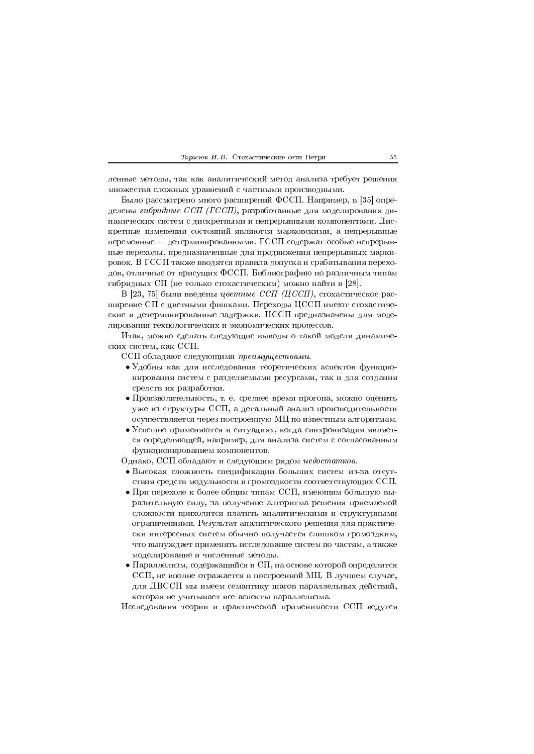ленные методы, так как аналитический метод анализа требует решения множества сложных уравнений с частными производными.

Было рассмотрено много расширений ФССП. Например, в [35] определены гибридные ССП (ГССП), разработанные для моделирования динамических систем с дискретными и непрерывными компонентами. Дискретные изменения состояний являются марковскими, а непрерывные переменные — детерминированными. ГССП содержат особые непрерывные переходы, предназначенные для продвижения непрерывных маркировок. В ГССП также вводятся правила допуска и срабатывания переходов, отличные от присущих ФССП. Библиографию по различным типам гибридных СП (не только стохастическим) можно найти в [28].

В [23, 75] были введены цветные ССП (ЦССП), стохастическое расширение СП с цветными фишками. Переходы ЦССП имеют стохастические и детерминированные задержки. ЦССП предназначены для моделирования технологических и экономических процессов.

Итак, можно сделать следующие выводы о такой модели динамических систем, как ССП.

ССП обладают следующими преимуществами.

- Удобны как для исследования теоретических аспектов функционирования систем с разделяемыми ресурсами, так и для создания средств их разработки.
- Производительность, т. е. среднее время прогона, можно оценить уже из структуры ССП, а детальный анализ производительности осуществляется через построенную МЦ по известным алгоритмам.
- Успешно применяются в ситуациях, когда синхронизация является определяющей, например, для анализа систем с согласованным функционированием компонентов.

Однако, ССП обладают и следующим рядом недостатков.

- Высокая сложность спецификации больших систем из-за отсутствия средств модульности и громоздкости соответствующих ССП.
- При переходе к более общим типам ССП, имеющим большую выразительную силу, за получение алгоритма решения приемлемой сложности приходится платить аналитическими и структурными ограничениями. Результат аналитического решения для практически интересных систем обычно получается слишком громоздким, что вынуждает применять исследование систем по частям, а также моделирование и численные методы.
- $\bullet$  Параллелизм, содержащийся в СП, на основе которой определятся ССП, не вполне отражается в построенной МЦ. В лучшем случае, для ДВССП мы имеем семантику шагов параллельных действий, которая не учитывает все аспекты параллелизма.

Исследования теории и практической применимости ССП ведутся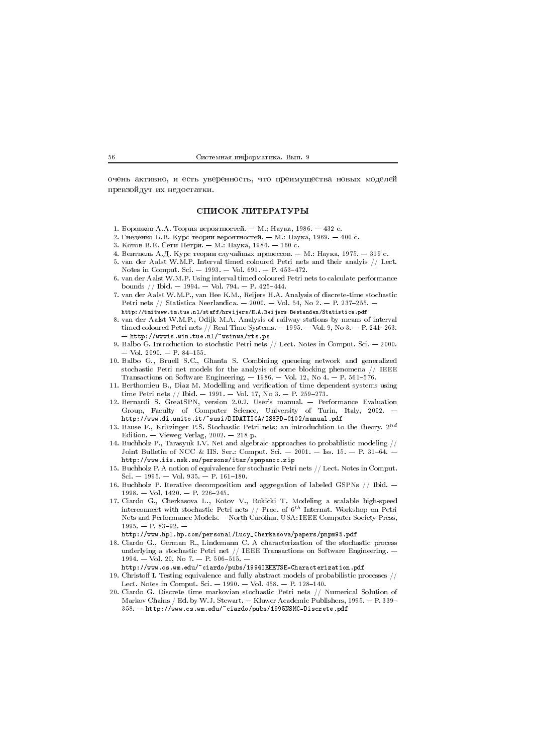-9 -  \$

# СПИСОК ЛИТЕРАТУРЫ

- $\mathbf{1}$  , and  $\mathbf{1}$  , and  $\mathbf{1}$  , and  $\mathbf{1}$  , and  $\mathbf{1}$  , and  $\mathbf{1}$  , and  $\mathbf{1}$  , and  $\mathbf{1}$
- 2. Гнеденко Б.В. Курс теории вероятностей. М.: Наука, 1969. 400 с.
- 3. Котов В.Е. Сети Петри. М.: Наука, 1984. 160 с.
- 4. Вентцель А.Д. Курс теории случайных процессов. М.: Наука, 1975. 319 с.
- 5. van der Aalst W.M.P. Interval timed coloured Petri nets and their analyis // Lect. Notes in Comput. Sci.  $-1993. - Vol. 691. - P. 453-472.$
- $Y$  , and  $Y$  is a simple  $Y$  --dimensional  $Y$  is a simple  $X$  --dimensional  $X$  --dimensional  $X$  --dimensional  $X$ 6. van der Aalst W.M.P. Using interval timed coloured Petri nets to calculate performance bounds // Ibid.  $-1994$ .  $-$  Vol. 794.  $-$  P. 425-444.
- 7. van der Aalst W.M.P., van Hee K.M., Reijers H.A. Analysis of discrete time stochastic Petri nets // Statistica Neerlandica.  $-$  2000.  $-$  Vol. 54, No 2.  $-$  P. 237-255.  $$ noop.,,, omi ossi john john ja john ja join, nimisto join johotuntoin, pohoituvitohta john j
- 3 BCD EFG HOLD LAND GEPFH HOLD GEPFH MAHDING SA GCPIIC SA GCPIIC SA GCPIICO SA GCPIICO SA POLICE SA POLICE SA timed coloured Petri nets // Real Time Systems.  $-$  1995.  $-$  Vol. 9, No 3.  $-$  P. 241–263. representation of the contract of the contract of the contract of the contract of the contract of the contract of
- 9. Balbo G. Introduction to stochstic Petri nets  $//$  Lect. Notes in Comput. Sci.  $-$  2000.  $-$  Vol. 2090.  $-$  P. 84-155.
- 10. Balbo G., Bruell S.C., Ghanta S. Combining queueing network and generalized stochastic Petri net models for the analysis of some blocking phenomena  $//$  IEEE Transactions on Software Engineering.  $-$  1986.  $-$  Vol. 12, No 4.  $-$  P. 561-576.
- 11. Berthomieu B., Diaz M. Modelling and verification of time dependent systems using time Petri nets // Ibid.  $-1991. -$  Vol. 17, No 3.  $-$  P. 259-273.
- 12. Bernardi S. GreatSPN, version 2.0.2. User's manual. Performance Evaluation Group, Faculty of Computer Science, University of Turin, Italy, 2002. -- - -
- 13. Bause F., Kritzinger P.S. Stochastic Petri nets: an introduchtion to the theory. 2<sup>nd</sup> Edition.  $-$  Vieweg Verlag, 2002.  $-$  218 p.
- 14. Buchholz P., Tarasyuk I.V. Net and algebraic approaches to probablistic modeling  $//$ Joint Bulletin of NCC & IIS. Ser.: Comput. Sci.  $-$  2001.  $-$  Iss. 15.  $-$  P. 31-64.  $\cdot$ --  - !! "
- 15. Buchholz P. A notion of equivalence for stochastic Petri nets  $//$  Lect. Notes in Comput.  $\mathrm{Sci.} -1995. -\mathrm{Vol.} 935. -\mathrm{P.} 161-180.$
- 16. Buchholz P. Iterative decomposition and aggregation of labeled GSPNs  $//$  Ibid.  $-$
- 17. Ciardo G., Cherkasova L., Kotov V., Rokicki T. Modeling a scalable high-speed interconnect with stochastic Petri nets  $//$  Proc. of  $6^{th}$  Internat. Workshop on Petri Nets and Performance Models. - North Carolina, USA: IEEE Computer Society Press,  $1995. - P. 83 - 92.$ 
	- http://www.hpl.hp.com/personal/Lucy\_Cherkasova/papers/pnpm95.pdf
- 18. Ciardo G., German R., Lindemann C. A characterization of the stochastic process underlying a stochastic Petri net  $//$  IEEE Transactions on Software Engineering. 1994. — Vol. 20, No 7. — P. 506-515. —
- http://www.cs.wm.edu/~ciardo/pubs/1994IEEETSE-Characterization.pdf 19. Christoff I. Testing equivalence and fully abstract models of probabilistic processes // Lect. Notes in Comput. Sci.  $-$  1990.  $-$  Vol. 458.  $-$  P. 128-140.
- 20. Ciardo G. Discrete time markovian stochastic Petri nets // Numerical Solution of Markov Chains / Ed. by W.J. Stewart. - Kluwer Academic Publishers,  $1995. - P. 339 358.$  — <code>http://www.cs.wm.edu/~ciardo/pubs/1995NSMC-Discrete.pdf</code>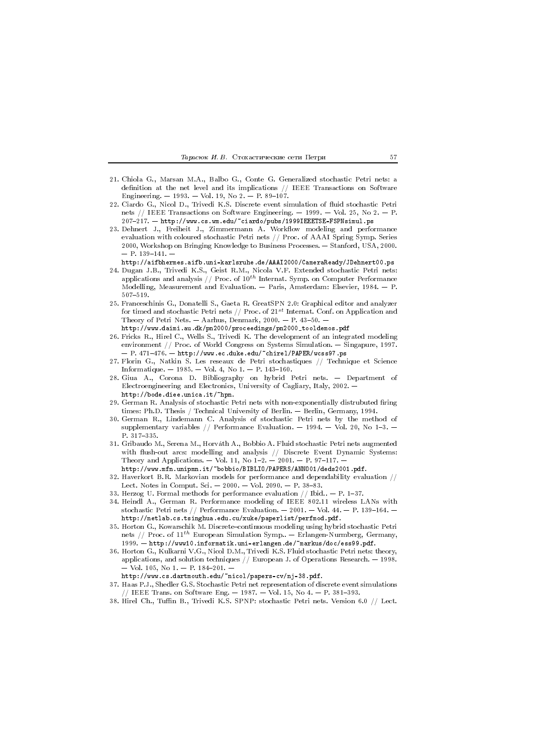#### Тарасюк И. В. Стохастические сети Петри

- 21. Chiola G., Marsan M.A., Balbo G., Conte G. Generalized stochastic Petri nets: a definition at the net level and its implications // IEEE Transactions on Software Engineering.  $-1993.$  - Vol. 19, No 2. - P. 89-107.
- 22. Ciardo G., Nicol D., Trivedi K.S. Discrete event simulation of fluid stochastic Petri nets // IEEE Transactions on Software Engineering.  $-$  1999.  $-$  Vol. 25, No 2.  $-$  P. 207-217. - http://www.cs.wm.edu/~ciardo/pubs/1999IEEETSE-FSPNsimul.ps
- 23. Dehnert J., Freiheit J., Zimmermann A. Workflow modeling and performance evaluation with coloured stochastic Petri nets // Proc. of AAAI Spring Symp. Series 2000, Workshop on Bringing Knowledge to Business Processes. - Stanford, USA, 2000.  $-$  P. 139-141.  $-$

http://aifbhermes.aifb.uni-karlsruhe.de/AAAI2000/CameraReady/JDehnert00.ps

- 24. Dugan J.B., Trivedi K.S., Geist R.M., Nicola V.F. Extended stochastic Petri nets: applications and analysis // Proc. of  $10^{th}$  Internat. Symp. on Computer Performance Modelling, Measurement and Evaluation. - Paris, Amsterdam: Elsevier, 1984. - P.  $507 - 519$ .
- 25. Franceschinis G., Donatelli S., Gaeta R. GreatSPN 2.0: Graphical editor and analyzer for timed and stochastic Petri nets // Proc. of  $21^{st}$  Internat. Conf. on Application and Theory of Petri Nets.  $-$  Aarhus, Denmark, 2000.  $-$  P. 43-50.  $$ http://www.daimi.au.dk/pn2000/proceedings/pn2000\_tooldemos.pdf
- 26. Fricks R., Hirel C., Wells S., Trivedi K. The development of an integrated modeling environment // Proc. of World Congress on Systems Simulation.  $-$  Singapure, 1997.  $-$  P. 471-476.  $-$  http://www.ec.duke.edu/"chirel/PAPER/wcss97.ps
- 27. Florin G., Natkin S. Les reseaux de Petri stochastiques // Technique et Science Informatique.  $-1985. -$  Vol. 4, No 1.  $-$  P. 143-160.
- 28. Giua A., Corona D. Bibliography on hybrid Petri nets. Department of Electroengineering and Electronics, University of Cagliary, Italy, 2002. http://bode.diee.unica.it/"hpn.
- 29. German R. Analysis of stochastic Petri nets with non-exponentially distrubuted firing times: Ph.D. Thesis / Technical University of Berlin. — Berlin, Germany, 1994.
- 30. German R., Lindemann C. Analysis of stochastic Petri nets by the method of supplementary variables // Performance Evaluation.  $-$  1994.  $-$  Vol. 20, No 1-3.  $-$ P. 317-335.
- 31. Gribaudo M., Serena M., Horváth A., Bobbio A. Fluid stochastic Petri nets augmented with flush-out arcs: modelling and analysis  $//$  Discrete Event Dynamic Systems: Theory and Applications. - Vol. 11, No  $1-2$ . - 2001. - P. 97-117. http://www.mfn.unipmn.it/~bobbio/BIBLIO/PAPERS/ANN001/deds2001.pdf.
- 32. Haverkort B.R. Markovian models for performance and dependability evaluation  $//$ Lect. Notes in Comput. Sci.  $-2000$ .  $-$  Vol. 2090.  $-$  P. 38-83.
- 33. Herzog U. Formal methods for performance evaluation  $//$  Ibid..  $P. 1-37$ .
- 34. Heindl A., German R. Performance modeling of IEEE 802.11 wireless LANs with stochastic Petri nets // Performance Evaluation. - 2001. - Vol. 44. - P. 139-164. http://netlab.cs.tsinghua.edu.cu/xuke/paperlist/perfmod.pdf.
- 35. Horton G., Kowarschik M. Discrete-continuous modeling using hybrid stochastic Petri nets // Proc. of  $11^{th}$  European Simulation Symp.. - Erlangen-Nurmberg, Germany, 1999. - http://www10.informatik.uni-erlangen.de/~markus/doc/ess99.pdf.
- 36. Horton G., Kulkarni V.G., Nicol D.M., Trivedi K.S. Fluid stochastic Petri nets: theory, applications, and solution techniques  $//$  European J. of Operations Research. - 1998. - Vol. 105, No 1. - P. 184-201. -

http://www.cs.dartmouth.edu/~nicol/papers-cv/nj-38.pdf.

- 37. Haas P.J., Shedler G.S. Stochastic Petri net representation of discrete event simulations // IEEE Trans. on Software Eng.  $-$  1987.  $-$  Vol. 15, No 4.  $-$  P. 381-393.
- 38. Hirel Ch., Tuffin B., Trivedi K.S. SPNP: stochastic Petri nets. Version 6.0 // Lect.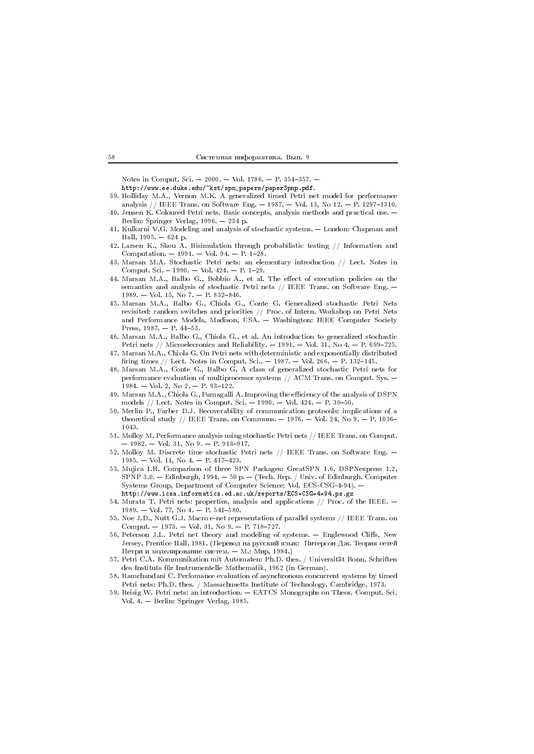Notes in Comput. Sci.  $-2000$ .  $-$  Vol. 1786.  $-$  P. 354-357.  $-$ 

http://www.ee.duke.edu/"kst/spn\_papers/paperSpnp.pdf.

- 39. Holliday M.A., Vernon M.K. A generalized timed Petri net model for performance analysis // IEEE Trans. on Software Eng.  $-$  1987.  $-$  Vol. 13, No 12.  $-$  P. 1297-1310.
- 40. Jensen K. Coloured Petri nets. Basic concepts, analysis methods and practical use. -Berlin: Springer Verlag, 1996. - 234 p.
- 41. Kulkarni V.G. Modeling and analysis of stochastic systems. London: Chapman and Hall, 1995.  $-624$  p.
- 42. Larsen K., Skou A. Bisimulation through probabilistic testing // Information and Computation.  $-1991. - Vol. 94. - P. 1-28.$
- Marsan M.A. Stochastic Petri nets: an elementary introduction // Lect. Notes in 43. Comput. Sci. - 1990. - Vol. 424. - P. 1-29.
- 44. Marsan M.A., Balbo G., Bobbio A., et al. The effect of execution policies on the semantics and analysis of stochastic Petri nets // IEEE Trans. on Software Eng. - $1989. -$  Vol. 15, No 7. - P. 832-846.
- 45. Marsan M.A., Balbo G., Chiola G., Conte G. Generalized stochastic Petri Nets revisited: random switches and priorities // Proc. of Intern. Workshop on Petri Nets and Performance Models, Madison, USA. - Washington: IEEE Computer Society Press,  $1987. - P. 44-53.$
- 46. Marsan M.A., Balbo G., Chiola G., et al. An introduction to generalized stochastic Petri nets // Microelecronics and Reliability.  $-1991. -$  Vol. 31, No 4.  $-$  P. 699-725.
- 47. Marsan M.A., Chiola G. On Petri nets with deterministic and exponentially distributed firing times // Lect. Notes in Comput. Sci..  $- 1987$ .  $-$  Vol. 266.  $-$  P. 132-145.
- 48. Marsan M.A., Conte G., Balbo G. A class of generalized stochastic Petri nets for performance evaluation of multiprocessor systems // ACM Trans. on Comput. Sys. - $1984. - Vol. 2, No 2. - P. 93-122.$
- 49. Marsan M.A., Chiola G., Fumagalli A. Improving the efficiency of the analysis of DSPN models // Lect. Notes in Comput. Sci. - 1990. - Vol. 424. - P. 30-50.
- 50. Merlin P., Farber D.J. Recoverability of communication protocols: implications of a theoretical study // IEEE Trans. on Communs.  $-$  1976.  $-$  Vol. 24, No 9.  $-$  P. 1036-1043.
- 51. Molloy M. Performance analysis using stochastic Petri nets // IEEE Trans. on Comput.  $-1982. - Vol. 31, No. 9. - P. 913-917.$
- 52. Molloy M. Discrete time stochastic Petri nets // IEEE Trans. on Software Eng. - $1985. -$  Vol. 11, No 4, - P, 417-423.
- 53. Mujica I.R. Comparison of three SPN Packages: GreatSPN 1.6, DSPNexpress 1.2, SPNP 3.0. - Edinburgh, 1994. - 50 p. - (Tech. Rep. / Univ. of Edinburgh. Computer Systems Group, Department of Computer Science; Vol. ECS-CSG-4-94). http://www.icsa.informatics.ed.ac.uk/reports/ECS-CSG-4-94.ps.gz
- 54. Murata T. Petri nets: properties, analysis and applications // Proc. of the IEEE. -1989. - Vol. 77, No 4. - P. 541-580.
- 55. Noe J.D., Nutt G.J. Macro e-net representation of parallel systems // IEEE Trans. on Comput. - 1973. - Vol. 31, No 9. - P. 718-727.
- 56. Peterson J.L. Petri net theory and modeling of systems. Englewood Cliffs, New Jersey, Prentice Hall, 1981. (Перевод на русский язык: Питерсон Дж. Теория сетей Петри и молелирование систем. — М.: Мир. 1984.)
- 57. Petri C.A. Kommunikation mit Automaten: Ph.D. thes. / Universität Bonn, Schriften des Instituts für Instrumentelle Mathematik, 1962 (in German).
- 58. Ramchandani C. Perfomance evaluation of asynchronous concurrent systems by timed Petri nets: Ph.D. thes. / Massachusetts Institute of Technology, Cambridge, 1973.
- 59. Reisig W. Petri nets: an introduction. EATCS Monographs on Theor. Comput. Sci. Vol. 4. - Berlin: Springer Verlag, 1985.